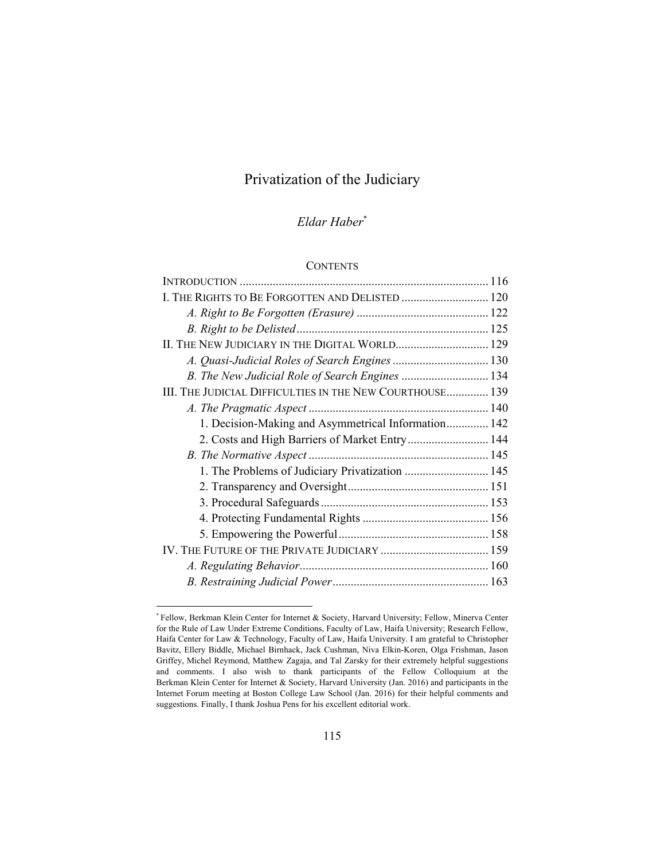# Privatization of the Judiciary

# *Eldar Haber*\*

## **CONTENTS**

 $\overline{\phantom{a}}$ 

<sup>\*</sup> Fellow, Berkman Klein Center for Internet & Society, Harvard University; Fellow, Minerva Center for the Rule of Law Under Extreme Conditions, Faculty of Law, Haifa University; Research Fellow, Haifa Center for Law & Technology, Faculty of Law, Haifa University. I am grateful to Christopher Bavitz, Ellery Biddle, Michael Birnhack, Jack Cushman, Niva Elkin-Koren, Olga Frishman, Jason Griffey, Michel Reymond, Matthew Zagaja, and Tal Zarsky for their extremely helpful suggestions and comments. I also wish to thank participants of the Fellow Colloquium at the Berkman Klein Center for Internet & Society, Harvard University (Jan. 2016) and participants in the Internet Forum meeting at Boston College Law School (Jan. 2016) for their helpful comments and suggestions. Finally, I thank Joshua Pens for his excellent editorial work.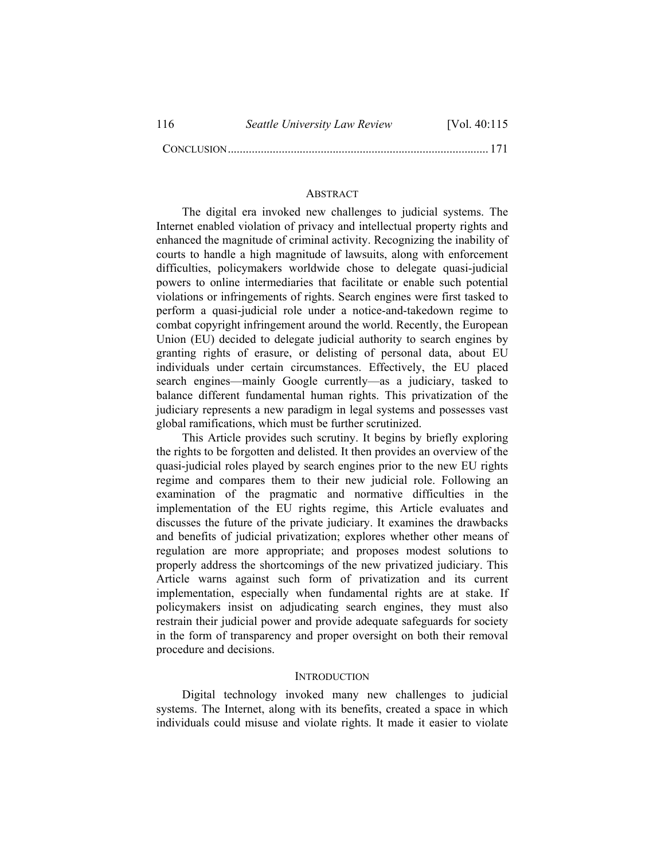CONCLUSION ....................................................................................... 171

# **ABSTRACT**

The digital era invoked new challenges to judicial systems. The Internet enabled violation of privacy and intellectual property rights and enhanced the magnitude of criminal activity. Recognizing the inability of courts to handle a high magnitude of lawsuits, along with enforcement difficulties, policymakers worldwide chose to delegate quasi-judicial powers to online intermediaries that facilitate or enable such potential violations or infringements of rights. Search engines were first tasked to perform a quasi-judicial role under a notice-and-takedown regime to combat copyright infringement around the world. Recently, the European Union (EU) decided to delegate judicial authority to search engines by granting rights of erasure, or delisting of personal data, about EU individuals under certain circumstances. Effectively, the EU placed search engines—mainly Google currently—as a judiciary, tasked to balance different fundamental human rights. This privatization of the judiciary represents a new paradigm in legal systems and possesses vast global ramifications, which must be further scrutinized.

This Article provides such scrutiny. It begins by briefly exploring the rights to be forgotten and delisted. It then provides an overview of the quasi-judicial roles played by search engines prior to the new EU rights regime and compares them to their new judicial role. Following an examination of the pragmatic and normative difficulties in the implementation of the EU rights regime, this Article evaluates and discusses the future of the private judiciary. It examines the drawbacks and benefits of judicial privatization; explores whether other means of regulation are more appropriate; and proposes modest solutions to properly address the shortcomings of the new privatized judiciary. This Article warns against such form of privatization and its current implementation, especially when fundamental rights are at stake. If policymakers insist on adjudicating search engines, they must also restrain their judicial power and provide adequate safeguards for society in the form of transparency and proper oversight on both their removal procedure and decisions.

## **INTRODUCTION**

Digital technology invoked many new challenges to judicial systems. The Internet, along with its benefits, created a space in which individuals could misuse and violate rights. It made it easier to violate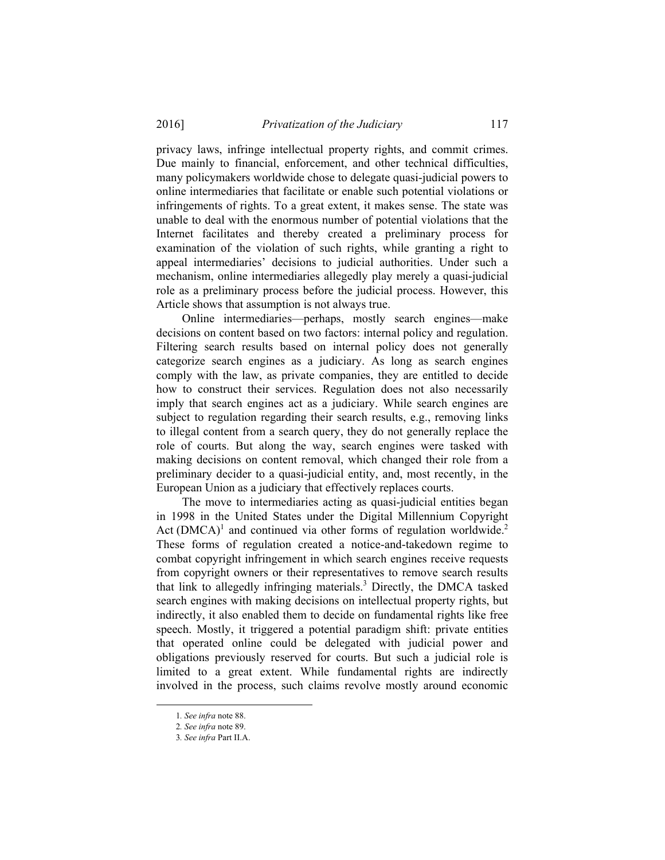privacy laws, infringe intellectual property rights, and commit crimes. Due mainly to financial, enforcement, and other technical difficulties, many policymakers worldwide chose to delegate quasi-judicial powers to online intermediaries that facilitate or enable such potential violations or infringements of rights. To a great extent, it makes sense. The state was unable to deal with the enormous number of potential violations that the Internet facilitates and thereby created a preliminary process for examination of the violation of such rights, while granting a right to appeal intermediaries' decisions to judicial authorities. Under such a mechanism, online intermediaries allegedly play merely a quasi-judicial role as a preliminary process before the judicial process. However, this Article shows that assumption is not always true.

Online intermediaries—perhaps, mostly search engines—make decisions on content based on two factors: internal policy and regulation. Filtering search results based on internal policy does not generally categorize search engines as a judiciary. As long as search engines comply with the law, as private companies, they are entitled to decide how to construct their services. Regulation does not also necessarily imply that search engines act as a judiciary. While search engines are subject to regulation regarding their search results, e.g., removing links to illegal content from a search query, they do not generally replace the role of courts. But along the way, search engines were tasked with making decisions on content removal, which changed their role from a preliminary decider to a quasi-judicial entity, and, most recently, in the European Union as a judiciary that effectively replaces courts.

The move to intermediaries acting as quasi-judicial entities began in 1998 in the United States under the Digital Millennium Copyright Act  $(DMCA)^1$  and continued via other forms of regulation worldwide.<sup>2</sup> These forms of regulation created a notice-and-takedown regime to combat copyright infringement in which search engines receive requests from copyright owners or their representatives to remove search results that link to allegedly infringing materials.<sup>3</sup> Directly, the DMCA tasked search engines with making decisions on intellectual property rights, but indirectly, it also enabled them to decide on fundamental rights like free speech. Mostly, it triggered a potential paradigm shift: private entities that operated online could be delegated with judicial power and obligations previously reserved for courts. But such a judicial role is limited to a great extent. While fundamental rights are indirectly involved in the process, such claims revolve mostly around economic

 <sup>1</sup>*. See infra* note 88.

<sup>2</sup>*. See infra* note 89.

<sup>3</sup>*. See infra* Part II.A.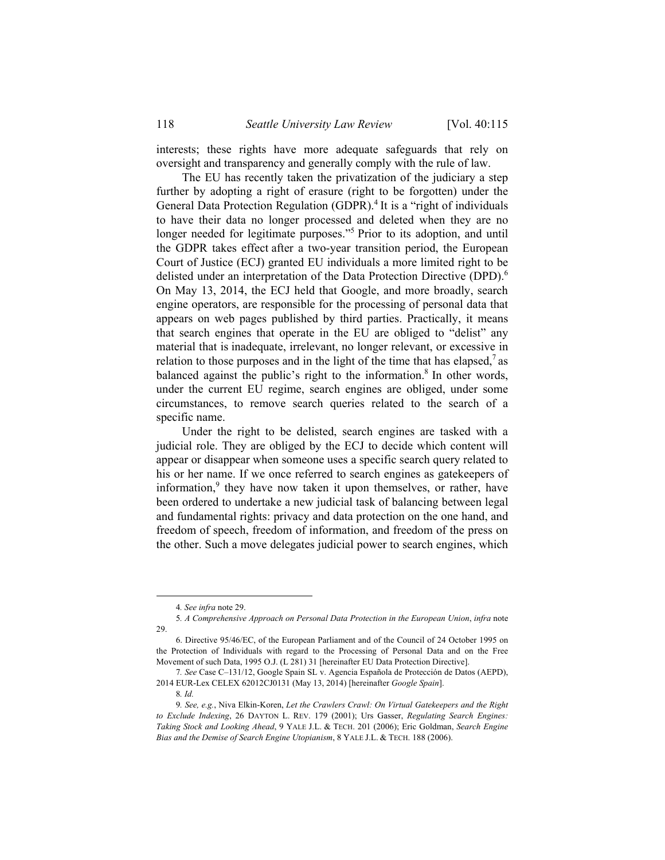interests; these rights have more adequate safeguards that rely on oversight and transparency and generally comply with the rule of law.

The EU has recently taken the privatization of the judiciary a step further by adopting a right of erasure (right to be forgotten) under the General Data Protection Regulation (GDPR).<sup>4</sup> It is a "right of individuals" to have their data no longer processed and deleted when they are no longer needed for legitimate purposes."<sup>5</sup> Prior to its adoption, and until the GDPR takes effect after a two-year transition period, the European Court of Justice (ECJ) granted EU individuals a more limited right to be delisted under an interpretation of the Data Protection Directive (DPD).<sup>6</sup> On May 13, 2014, the ECJ held that Google, and more broadly, search engine operators, are responsible for the processing of personal data that appears on web pages published by third parties. Practically, it means that search engines that operate in the EU are obliged to "delist" any material that is inadequate, irrelevant, no longer relevant, or excessive in relation to those purposes and in the light of the time that has elapsed,<sup>7</sup> as balanced against the public's right to the information.<sup>8</sup> In other words, under the current EU regime, search engines are obliged, under some circumstances, to remove search queries related to the search of a specific name.

Under the right to be delisted, search engines are tasked with a judicial role. They are obliged by the ECJ to decide which content will appear or disappear when someone uses a specific search query related to his or her name. If we once referred to search engines as gatekeepers of information,<sup>9</sup> they have now taken it upon themselves, or rather, have been ordered to undertake a new judicial task of balancing between legal and fundamental rights: privacy and data protection on the one hand, and freedom of speech, freedom of information, and freedom of the press on the other. Such a move delegates judicial power to search engines, which

 <sup>4</sup>*. See infra* note 29.

<sup>5</sup>*. A Comprehensive Approach on Personal Data Protection in the European Union*, *infra* note 29.

 <sup>6.</sup> Directive 95/46/EC, of the European Parliament and of the Council of 24 October 1995 on the Protection of Individuals with regard to the Processing of Personal Data and on the Free Movement of such Data, 1995 O.J. (L 281) 31 [hereinafter EU Data Protection Directive].

<sup>7</sup>*. See* Case C–131/12, Google Spain SL v. Agencia Española de Protección de Datos (AEPD), 2014 EUR-Lex CELEX 62012CJ0131 (May 13, 2014) [hereinafter *Google Spain*].

<sup>8</sup>*. Id.*

<sup>9</sup>*. See, e.g.*, Niva Elkin-Koren, *Let the Crawlers Crawl: On Virtual Gatekeepers and the Right to Exclude Indexing*, 26 DAYTON L. REV. 179 (2001); Urs Gasser, *Regulating Search Engines: Taking Stock and Looking Ahead*, 9 YALE J.L. & TECH. 201 (2006); Eric Goldman, *Search Engine Bias and the Demise of Search Engine Utopianism*, 8 YALE J.L. & TECH. 188 (2006).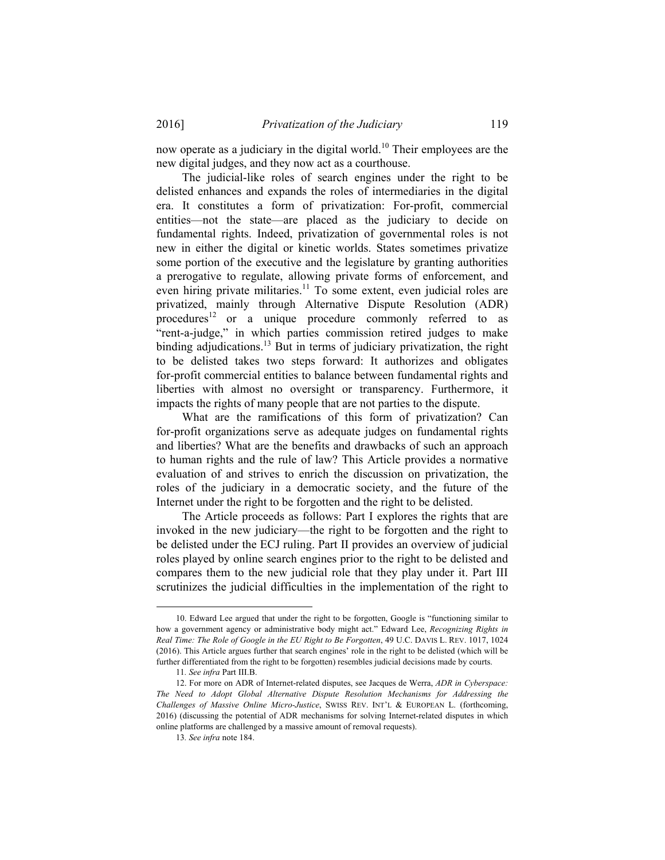now operate as a judiciary in the digital world.<sup>10</sup> Their employees are the new digital judges, and they now act as a courthouse.

The judicial-like roles of search engines under the right to be delisted enhances and expands the roles of intermediaries in the digital era. It constitutes a form of privatization: For-profit, commercial entities—not the state—are placed as the judiciary to decide on fundamental rights. Indeed, privatization of governmental roles is not new in either the digital or kinetic worlds. States sometimes privatize some portion of the executive and the legislature by granting authorities a prerogative to regulate, allowing private forms of enforcement, and even hiring private militaries.<sup>11</sup> To some extent, even judicial roles are privatized, mainly through Alternative Dispute Resolution (ADR) procedures<sup>12</sup> or a unique procedure commonly referred to as "rent-a-judge," in which parties commission retired judges to make binding adjudications.<sup>13</sup> But in terms of judiciary privatization, the right to be delisted takes two steps forward: It authorizes and obligates for-profit commercial entities to balance between fundamental rights and liberties with almost no oversight or transparency. Furthermore, it impacts the rights of many people that are not parties to the dispute.

What are the ramifications of this form of privatization? Can for-profit organizations serve as adequate judges on fundamental rights and liberties? What are the benefits and drawbacks of such an approach to human rights and the rule of law? This Article provides a normative evaluation of and strives to enrich the discussion on privatization, the roles of the judiciary in a democratic society, and the future of the Internet under the right to be forgotten and the right to be delisted.

The Article proceeds as follows: Part I explores the rights that are invoked in the new judiciary—the right to be forgotten and the right to be delisted under the ECJ ruling. Part II provides an overview of judicial roles played by online search engines prior to the right to be delisted and compares them to the new judicial role that they play under it. Part III scrutinizes the judicial difficulties in the implementation of the right to

 <sup>10.</sup> Edward Lee argued that under the right to be forgotten, Google is "functioning similar to how a government agency or administrative body might act." Edward Lee, *Recognizing Rights in Real Time: The Role of Google in the EU Right to Be Forgotten*, 49 U.C. DAVIS L. REV. 1017, 1024 (2016). This Article argues further that search engines' role in the right to be delisted (which will be further differentiated from the right to be forgotten) resembles judicial decisions made by courts.

<sup>11</sup>*. See infra* Part III.B.

 <sup>12.</sup> For more on ADR of Internet-related disputes, see Jacques de Werra, *ADR in Cyberspace: The Need to Adopt Global Alternative Dispute Resolution Mechanisms for Addressing the Challenges of Massive Online Micro-Justice*, SWISS REV. INT'L & EUROPEAN L. (forthcoming, 2016) (discussing the potential of ADR mechanisms for solving Internet-related disputes in which online platforms are challenged by a massive amount of removal requests).

<sup>13</sup>*. See infra* note 184.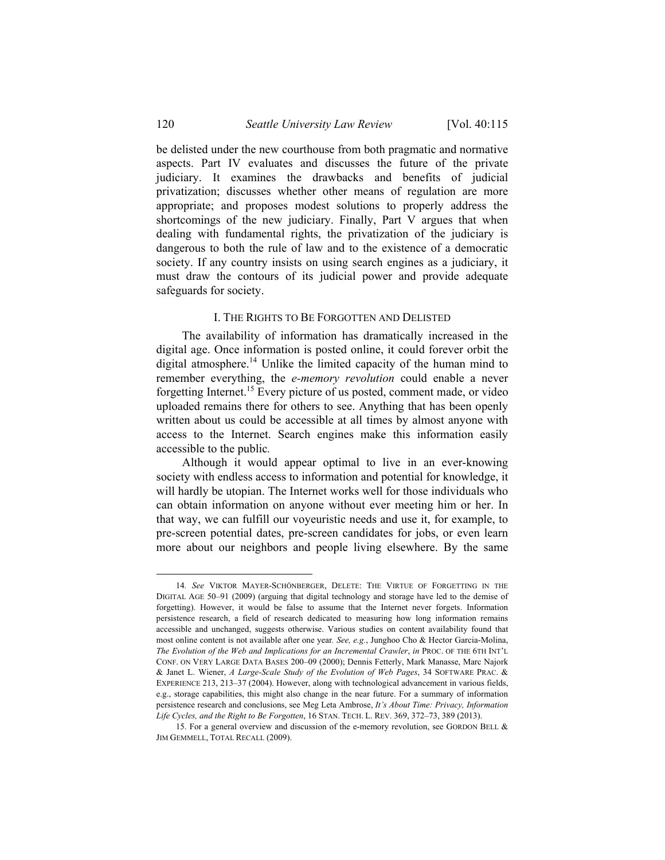be delisted under the new courthouse from both pragmatic and normative aspects. Part IV evaluates and discusses the future of the private judiciary. It examines the drawbacks and benefits of judicial privatization; discusses whether other means of regulation are more appropriate; and proposes modest solutions to properly address the shortcomings of the new judiciary. Finally, Part V argues that when dealing with fundamental rights, the privatization of the judiciary is dangerous to both the rule of law and to the existence of a democratic society. If any country insists on using search engines as a judiciary, it must draw the contours of its judicial power and provide adequate safeguards for society.

# I. THE RIGHTS TO BE FORGOTTEN AND DELISTED

The availability of information has dramatically increased in the digital age. Once information is posted online, it could forever orbit the digital atmosphere.<sup>14</sup> Unlike the limited capacity of the human mind to remember everything, the *e-memory revolution* could enable a never forgetting Internet.15 Every picture of us posted, comment made, or video uploaded remains there for others to see. Anything that has been openly written about us could be accessible at all times by almost anyone with access to the Internet. Search engines make this information easily accessible to the public*.*

Although it would appear optimal to live in an ever-knowing society with endless access to information and potential for knowledge, it will hardly be utopian. The Internet works well for those individuals who can obtain information on anyone without ever meeting him or her. In that way, we can fulfill our voyeuristic needs and use it, for example, to pre-screen potential dates, pre-screen candidates for jobs, or even learn more about our neighbors and people living elsewhere. By the same

 <sup>14</sup>*. See* VIKTOR MAYER-SCHÖNBERGER, DELETE: THE VIRTUE OF FORGETTING IN THE DIGITAL AGE 50–91 (2009) (arguing that digital technology and storage have led to the demise of forgetting). However, it would be false to assume that the Internet never forgets. Information persistence research, a field of research dedicated to measuring how long information remains accessible and unchanged, suggests otherwise. Various studies on content availability found that most online content is not available after one year*. See, e.g.*, Junghoo Cho & Hector Garcia-Molina, *The Evolution of the Web and Implications for an Incremental Crawler*, *in* PROC. OF THE 6TH INT'L CONF. ON VERY LARGE DATA BASES 200–09 (2000); Dennis Fetterly, Mark Manasse, Marc Najork & Janet L. Wiener, *A Large-Scale Study of the Evolution of Web Pages*, 34 SOFTWARE PRAC. & EXPERIENCE 213, 213–37 (2004). However, along with technological advancement in various fields, e.g., storage capabilities, this might also change in the near future. For a summary of information persistence research and conclusions, see Meg Leta Ambrose, *It's About Time: Privacy, Information Life Cycles, and the Right to Be Forgotten*, 16 STAN. TECH. L. REV. 369, 372–73, 389 (2013).

 <sup>15.</sup> For a general overview and discussion of the e-memory revolution, see GORDON BELL & JIM GEMMELL, TOTAL RECALL (2009).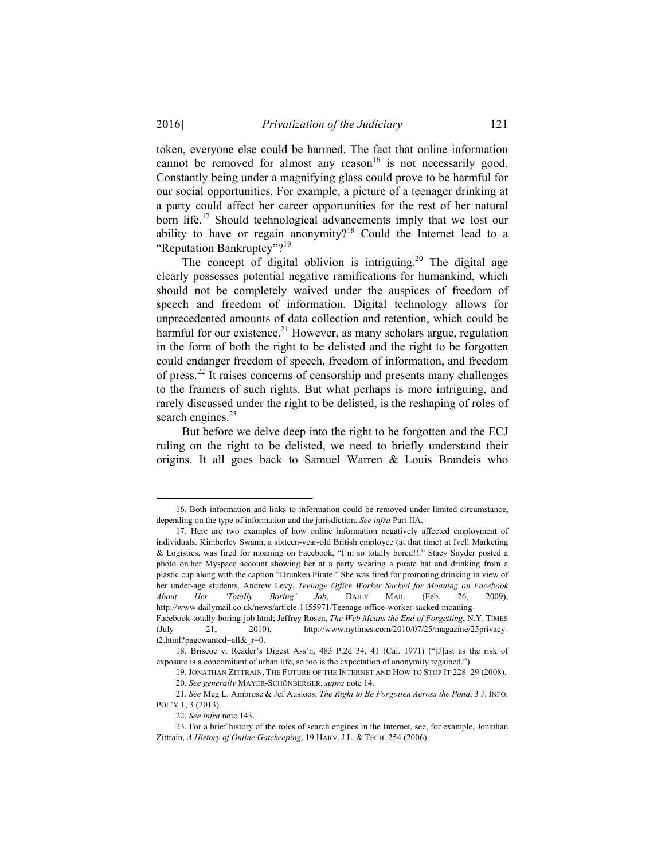token, everyone else could be harmed. The fact that online information cannot be removed for almost any reason<sup>16</sup> is not necessarily good. Constantly being under a magnifying glass could prove to be harmful for our social opportunities. For example, a picture of a teenager drinking at a party could affect her career opportunities for the rest of her natural born life.<sup>17</sup> Should technological advancements imply that we lost our ability to have or regain anonymity?<sup>18</sup> Could the Internet lead to a "Reputation Bankruptcy"?<sup>19</sup>

The concept of digital oblivion is intriguing.<sup>20</sup> The digital age clearly possesses potential negative ramifications for humankind, which should not be completely waived under the auspices of freedom of speech and freedom of information. Digital technology allows for unprecedented amounts of data collection and retention, which could be harmful for our existence.<sup>21</sup> However, as many scholars argue, regulation in the form of both the right to be delisted and the right to be forgotten could endanger freedom of speech, freedom of information, and freedom of press.22 It raises concerns of censorship and presents many challenges to the framers of such rights. But what perhaps is more intriguing, and rarely discussed under the right to be delisted, is the reshaping of roles of search engines. $23$ 

But before we delve deep into the right to be forgotten and the ECJ ruling on the right to be delisted, we need to briefly understand their origins. It all goes back to Samuel Warren & Louis Brandeis who

 <sup>16.</sup> Both information and links to information could be removed under limited circumstance, depending on the type of information and the jurisdiction. *See infra* Part IIA.

 <sup>17.</sup> Here are two examples of how online information negatively affected employment of individuals. Kimberley Swann, a sixteen-year-old British employee (at that time) at Ivell Marketing & Logistics, was fired for moaning on Facebook, "I'm so totally bored!!." Stacy Snyder posted a photo on her Myspace account showing her at a party wearing a pirate hat and drinking from a plastic cup along with the caption "Drunken Pirate." She was fired for promoting drinking in view of her under-age students. Andrew Levy, *Teenage Office Worker Sacked for Moaning on Facebook About Her 'Totally Boring' Job*, DAILY MAIL (Feb. 26, 2009), http://www.dailymail.co.uk/news/article-1155971/Teenage-office-worker-sacked-moaning-

Facebook-totally-boring-job.html; Jeffrey Rosen, *The Web Means the End of Forgetting*, N.Y. TIMES (July 21, 2010), http://www.nytimes.com/2010/07/25/magazine/25privacyt2.html?pagewanted=all& $r=0$ .

 <sup>18.</sup> Briscoe v. Reader's Digest Ass'n, 483 P.2d 34, 41 (Cal. 1971) ("[J]ust as the risk of exposure is a concomitant of urban life, so too is the expectation of anonymity regained.").

 <sup>19.</sup> JONATHAN ZITTRAIN, THE FUTURE OF THE INTERNET AND HOW TO STOP IT 228–29 (2008). 20*. See generally* MAYER-SCHÖNBERGER, *supra* note 14.

<sup>21</sup>*. See* Meg L. Ambrose & Jef Ausloos, *The Right to Be Forgotten Across the Pond*, 3 J. INFO. POL'Y 1, 3 (2013).

<sup>22</sup>*. See infra* note 143.

 <sup>23.</sup> For a brief history of the roles of search engines in the Internet, see, for example, Jonathan Zittrain, *A History of Online Gatekeeping*, 19 HARV. J.L. & TECH. 254 (2006).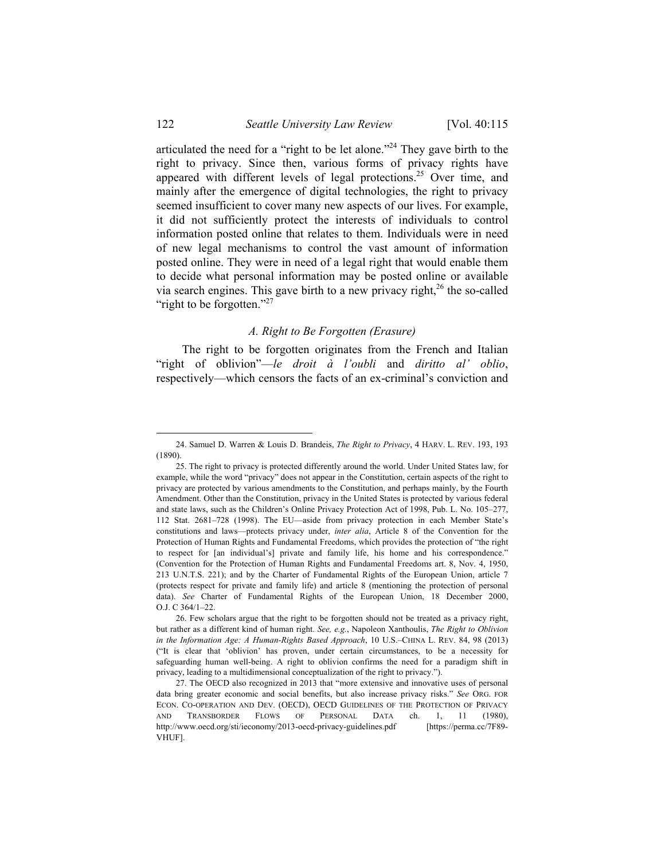articulated the need for a "right to be let alone."24 They gave birth to the right to privacy. Since then, various forms of privacy rights have appeared with different levels of legal protections.<sup>25</sup> Over time, and mainly after the emergence of digital technologies, the right to privacy seemed insufficient to cover many new aspects of our lives. For example, it did not sufficiently protect the interests of individuals to control information posted online that relates to them. Individuals were in need of new legal mechanisms to control the vast amount of information posted online. They were in need of a legal right that would enable them to decide what personal information may be posted online or available via search engines. This gave birth to a new privacy right, $26$  the so-called "right to be forgotten."<sup>27</sup>

#### *A. Right to Be Forgotten (Erasure)*

The right to be forgotten originates from the French and Italian "right of oblivion"—*le droit à l'oubli* and *diritto al' oblio*, respectively—which censors the facts of an ex-criminal's conviction and

1

 <sup>24.</sup> Samuel D. Warren & Louis D. Brandeis, *The Right to Privacy*, 4 HARV. L. REV. 193, 193 (1890).

 <sup>25.</sup> The right to privacy is protected differently around the world. Under United States law, for example, while the word "privacy" does not appear in the Constitution, certain aspects of the right to privacy are protected by various amendments to the Constitution, and perhaps mainly, by the Fourth Amendment. Other than the Constitution, privacy in the United States is protected by various federal and state laws, such as the Children's Online Privacy Protection Act of 1998, Pub. L. No. 105–277, 112 Stat. 2681–728 (1998). The EU—aside from privacy protection in each Member State's constitutions and laws—protects privacy under, *inter alia*, Article 8 of the Convention for the Protection of Human Rights and Fundamental Freedoms, which provides the protection of "the right to respect for [an individual's] private and family life, his home and his correspondence." (Convention for the Protection of Human Rights and Fundamental Freedoms art. 8, Nov. 4, 1950, 213 U.N.T.S. 221); and by the Charter of Fundamental Rights of the European Union, article 7 (protects respect for private and family life) and article 8 (mentioning the protection of personal data). *See* Charter of Fundamental Rights of the European Union, 18 December 2000, O.J. C 364/1–22.

 <sup>26.</sup> Few scholars argue that the right to be forgotten should not be treated as a privacy right, but rather as a different kind of human right. *See, e.g.*, Napoleon Xanthoulis, *The Right to Oblivion in the Information Age: A Human-Rights Based Approach*, 10 U.S.–CHINA L. REV. 84, 98 (2013) ("It is clear that 'oblivion' has proven, under certain circumstances, to be a necessity for safeguarding human well-being. A right to oblivion confirms the need for a paradigm shift in privacy, leading to a multidimensional conceptualization of the right to privacy.").

 <sup>27.</sup> The OECD also recognized in 2013 that "more extensive and innovative uses of personal data bring greater economic and social benefits, but also increase privacy risks." *See* ORG. FOR ECON. CO-OPERATION AND DEV. (OECD), OECD GUIDELINES OF THE PROTECTION OF PRIVACY AND TRANSBORDER FLOWS OF PERSONAL DATA ch. 1, 11 (1980), http://www.oecd.org/sti/ieconomy/2013-oecd-privacy-guidelines.pdf [https://perma.cc/7F89- VHUF].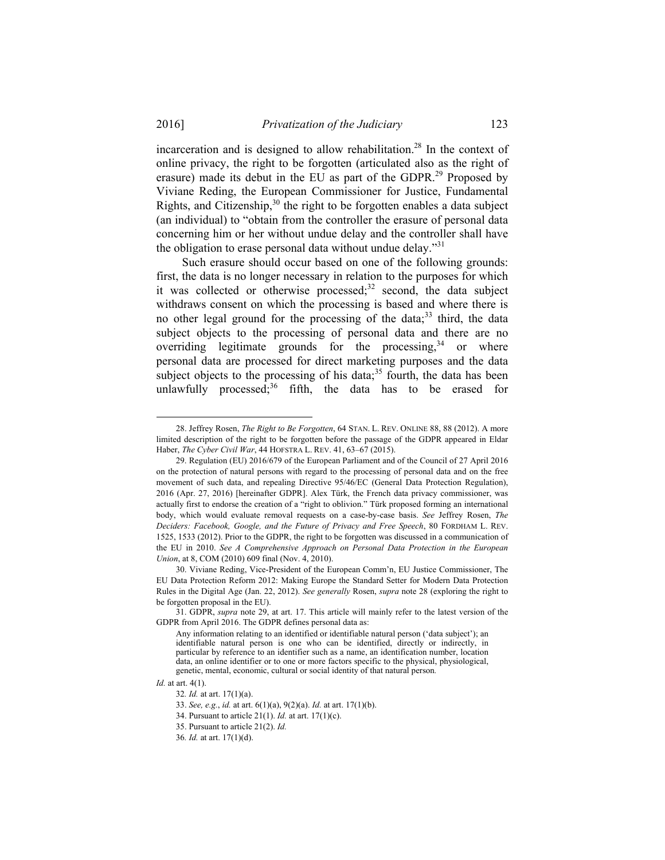incarceration and is designed to allow rehabilitation.<sup>28</sup> In the context of online privacy, the right to be forgotten (articulated also as the right of erasure) made its debut in the EU as part of the GDPR.<sup>29</sup> Proposed by Viviane Reding, the European Commissioner for Justice, Fundamental Rights, and Citizenship,  $30$  the right to be forgotten enables a data subject (an individual) to "obtain from the controller the erasure of personal data concerning him or her without undue delay and the controller shall have the obligation to erase personal data without undue delay. $131$ 

Such erasure should occur based on one of the following grounds: first, the data is no longer necessary in relation to the purposes for which it was collected or otherwise processed; $32$  second, the data subject withdraws consent on which the processing is based and where there is no other legal ground for the processing of the data;<sup>33</sup> third, the data subject objects to the processing of personal data and there are no overriding legitimate grounds for the processing,  $34$  or where personal data are processed for direct marketing purposes and the data subject objects to the processing of his data; $35$  fourth, the data has been unlawfully processed;<sup>36</sup> fifth, the data has to be erased for

*Id.* at art. 4(1).

1

 <sup>28.</sup> Jeffrey Rosen, *The Right to Be Forgotten*, 64 STAN. L. REV. ONLINE 88, 88 (2012). A more limited description of the right to be forgotten before the passage of the GDPR appeared in Eldar Haber, *The Cyber Civil War*, 44 HOFSTRA L. REV. 41, 63–67 (2015).

 <sup>29.</sup> Regulation (EU) 2016/679 of the European Parliament and of the Council of 27 April 2016 on the protection of natural persons with regard to the processing of personal data and on the free movement of such data, and repealing Directive 95/46/EC (General Data Protection Regulation), 2016 (Apr. 27, 2016) [hereinafter GDPR]. Alex Türk, the French data privacy commissioner, was actually first to endorse the creation of a "right to oblivion." Türk proposed forming an international body, which would evaluate removal requests on a case-by-case basis. *See* Jeffrey Rosen, *The Deciders: Facebook, Google, and the Future of Privacy and Free Speech*, 80 FORDHAM L. REV. 1525, 1533 (2012). Prior to the GDPR, the right to be forgotten was discussed in a communication of the EU in 2010. *See A Comprehensive Approach on Personal Data Protection in the European Union*, at 8, COM (2010) 609 final (Nov. 4, 2010).

 <sup>30.</sup> Viviane Reding, Vice-President of the European Comm'n, EU Justice Commissioner, The EU Data Protection Reform 2012: Making Europe the Standard Setter for Modern Data Protection Rules in the Digital Age (Jan. 22, 2012). *See generally* Rosen, *supra* note 28 (exploring the right to be forgotten proposal in the EU).

 <sup>31.</sup> GDPR, *supra* note 29, at art. 17. This article will mainly refer to the latest version of the GDPR from April 2016. The GDPR defines personal data as:

Any information relating to an identified or identifiable natural person ('data subject'); an identifiable natural person is one who can be identified, directly or indirectly, in particular by reference to an identifier such as a name, an identification number, location data, an online identifier or to one or more factors specific to the physical, physiological, genetic, mental, economic, cultural or social identity of that natural person*.* 

<sup>32</sup>*. Id.* at art. 17(1)(a).

 <sup>33.</sup> *See, e.g.*, *id.* at art. 6(1)(a), 9(2)(a). *Id.* at art. 17(1)(b).

 <sup>34.</sup> Pursuant to article 21(1). *Id.* at art. 17(1)(c).

 <sup>35.</sup> Pursuant to article 21(2). *Id.*

<sup>36</sup>*. Id.* at art. 17(1)(d).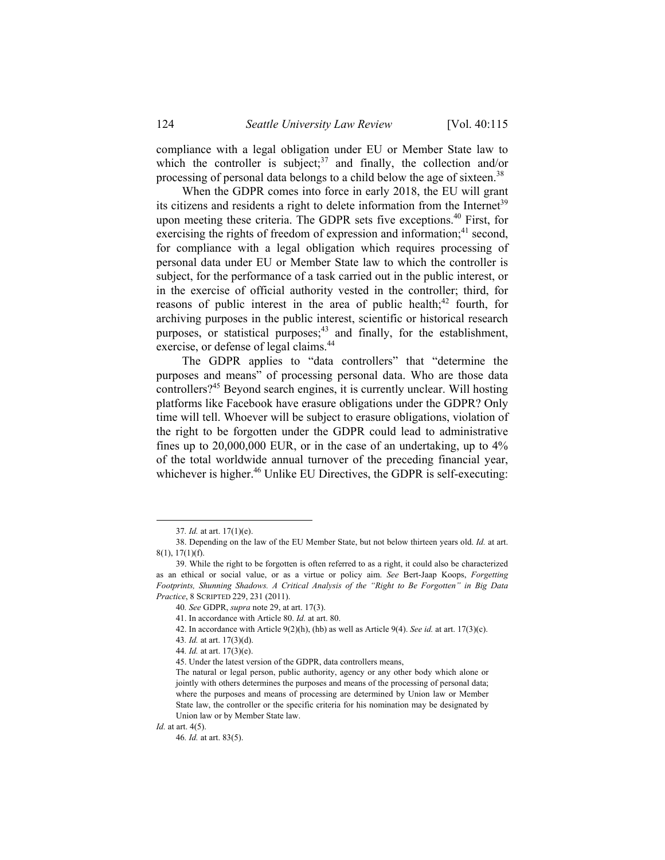compliance with a legal obligation under EU or Member State law to which the controller is subject;<sup>37</sup> and finally, the collection and/or processing of personal data belongs to a child below the age of sixteen.<sup>38</sup>

When the GDPR comes into force in early 2018, the EU will grant its citizens and residents a right to delete information from the Internet<sup>39</sup> upon meeting these criteria. The GDPR sets five exceptions.<sup>40</sup> First, for exercising the rights of freedom of expression and information; $41$  second, for compliance with a legal obligation which requires processing of personal data under EU or Member State law to which the controller is subject, for the performance of a task carried out in the public interest, or in the exercise of official authority vested in the controller; third, for reasons of public interest in the area of public health;<sup>42</sup> fourth, for archiving purposes in the public interest, scientific or historical research purposes, or statistical purposes;<sup>43</sup> and finally, for the establishment, exercise, or defense of legal claims.<sup>44</sup>

The GDPR applies to "data controllers" that "determine the purposes and means" of processing personal data. Who are those data controllers?45 Beyond search engines, it is currently unclear. Will hosting platforms like Facebook have erasure obligations under the GDPR? Only time will tell. Whoever will be subject to erasure obligations, violation of the right to be forgotten under the GDPR could lead to administrative fines up to 20,000,000 EUR, or in the case of an undertaking, up to 4% of the total worldwide annual turnover of the preceding financial year, whichever is higher.<sup>46</sup> Unlike EU Directives, the GDPR is self-executing:

 <sup>37</sup>*. Id.* at art. 17(1)(e).

 <sup>38.</sup> Depending on the law of the EU Member State, but not below thirteen years old. *Id.* at art. 8(1), 17(1)(f).

 <sup>39.</sup> While the right to be forgotten is often referred to as a right, it could also be characterized as an ethical or social value, or as a virtue or policy aim. *See* Bert-Jaap Koops, *Forgetting Footprints, Shunning Shadows. A Critical Analysis of the "Right to Be Forgotten" in Big Data Practice*, 8 SCRIPTED 229, 231 (2011).

<sup>40</sup>*. See* GDPR, *supra* note 29, at art. 17(3).

 <sup>41.</sup> In accordance with Article 80. *Id.* at art. 80.

 <sup>42.</sup> In accordance with Article 9(2)(h), (hb) as well as Article 9(4). *See id.* at art. 17(3)(c).

<sup>43</sup>*. Id.* at art. 17(3)(d).

<sup>44</sup>*. Id.* at art. 17(3)(e).

 <sup>45.</sup> Under the latest version of the GDPR, data controllers means,

The natural or legal person, public authority, agency or any other body which alone or jointly with others determines the purposes and means of the processing of personal data; where the purposes and means of processing are determined by Union law or Member State law, the controller or the specific criteria for his nomination may be designated by Union law or by Member State law.

*Id.* at art. 4(5).

<sup>46</sup>*. Id.* at art. 83(5).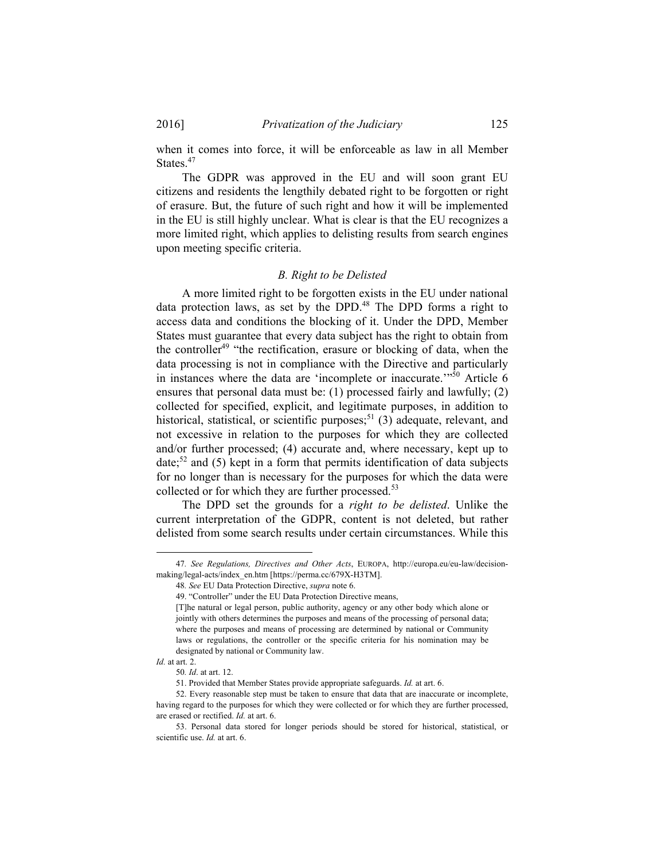when it comes into force, it will be enforceable as law in all Member States.<sup>47</sup>

The GDPR was approved in the EU and will soon grant EU citizens and residents the lengthily debated right to be forgotten or right of erasure. But, the future of such right and how it will be implemented in the EU is still highly unclear. What is clear is that the EU recognizes a more limited right, which applies to delisting results from search engines upon meeting specific criteria.

#### *B. Right to be Delisted*

A more limited right to be forgotten exists in the EU under national data protection laws, as set by the DPD.<sup>48</sup> The DPD forms a right to access data and conditions the blocking of it. Under the DPD, Member States must guarantee that every data subject has the right to obtain from the controller<sup>49</sup> "the rectification, erasure or blocking of data, when the data processing is not in compliance with the Directive and particularly in instances where the data are 'incomplete or inaccurate.'"50 Article 6 ensures that personal data must be: (1) processed fairly and lawfully; (2) collected for specified, explicit, and legitimate purposes, in addition to historical, statistical, or scientific purposes;  $51$  (3) adequate, relevant, and not excessive in relation to the purposes for which they are collected and/or further processed; (4) accurate and, where necessary, kept up to  $date,52$  and (5) kept in a form that permits identification of data subjects for no longer than is necessary for the purposes for which the data were collected or for which they are further processed.<sup>53</sup>

The DPD set the grounds for a *right to be delisted*. Unlike the current interpretation of the GDPR, content is not deleted, but rather delisted from some search results under certain circumstances. While this

 <sup>47</sup>*. See Regulations, Directives and Other Acts*, EUROPA, http://europa.eu/eu-law/decisionmaking/legal-acts/index\_en.htm [https://perma.cc/679X-H3TM].

<sup>48</sup>*. See* EU Data Protection Directive, *supra* note 6.

 <sup>49. &</sup>quot;Controller" under the EU Data Protection Directive means,

<sup>[</sup>T]he natural or legal person, public authority, agency or any other body which alone or jointly with others determines the purposes and means of the processing of personal data; where the purposes and means of processing are determined by national or Community laws or regulations, the controller or the specific criteria for his nomination may be designated by national or Community law.

*Id.* at art. 2.

<sup>50</sup>*. Id*. at art. 12.

 <sup>51.</sup> Provided that Member States provide appropriate safeguards. *Id.* at art. 6.

 <sup>52.</sup> Every reasonable step must be taken to ensure that data that are inaccurate or incomplete, having regard to the purposes for which they were collected or for which they are further processed, are erased or rectified. *Id.* at art. 6.

 <sup>53.</sup> Personal data stored for longer periods should be stored for historical, statistical, or scientific use. *Id.* at art. 6.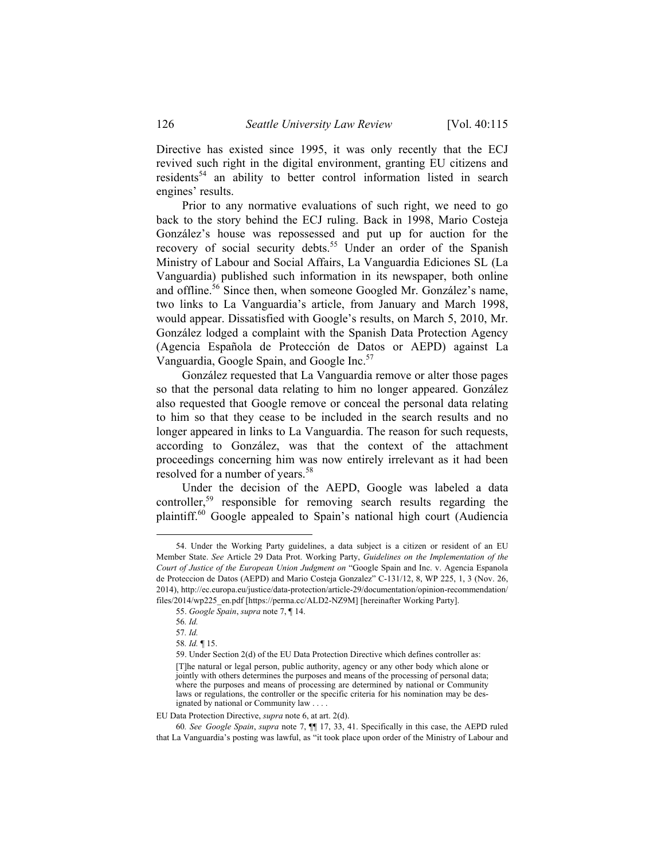Directive has existed since 1995, it was only recently that the ECJ revived such right in the digital environment, granting EU citizens and residents<sup>54</sup> an ability to better control information listed in search engines' results.

Prior to any normative evaluations of such right, we need to go back to the story behind the ECJ ruling. Back in 1998, Mario Costeja González's house was repossessed and put up for auction for the recovery of social security debts.<sup>55</sup> Under an order of the Spanish Ministry of Labour and Social Affairs, La Vanguardia Ediciones SL (La Vanguardia) published such information in its newspaper, both online and offline.<sup>56</sup> Since then, when someone Googled Mr. González's name, two links to La Vanguardia's article, from January and March 1998, would appear. Dissatisfied with Google's results, on March 5, 2010, Mr. González lodged a complaint with the Spanish Data Protection Agency (Agencia Española de Protección de Datos or AEPD) against La Vanguardia, Google Spain, and Google Inc.<sup>57</sup>

González requested that La Vanguardia remove or alter those pages so that the personal data relating to him no longer appeared. González also requested that Google remove or conceal the personal data relating to him so that they cease to be included in the search results and no longer appeared in links to La Vanguardia. The reason for such requests, according to González, was that the context of the attachment proceedings concerning him was now entirely irrelevant as it had been resolved for a number of years.<sup>58</sup>

Under the decision of the AEPD, Google was labeled a data controller,<sup>59</sup> responsible for removing search results regarding the plaintiff.<sup>60</sup> Google appealed to Spain's national high court (Audiencia

 <sup>54.</sup> Under the Working Party guidelines, a data subject is a citizen or resident of an EU Member State. *See* Article 29 Data Prot. Working Party, *Guidelines on the Implementation of the Court of Justice of the European Union Judgment on* "Google Spain and Inc. v. Agencia Espanola de Proteccion de Datos (AEPD) and Mario Costeja Gonzalez" C-131/12, 8, WP 225, 1, 3 (Nov. 26, 2014), http://ec.europa.eu/justice/data-protection/article-29/documentation/opinion-recommendation/ files/2014/wp225\_en.pdf [https://perma.cc/ALD2-NZ9M] [hereinafter Working Party].

 <sup>55.</sup> *Google Spain*, *supra* note 7, ¶ 14.

<sup>56</sup>*. Id.*

<sup>57</sup>*. Id.*

<sup>58</sup>*. Id.* ¶ 15.

 <sup>59.</sup> Under Section 2(d) of the EU Data Protection Directive which defines controller as:

<sup>[</sup>T]he natural or legal person, public authority, agency or any other body which alone or jointly with others determines the purposes and means of the processing of personal data; where the purposes and means of processing are determined by national or Community laws or regulations, the controller or the specific criteria for his nomination may be designated by national or Community law . . . .

EU Data Protection Directive, *supra* note 6, at art. 2(d).

<sup>60</sup>*. See Google Spain*, *supra* note 7, ¶¶ 17, 33, 41. Specifically in this case, the AEPD ruled that La Vanguardia's posting was lawful, as "it took place upon order of the Ministry of Labour and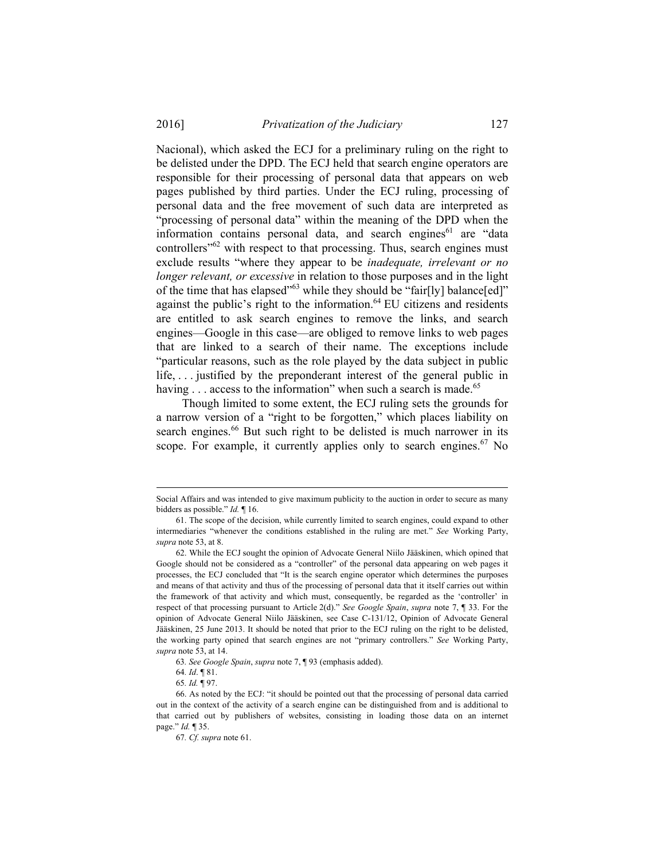2016] *Privatization of the Judiciary* 127

Nacional), which asked the ECJ for a preliminary ruling on the right to be delisted under the DPD. The ECJ held that search engine operators are responsible for their processing of personal data that appears on web pages published by third parties. Under the ECJ ruling, processing of personal data and the free movement of such data are interpreted as "processing of personal data" within the meaning of the DPD when the information contains personal data, and search engines<sup>61</sup> are "data controllers<sup>"62</sup> with respect to that processing. Thus, search engines must exclude results "where they appear to be *inadequate, irrelevant or no longer relevant, or excessive* in relation to those purposes and in the light of the time that has elapsed"<sup>63</sup> while they should be "fair[ly] balance[ed]" against the public's right to the information.<sup>64</sup> EU citizens and residents are entitled to ask search engines to remove the links, and search engines—Google in this case—are obliged to remove links to web pages that are linked to a search of their name. The exceptions include "particular reasons, such as the role played by the data subject in public life, . . . justified by the preponderant interest of the general public in having . . . access to the information" when such a search is made.<sup>65</sup>

Though limited to some extent, the ECJ ruling sets the grounds for a narrow version of a "right to be forgotten," which places liability on search engines.<sup>66</sup> But such right to be delisted is much narrower in its scope. For example, it currently applies only to search engines.<sup>67</sup> No

63*. See Google Spain*, *supra* note 7, ¶ 93 (emphasis added).

1

Social Affairs and was intended to give maximum publicity to the auction in order to secure as many bidders as possible." *Id.* ¶ 16.

 <sup>61.</sup> The scope of the decision, while currently limited to search engines, could expand to other intermediaries "whenever the conditions established in the ruling are met." *See* Working Party, *supra* note 53, at 8.

 <sup>62.</sup> While the ECJ sought the opinion of Advocate General Niilo Jääskinen, which opined that Google should not be considered as a "controller" of the personal data appearing on web pages it processes, the ECJ concluded that "It is the search engine operator which determines the purposes and means of that activity and thus of the processing of personal data that it itself carries out within the framework of that activity and which must, consequently, be regarded as the 'controller' in respect of that processing pursuant to Article 2(d)." *See Google Spain*, *supra* note 7, ¶ 33. For the opinion of Advocate General Niilo Jääskinen, see Case C-131/12, Opinion of Advocate General Jääskinen, 25 June 2013. It should be noted that prior to the ECJ ruling on the right to be delisted, the working party opined that search engines are not "primary controllers." *See* Working Party, *supra* note 53, at 14.

<sup>64</sup>*. Id*. ¶ 81.

<sup>65</sup>*. Id.* ¶ 97.

 <sup>66.</sup> As noted by the ECJ: "it should be pointed out that the processing of personal data carried out in the context of the activity of a search engine can be distinguished from and is additional to that carried out by publishers of websites, consisting in loading those data on an internet page." *Id.* ¶ 35.

<sup>67</sup>*. Cf. supra* note 61.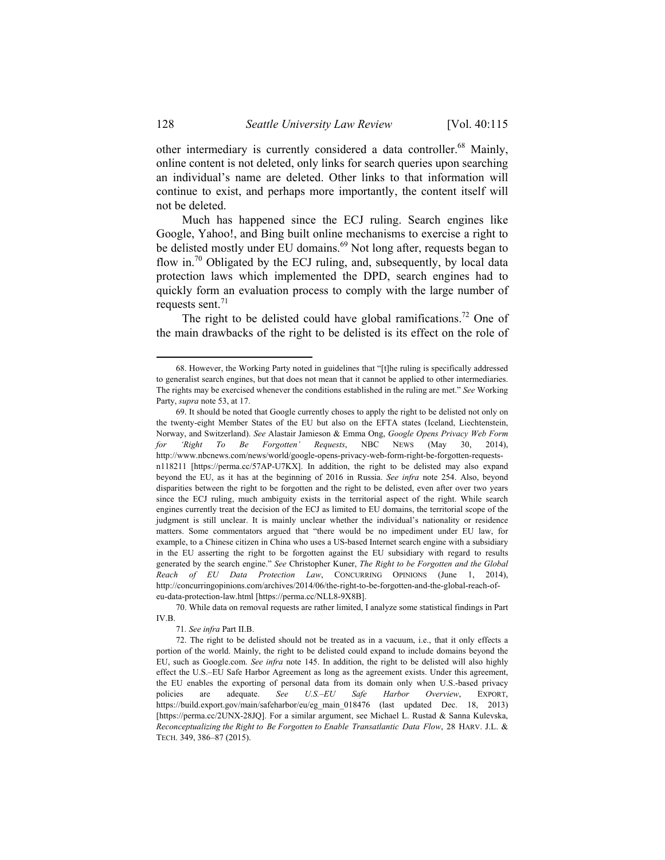other intermediary is currently considered a data controller.68 Mainly, online content is not deleted, only links for search queries upon searching an individual's name are deleted. Other links to that information will continue to exist, and perhaps more importantly, the content itself will not be deleted.

Much has happened since the ECJ ruling. Search engines like Google, Yahoo!, and Bing built online mechanisms to exercise a right to be delisted mostly under EU domains.<sup>69</sup> Not long after, requests began to flow in.<sup>70</sup> Obligated by the ECJ ruling, and, subsequently, by local data protection laws which implemented the DPD, search engines had to quickly form an evaluation process to comply with the large number of requests sent. $71$ 

The right to be delisted could have global ramifications.<sup>72</sup> One of the main drawbacks of the right to be delisted is its effect on the role of

71*. See infra* Part II.B.

 <sup>68.</sup> However, the Working Party noted in guidelines that "[t]he ruling is specifically addressed to generalist search engines, but that does not mean that it cannot be applied to other intermediaries. The rights may be exercised whenever the conditions established in the ruling are met." *See* Working Party, *supra* note 53, at 17.

 <sup>69.</sup> It should be noted that Google currently choses to apply the right to be delisted not only on the twenty-eight Member States of the EU but also on the EFTA states (Iceland, Liechtenstein, Norway, and Switzerland). *See* Alastair Jamieson & Emma Ong, *Google Opens Privacy Web Form for 'Right To Be Forgotten' Requests*, NBC NEWS (May 30, 2014), http://www.nbcnews.com/news/world/google-opens-privacy-web-form-right-be-forgotten-requestsn118211 [https://perma.cc/57AP-U7KX]. In addition, the right to be delisted may also expand beyond the EU, as it has at the beginning of 2016 in Russia. *See infra* note 254. Also, beyond disparities between the right to be forgotten and the right to be delisted, even after over two years since the ECJ ruling, much ambiguity exists in the territorial aspect of the right. While search engines currently treat the decision of the ECJ as limited to EU domains, the territorial scope of the judgment is still unclear. It is mainly unclear whether the individual's nationality or residence matters. Some commentators argued that "there would be no impediment under EU law, for example, to a Chinese citizen in China who uses a US-based Internet search engine with a subsidiary in the EU asserting the right to be forgotten against the EU subsidiary with regard to results generated by the search engine." *See* Christopher Kuner, *The Right to be Forgotten and the Global Reach of EU Data Protection Law*, CONCURRING OPINIONS (June 1, 2014), http://concurringopinions.com/archives/2014/06/the-right-to-be-forgotten-and-the-global-reach-ofeu-data-protection-law.html [https://perma.cc/NLL8-9X8B].

 <sup>70.</sup> While data on removal requests are rather limited, I analyze some statistical findings in Part IV.B.

 <sup>72.</sup> The right to be delisted should not be treated as in a vacuum, i.e., that it only effects a portion of the world. Mainly, the right to be delisted could expand to include domains beyond the EU, such as Google.com. *See infra* note 145. In addition, the right to be delisted will also highly effect the U.S.–EU Safe Harbor Agreement as long as the agreement exists. Under this agreement, the EU enables the exporting of personal data from its domain only when U.S.-based privacy policies are adequate. *See U.S.–EU Safe Harbor Overview*, EXPORT, https://build.export.gov/main/safeharbor/eu/eg\_main\_018476 (last updated Dec. 18, 2013) [https://perma.cc/2UNX-28JQ]. For a similar argument, see Michael L. Rustad & Sanna Kulevska, *Reconceptualizing the Right to Be Forgotten to Enable Transatlantic Data Flow*, 28 HARV. J.L. & TECH. 349, 386–87 (2015).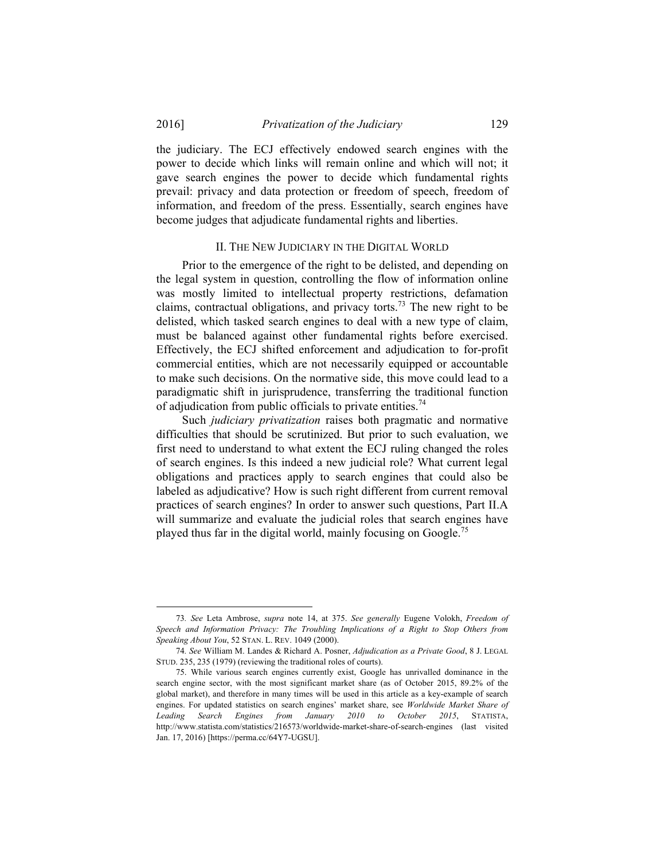the judiciary. The ECJ effectively endowed search engines with the power to decide which links will remain online and which will not; it gave search engines the power to decide which fundamental rights prevail: privacy and data protection or freedom of speech, freedom of information, and freedom of the press. Essentially, search engines have become judges that adjudicate fundamental rights and liberties.

#### II. THE NEW JUDICIARY IN THE DIGITAL WORLD

Prior to the emergence of the right to be delisted, and depending on the legal system in question, controlling the flow of information online was mostly limited to intellectual property restrictions, defamation claims, contractual obligations, and privacy torts.<sup>73</sup> The new right to be delisted, which tasked search engines to deal with a new type of claim, must be balanced against other fundamental rights before exercised. Effectively, the ECJ shifted enforcement and adjudication to for-profit commercial entities, which are not necessarily equipped or accountable to make such decisions. On the normative side, this move could lead to a paradigmatic shift in jurisprudence, transferring the traditional function of adjudication from public officials to private entities.<sup>74</sup>

Such *judiciary privatization* raises both pragmatic and normative difficulties that should be scrutinized. But prior to such evaluation, we first need to understand to what extent the ECJ ruling changed the roles of search engines. Is this indeed a new judicial role? What current legal obligations and practices apply to search engines that could also be labeled as adjudicative? How is such right different from current removal practices of search engines? In order to answer such questions, Part II.A will summarize and evaluate the judicial roles that search engines have played thus far in the digital world, mainly focusing on Google.<sup>75</sup>

 <sup>73</sup>*. See* Leta Ambrose, *supra* note 14, at 375. *See generally* Eugene Volokh, *Freedom of Speech and Information Privacy: The Troubling Implications of a Right to Stop Others from Speaking About You*, 52 STAN. L. REV. 1049 (2000).

<sup>74</sup>*. See* William M. Landes & Richard A. Posner, *Adjudication as a Private Good*, 8 J. LEGAL STUD. 235, 235 (1979) (reviewing the traditional roles of courts).

 <sup>75.</sup> While various search engines currently exist, Google has unrivalled dominance in the search engine sector, with the most significant market share (as of October 2015, 89.2% of the global market), and therefore in many times will be used in this article as a key-example of search engines. For updated statistics on search engines' market share, see *Worldwide Market Share of Leading Search Engines from January 2010 to October 2015*, STATISTA, http://www.statista.com/statistics/216573/worldwide-market-share-of-search-engines (last visited Jan. 17, 2016) [https://perma.cc/64Y7-UGSU].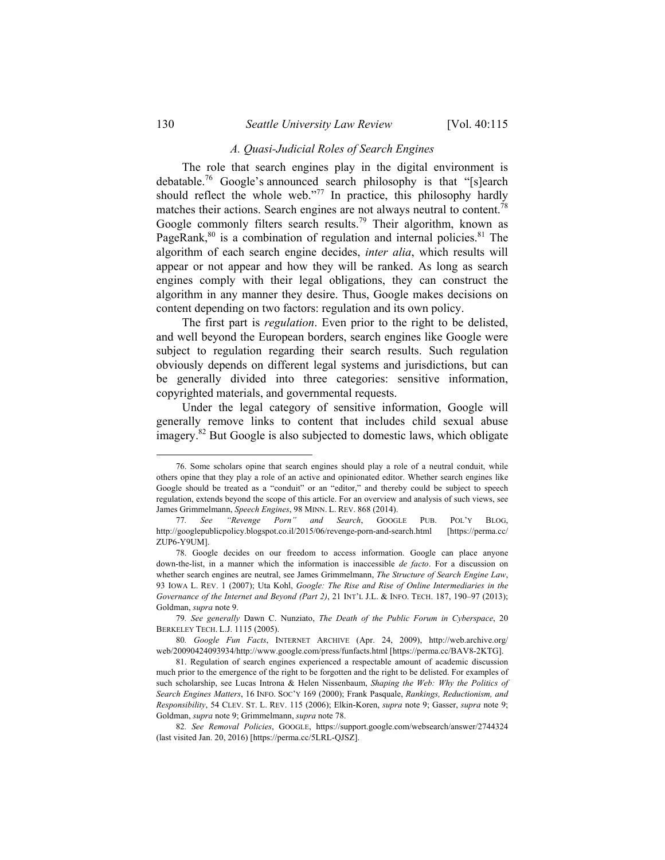#### *A. Quasi-Judicial Roles of Search Engines*

The role that search engines play in the digital environment is debatable.76 Google's announced search philosophy is that "[s]earch should reflect the whole web."<sup>77</sup> In practice, this philosophy hardly matches their actions. Search engines are not always neutral to content.<sup>78</sup> Google commonly filters search results.<sup>79</sup> Their algorithm, known as PageRank, $80$  is a combination of regulation and internal policies. $81$  The algorithm of each search engine decides, *inter alia*, which results will appear or not appear and how they will be ranked. As long as search engines comply with their legal obligations, they can construct the algorithm in any manner they desire. Thus, Google makes decisions on content depending on two factors: regulation and its own policy.

The first part is *regulation*. Even prior to the right to be delisted, and well beyond the European borders, search engines like Google were subject to regulation regarding their search results. Such regulation obviously depends on different legal systems and jurisdictions, but can be generally divided into three categories: sensitive information, copyrighted materials, and governmental requests.

Under the legal category of sensitive information, Google will generally remove links to content that includes child sexual abuse imagery.82 But Google is also subjected to domestic laws, which obligate

1

 <sup>76.</sup> Some scholars opine that search engines should play a role of a neutral conduit, while others opine that they play a role of an active and opinionated editor. Whether search engines like Google should be treated as a "conduit" or an "editor," and thereby could be subject to speech regulation, extends beyond the scope of this article. For an overview and analysis of such views, see James Grimmelmann, *Speech Engines*, 98 MINN. L. REV. 868 (2014).

<sup>77</sup>*. See "Revenge Porn" and Search*, GOOGLE PUB. POL'Y BLOG, http://googlepublicpolicy.blogspot.co.il/2015/06/revenge-porn-and-search.html [https://perma.cc/ ZUP6-Y9UM].

 <sup>78.</sup> Google decides on our freedom to access information. Google can place anyone down-the-list, in a manner which the information is inaccessible *de facto*. For a discussion on whether search engines are neutral, see James Grimmelmann, *The Structure of Search Engine Law*, 93 IOWA L. REV. 1 (2007); Uta Kohl, *Google: The Rise and Rise of Online Intermediaries in the Governance of the Internet and Beyond (Part 2)*, 21 INT'L J.L. & INFO. TECH. 187, 190–97 (2013); Goldman, *supra* note 9.

<sup>79</sup>*. See generally* Dawn C. Nunziato, *The Death of the Public Forum in Cyberspace*, 20 BERKELEY TECH. L.J. 1115 (2005).

<sup>80</sup>*. Google Fun Facts*, INTERNET ARCHIVE (Apr. 24, 2009), http://web.archive.org/ web/20090424093934/http://www.google.com/press/funfacts.html [https://perma.cc/BAV8-2KTG].

 <sup>81.</sup> Regulation of search engines experienced a respectable amount of academic discussion much prior to the emergence of the right to be forgotten and the right to be delisted. For examples of such scholarship, see Lucas Introna & Helen Nissenbaum, *Shaping the Web: Why the Politics of Search Engines Matters*, 16 INFO. SOC'Y 169 (2000); Frank Pasquale, *Rankings, Reductionism, and Responsibility*, 54 CLEV. ST. L. REV. 115 (2006); Elkin-Koren, *supra* note 9; Gasser, *supra* note 9; Goldman, *supra* note 9; Grimmelmann, *supra* note 78.

<sup>82</sup>*. See Removal Policies*, GOOGLE, https://support.google.com/websearch/answer/2744324 (last visited Jan. 20, 2016) [https://perma.cc/5LRL-QJSZ].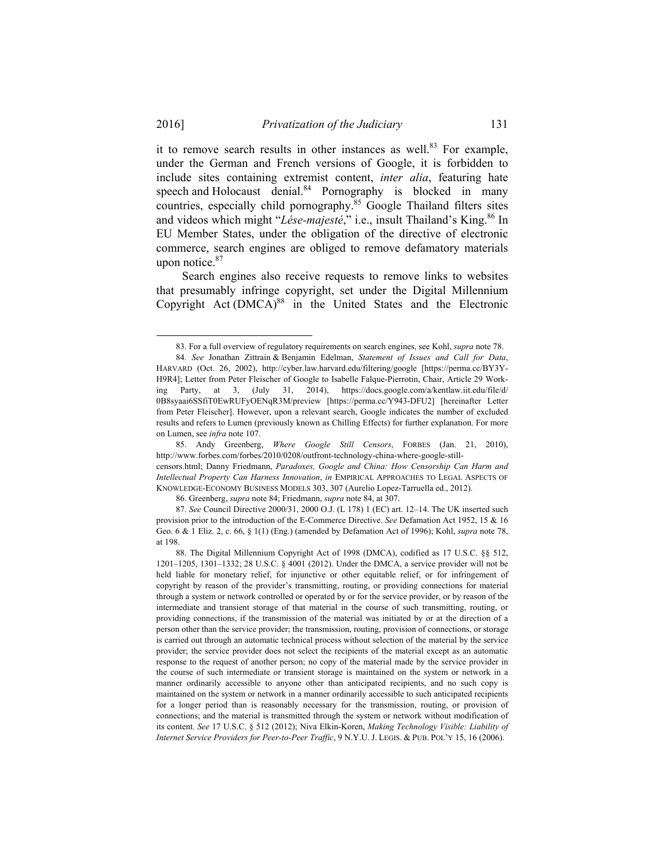l

it to remove search results in other instances as well. $83$  For example, under the German and French versions of Google, it is forbidden to include sites containing extremist content, *inter alia*, featuring hate speech and Holocaust denial. $84$  Pornography is blocked in many countries, especially child pornography.<sup>85</sup> Google Thailand filters sites and videos which might "*Lése-majesté*," i.e., insult Thailand's King.<sup>86</sup> In EU Member States, under the obligation of the directive of electronic commerce, search engines are obliged to remove defamatory materials upon notice.<sup>87</sup>

Search engines also receive requests to remove links to websites that presumably infringe copyright, set under the Digital Millennium Copyright Act  $(DMCA)^{88}$  in the United States and the Electronic

86. Greenberg, *supra* note 84; Friedmann, *supra* note 84, at 307.

 <sup>83.</sup> For a full overview of regulatory requirements on search engines, see Kohl, *supra* note 78.

<sup>84</sup>*. See* Jonathan Zittrain & Benjamin Edelman, *Statement of Issues and Call for Data*, HARVARD (Oct. 26, 2002), http://cyber.law.harvard.edu/filtering/google [https://perma.cc/BY3Y-H9R4]; Letter from Peter Fleischer of Google to Isabelle Falque-Pierrotin, Chair, Article 29 Working Party, at 3, (July 31, 2014), https://docs.google.com/a/kentlaw.iit.edu/file/d/ 0B8syaai6SSfiT0EwRUFyOENqR3M/preview [https://perma.cc/Y943-DFU2] [hereinafter Letter from Peter Fleischer]. However, upon a relevant search, Google indicates the number of excluded results and refers to Lumen (previously known as Chilling Effects) for further explanation. For more on Lumen, see *infra* note 107.

 <sup>85.</sup> Andy Greenberg, *Where Google Still Censors*, FORBES (Jan. 21, 2010), http://www.forbes.com/forbes/2010/0208/outfront-technology-china-where-google-stillcensors.html; Danny Friedmann, *Paradoxes, Google and China: How Censorship Can Harm and Intellectual Property Can Harness Innovation*, *in* EMPIRICAL APPROACHES TO LEGAL ASPECTS OF KNOWLEDGE-ECONOMY BUSINESS MODELS 303, 307 (Aurelio Lopez-Tarruella ed., 2012).

<sup>87</sup>*. See* Council Directive 2000/31, 2000 O.J. (L 178) 1 (EC) art. 12–14. The UK inserted such provision prior to the introduction of the E-Commerce Directive. *See* Defamation Act 1952, 15 & 16 Geo. 6 & 1 Eliz. 2, c. 66, § 1(1) (Eng.) (amended by Defamation Act of 1996); Kohl, *supra* note 78, at 198.

 <sup>88.</sup> The Digital Millennium Copyright Act of 1998 (DMCA), codified as 17 U.S.C. §§ 512, 1201–1205, 1301–1332; 28 U.S.C. § 4001 (2012). Under the DMCA, a service provider will not be held liable for monetary relief, for injunctive or other equitable relief, or for infringement of copyright by reason of the provider's transmitting, routing, or providing connections for material through a system or network controlled or operated by or for the service provider, or by reason of the intermediate and transient storage of that material in the course of such transmitting, routing, or providing connections, if the transmission of the material was initiated by or at the direction of a person other than the service provider; the transmission, routing, provision of connections, or storage is carried out through an automatic technical process without selection of the material by the service provider; the service provider does not select the recipients of the material except as an automatic response to the request of another person; no copy of the material made by the service provider in the course of such intermediate or transient storage is maintained on the system or network in a manner ordinarily accessible to anyone other than anticipated recipients, and no such copy is maintained on the system or network in a manner ordinarily accessible to such anticipated recipients for a longer period than is reasonably necessary for the transmission, routing, or provision of connections; and the material is transmitted through the system or network without modification of its content. *See* 17 U.S.C. § 512 (2012); Niva Elkin-Koren, *Making Technology Visible: Liability of Internet Service Providers for Peer-to-Peer Traffic*, 9 N.Y.U. J. LEGIS. & PUB. POL'Y 15, 16 (2006).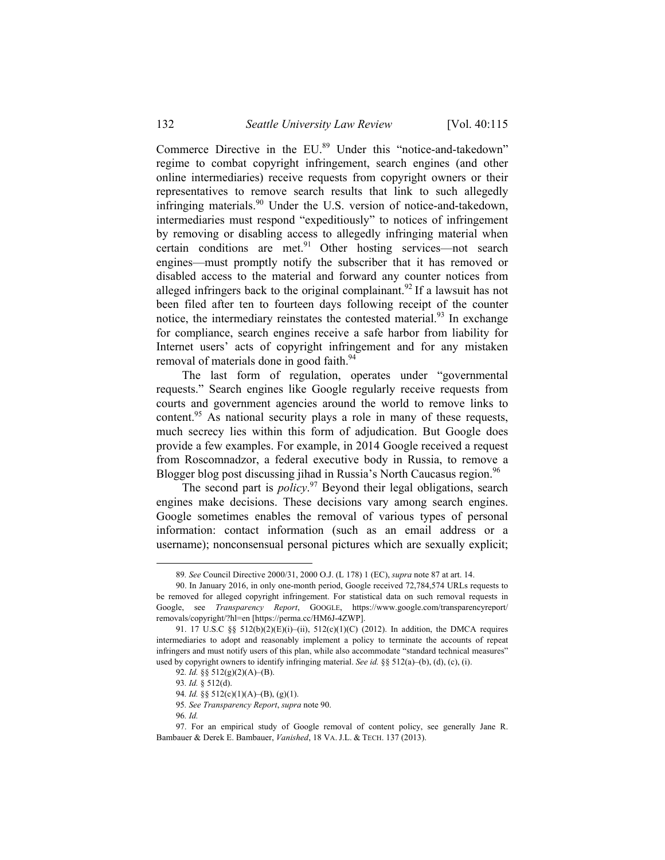Commerce Directive in the EU.<sup>89</sup> Under this "notice-and-takedown" regime to combat copyright infringement, search engines (and other online intermediaries) receive requests from copyright owners or their representatives to remove search results that link to such allegedly infringing materials.<sup>90</sup> Under the U.S. version of notice-and-takedown, intermediaries must respond "expeditiously" to notices of infringement by removing or disabling access to allegedly infringing material when certain conditions are met. $91$  Other hosting services—not search engines—must promptly notify the subscriber that it has removed or disabled access to the material and forward any counter notices from alleged infringers back to the original complainant.<sup>92</sup> If a lawsuit has not been filed after ten to fourteen days following receipt of the counter notice, the intermediary reinstates the contested material.<sup>93</sup> In exchange for compliance, search engines receive a safe harbor from liability for Internet users' acts of copyright infringement and for any mistaken removal of materials done in good faith.<sup>94</sup>

The last form of regulation, operates under "governmental requests." Search engines like Google regularly receive requests from courts and government agencies around the world to remove links to content.<sup>95</sup> As national security plays a role in many of these requests, much secrecy lies within this form of adjudication. But Google does provide a few examples. For example, in 2014 Google received a request from Roscomnadzor, a federal executive body in Russia, to remove a Blogger blog post discussing jihad in Russia's North Caucasus region.<sup>96</sup>

The second part is *policy*. 97 Beyond their legal obligations, search engines make decisions. These decisions vary among search engines. Google sometimes enables the removal of various types of personal information: contact information (such as an email address or a username); nonconsensual personal pictures which are sexually explicit;

96*. Id.*

 <sup>89</sup>*. See* Council Directive 2000/31, 2000 O.J. (L 178) 1 (EC), *supra* note 87 at art. 14.

 <sup>90.</sup> In January 2016, in only one-month period, Google received 72,784,574 URLs requests to be removed for alleged copyright infringement. For statistical data on such removal requests in Google, see *Transparency Report*, GOOGLE, https://www.google.com/transparencyreport/ removals/copyright/?hl=en [https://perma.cc/HM6J-4ZWP].

<sup>91. 17</sup> U.S.C §§ 512(b)(2)(E)(i)–(ii), 512(c)(1)(C) (2012). In addition, the DMCA requires intermediaries to adopt and reasonably implement a policy to terminate the accounts of repeat infringers and must notify users of this plan, while also accommodate "standard technical measures" used by copyright owners to identify infringing material. *See id.* §§ 512(a)–(b), (d), (c), (i).

<sup>92</sup>*. Id.* §§ 512(g)(2)(A)–(B).

<sup>93</sup>*. Id.* § 512(d).

<sup>94</sup>*. Id.* §§ 512(c)(1)(A)–(B), (g)(1).

<sup>95</sup>*. See Transparency Report*, *supra* note 90.

 <sup>97.</sup> For an empirical study of Google removal of content policy, see generally Jane R. Bambauer & Derek E. Bambauer, *Vanished*, 18 VA. J.L. & TECH. 137 (2013).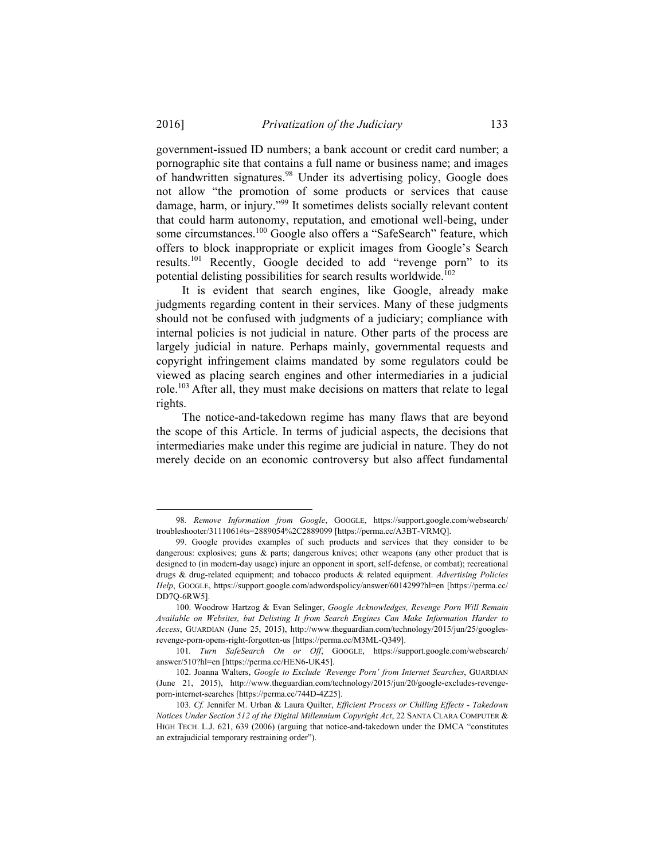government-issued ID numbers; a bank account or credit card number; a pornographic site that contains a full name or business name; and images of handwritten signatures.<sup>98</sup> Under its advertising policy, Google does not allow "the promotion of some products or services that cause damage, harm, or injury."99 It sometimes delists socially relevant content that could harm autonomy, reputation, and emotional well-being, under some circumstances.<sup>100</sup> Google also offers a "SafeSearch" feature, which offers to block inappropriate or explicit images from Google's Search results.101 Recently, Google decided to add "revenge porn" to its potential delisting possibilities for search results worldwide.<sup>102</sup>

It is evident that search engines, like Google, already make judgments regarding content in their services. Many of these judgments should not be confused with judgments of a judiciary; compliance with internal policies is not judicial in nature. Other parts of the process are largely judicial in nature. Perhaps mainly, governmental requests and copyright infringement claims mandated by some regulators could be viewed as placing search engines and other intermediaries in a judicial role.103 After all, they must make decisions on matters that relate to legal rights.

The notice-and-takedown regime has many flaws that are beyond the scope of this Article. In terms of judicial aspects, the decisions that intermediaries make under this regime are judicial in nature. They do not merely decide on an economic controversy but also affect fundamental

 <sup>98</sup>*. Remove Information from Google*, GOOGLE, https://support.google.com/websearch/ troubleshooter/3111061#ts=2889054%2C2889099 [https://perma.cc/A3BT-VRMQ].

 <sup>99.</sup> Google provides examples of such products and services that they consider to be dangerous: explosives; guns & parts; dangerous knives; other weapons (any other product that is designed to (in modern-day usage) injure an opponent in sport, self-defense, or combat); recreational drugs & drug-related equipment; and tobacco products & related equipment. *Advertising Policies Help*, GOOGLE, https://support.google.com/adwordspolicy/answer/6014299?hl=en [https://perma.cc/ DD7Q-6RW5].

 <sup>100.</sup> Woodrow Hartzog & Evan Selinger, *Google Acknowledges, Revenge Porn Will Remain Available on Websites, but Delisting It from Search Engines Can Make Information Harder to Access*, GUARDIAN (June 25, 2015), http://www.theguardian.com/technology/2015/jun/25/googlesrevenge-porn-opens-right-forgotten-us [https://perma.cc/M3ML-Q349].

<sup>101</sup>*. Turn SafeSearch On or Off*, GOOGLE, https://support.google.com/websearch/ answer/510?hl=en [https://perma.cc/HEN6-UK45].

 <sup>102.</sup> Joanna Walters, *Google to Exclude 'Revenge Porn' from Internet Searches*, GUARDIAN (June 21, 2015), http://www.theguardian.com/technology/2015/jun/20/google-excludes-revengeporn-internet-searches [https://perma.cc/744D-4Z25].

<sup>103</sup>*. Cf.* Jennifer M. Urban & Laura Quilter, *Efficient Process or Chilling Effects - Takedown Notices Under Section 512 of the Digital Millennium Copyright Act*, 22 SANTA CLARA COMPUTER & HIGH TECH. L.J. 621, 639 (2006) (arguing that notice-and-takedown under the DMCA "constitutes an extrajudicial temporary restraining order").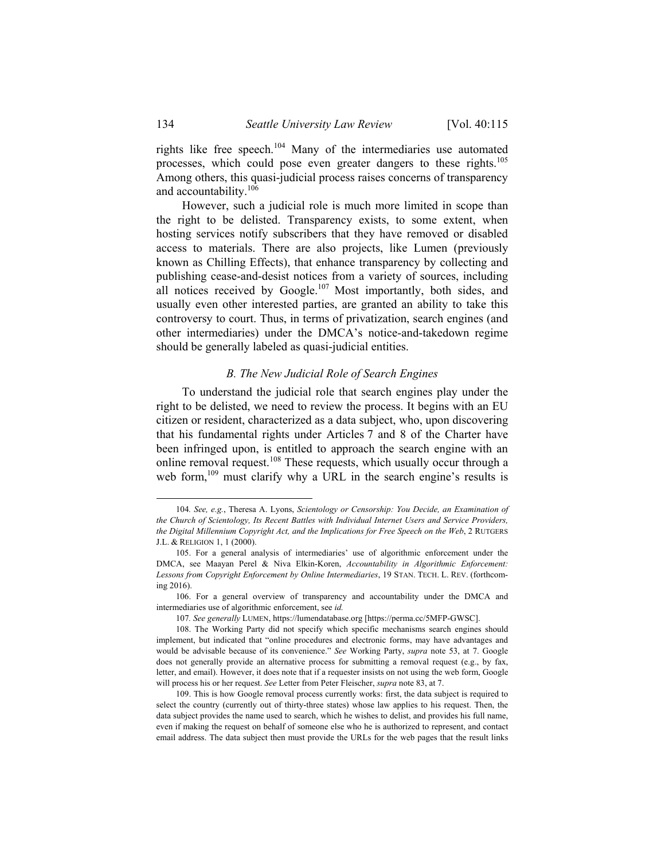rights like free speech.<sup>104</sup> Many of the intermediaries use automated processes, which could pose even greater dangers to these rights.105 Among others, this quasi-judicial process raises concerns of transparency and accountability.106

However, such a judicial role is much more limited in scope than the right to be delisted. Transparency exists, to some extent, when hosting services notify subscribers that they have removed or disabled access to materials. There are also projects, like Lumen (previously known as Chilling Effects), that enhance transparency by collecting and publishing cease-and-desist notices from a variety of sources, including all notices received by Google.<sup>107</sup> Most importantly, both sides, and usually even other interested parties, are granted an ability to take this controversy to court. Thus, in terms of privatization, search engines (and other intermediaries) under the DMCA's notice-and-takedown regime should be generally labeled as quasi-judicial entities.

#### *B. The New Judicial Role of Search Engines*

To understand the judicial role that search engines play under the right to be delisted, we need to review the process. It begins with an EU citizen or resident, characterized as a data subject, who, upon discovering that his fundamental rights under Articles 7 and 8 of the Charter have been infringed upon, is entitled to approach the search engine with an online removal request.<sup>108</sup> These requests, which usually occur through a web form,<sup>109</sup> must clarify why a URL in the search engine's results is

 <sup>104</sup>*. See, e.g.*, Theresa A. Lyons, *Scientology or Censorship: You Decide, an Examination of the Church of Scientology, Its Recent Battles with Individual Internet Users and Service Providers, the Digital Millennium Copyright Act, and the Implications for Free Speech on the Web*, 2 RUTGERS J.L. & RELIGION 1, 1 (2000).

 <sup>105.</sup> For a general analysis of intermediaries' use of algorithmic enforcement under the DMCA, see Maayan Perel & Niva Elkin-Koren, *Accountability in Algorithmic Enforcement: Lessons from Copyright Enforcement by Online Intermediaries*, 19 STAN. TECH. L. REV. (forthcoming 2016).

 <sup>106.</sup> For a general overview of transparency and accountability under the DMCA and intermediaries use of algorithmic enforcement, see *id.*

<sup>107</sup>*. See generally* LUMEN, https://lumendatabase.org [https://perma.cc/5MFP-GWSC].

 <sup>108.</sup> The Working Party did not specify which specific mechanisms search engines should implement, but indicated that "online procedures and electronic forms, may have advantages and would be advisable because of its convenience." *See* Working Party, *supra* note 53, at 7. Google does not generally provide an alternative process for submitting a removal request (e.g., by fax, letter, and email). However, it does note that if a requester insists on not using the web form, Google will process his or her request. *See* Letter from Peter Fleischer, *supra* note 83, at 7.

 <sup>109.</sup> This is how Google removal process currently works: first, the data subject is required to select the country (currently out of thirty-three states) whose law applies to his request. Then, the data subject provides the name used to search, which he wishes to delist, and provides his full name, even if making the request on behalf of someone else who he is authorized to represent, and contact email address. The data subject then must provide the URLs for the web pages that the result links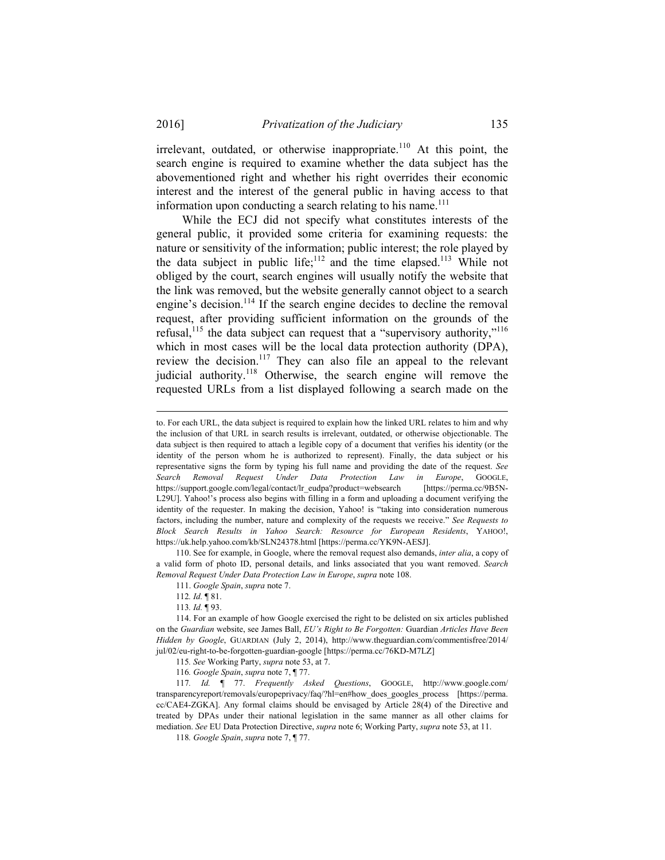irrelevant, outdated, or otherwise inappropriate.<sup>110</sup> At this point, the search engine is required to examine whether the data subject has the abovementioned right and whether his right overrides their economic interest and the interest of the general public in having access to that information upon conducting a search relating to his name. $^{111}$ 

While the ECJ did not specify what constitutes interests of the general public, it provided some criteria for examining requests: the nature or sensitivity of the information; public interest; the role played by the data subject in public life;<sup>112</sup> and the time elapsed.<sup>113</sup> While not obliged by the court, search engines will usually notify the website that the link was removed, but the website generally cannot object to a search engine's decision.<sup>114</sup> If the search engine decides to decline the removal request, after providing sufficient information on the grounds of the refusal,<sup>115</sup> the data subject can request that a "supervisory authority,"<sup>116</sup> which in most cases will be the local data protection authority (DPA), review the decision.<sup>117</sup> They can also file an appeal to the relevant judicial authority.<sup>118</sup> Otherwise, the search engine will remove the requested URLs from a list displayed following a search made on the

 110. See for example, in Google, where the removal request also demands, *inter alia*, a copy of a valid form of photo ID, personal details, and links associated that you want removed. *Search Removal Request Under Data Protection Law in Europe*, *supra* note 108.

 114. For an example of how Google exercised the right to be delisted on six articles published on the *Guardian* website, see James Ball, *EU's Right to Be Forgotten:* Guardian *Articles Have Been Hidden by Google*, GUARDIAN (July 2, 2014), http://www.theguardian.com/commentisfree/2014/ jul/02/eu-right-to-be-forgotten-guardian-google [https://perma.cc/76KD-M7LZ]

115*. See* Working Party, *supra* note 53, at 7.

117*. Id.* ¶ 77. *Frequently Asked Questions*, GOOGLE, http://www.google.com/ transparencyreport/removals/europeprivacy/faq/?hl=en#how\_does\_googles\_process [https://perma. cc/CAE4-ZGKA]. Any formal claims should be envisaged by Article 28(4) of the Directive and treated by DPAs under their national legislation in the same manner as all other claims for mediation. *See* EU Data Protection Directive, *supra* note 6; Working Party, *supra* note 53, at 11.

118*. Google Spain*, *supra* note 7, ¶ 77.

to. For each URL, the data subject is required to explain how the linked URL relates to him and why the inclusion of that URL in search results is irrelevant, outdated, or otherwise objectionable. The data subject is then required to attach a legible copy of a document that verifies his identity (or the identity of the person whom he is authorized to represent). Finally, the data subject or his representative signs the form by typing his full name and providing the date of the request. *See Search Removal Request Under Data Protection Law in Europe*, GOOGLE, https://support.google.com/legal/contact/lr\_eudpa?product=websearch [https://perma.cc/9B5N-L29U]. Yahoo!'s process also begins with filling in a form and uploading a document verifying the identity of the requester. In making the decision, Yahoo! is "taking into consideration numerous factors, including the number, nature and complexity of the requests we receive." *See Requests to Block Search Results in Yahoo Search: Resource for European Residents*, YAHOO!, https://uk.help.yahoo.com/kb/SLN24378.html [https://perma.cc/YK9N-AESJ].

 <sup>111.</sup> *Google Spain*, *supra* note 7.

<sup>112</sup>*. Id.* ¶ 81.

<sup>113</sup>*. Id.* ¶ 93.

<sup>116</sup>*. Google Spain*, *supra* note 7, ¶ 77.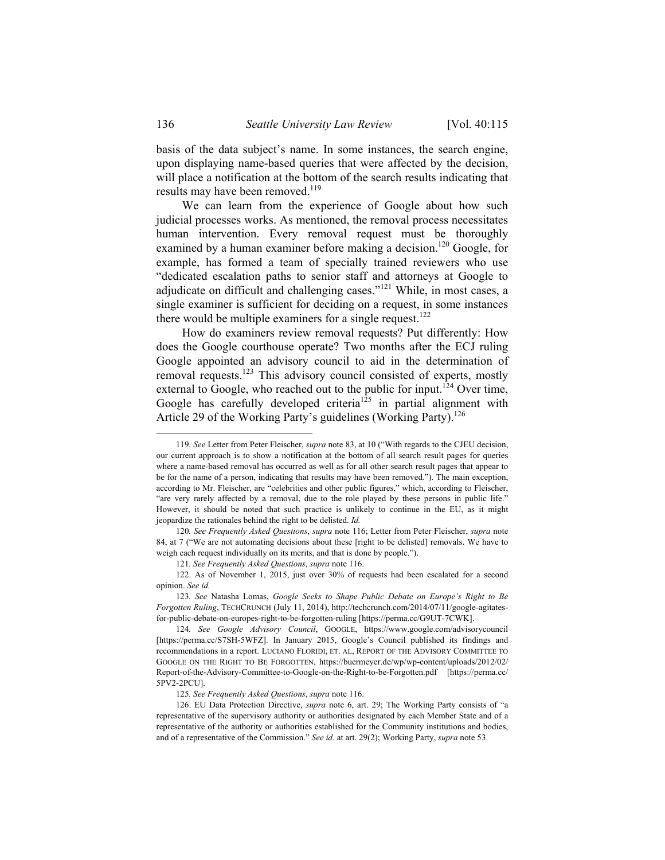basis of the data subject's name. In some instances, the search engine, upon displaying name-based queries that were affected by the decision, will place a notification at the bottom of the search results indicating that results may have been removed.<sup>119</sup>

We can learn from the experience of Google about how such judicial processes works. As mentioned, the removal process necessitates human intervention. Every removal request must be thoroughly examined by a human examiner before making a decision.<sup>120</sup> Google, for example, has formed a team of specially trained reviewers who use "dedicated escalation paths to senior staff and attorneys at Google to adjudicate on difficult and challenging cases."<sup>121</sup> While, in most cases, a single examiner is sufficient for deciding on a request, in some instances there would be multiple examiners for a single request.<sup>122</sup>

How do examiners review removal requests? Put differently: How does the Google courthouse operate? Two months after the ECJ ruling Google appointed an advisory council to aid in the determination of removal requests.<sup>123</sup> This advisory council consisted of experts, mostly external to Google, who reached out to the public for input.<sup>124</sup> Over time, Google has carefully developed criteria<sup>125</sup> in partial alignment with Article 29 of the Working Party's guidelines (Working Party).<sup>126</sup>

 <sup>119</sup>*. See* Letter from Peter Fleischer, *supra* note 83, at 10 ("With regards to the CJEU decision, our current approach is to show a notification at the bottom of all search result pages for queries where a name-based removal has occurred as well as for all other search result pages that appear to be for the name of a person, indicating that results may have been removed."). The main exception, according to Mr. Fleischer, are "celebrities and other public figures," which, according to Fleischer, "are very rarely affected by a removal, due to the role played by these persons in public life." However, it should be noted that such practice is unlikely to continue in the EU, as it might jeopardize the rationales behind the right to be delisted. *Id.*

<sup>120</sup>*. See Frequently Asked Questions*, *supra* note 116; Letter from Peter Fleischer, *supra* note 84, at 7 ("We are not automating decisions about these [right to be delisted] removals. We have to weigh each request individually on its merits, and that is done by people.").

<sup>121</sup>*. See Frequently Asked Questions*, *supra* note 116.

 <sup>122.</sup> As of November 1, 2015, just over 30% of requests had been escalated for a second opinion. *See id.*

<sup>123</sup>*. See* Natasha Lomas, *Google Seeks to Shape Public Debate on Europe's Right to Be Forgotten Ruling*, TECHCRUNCH (July 11, 2014), http://techcrunch.com/2014/07/11/google-agitatesfor-public-debate-on-europes-right-to-be-forgotten-ruling [https://perma.cc/G9UT-7CWK].

<sup>124</sup>*. See Google Advisory Council*, GOOGLE, https://www.google.com/advisorycouncil [https://perma.cc/S7SH-5WFZ]. In January 2015, Google's Council published its findings and recommendations in a report. LUCIANO FLORIDI, ET. AL, REPORT OF THE ADVISORY COMMITTEE TO GOOGLE ON THE RIGHT TO BE FORGOTTEN, https://buermeyer.de/wp/wp-content/uploads/2012/02/ Report-of-the-Advisory-Committee-to-Google-on-the-Right-to-be-Forgotten.pdf [https://perma.cc/ 5PV2-2PCU].

<sup>125</sup>*. See Frequently Asked Questions*, *supra* note 116.

 <sup>126.</sup> EU Data Protection Directive, *supra* note 6, art. 29; The Working Party consists of "a representative of the supervisory authority or authorities designated by each Member State and of a representative of the authority or authorities established for the Community institutions and bodies, and of a representative of the Commission." *See id.* at art. 29(2); Working Party, *supra* note 53.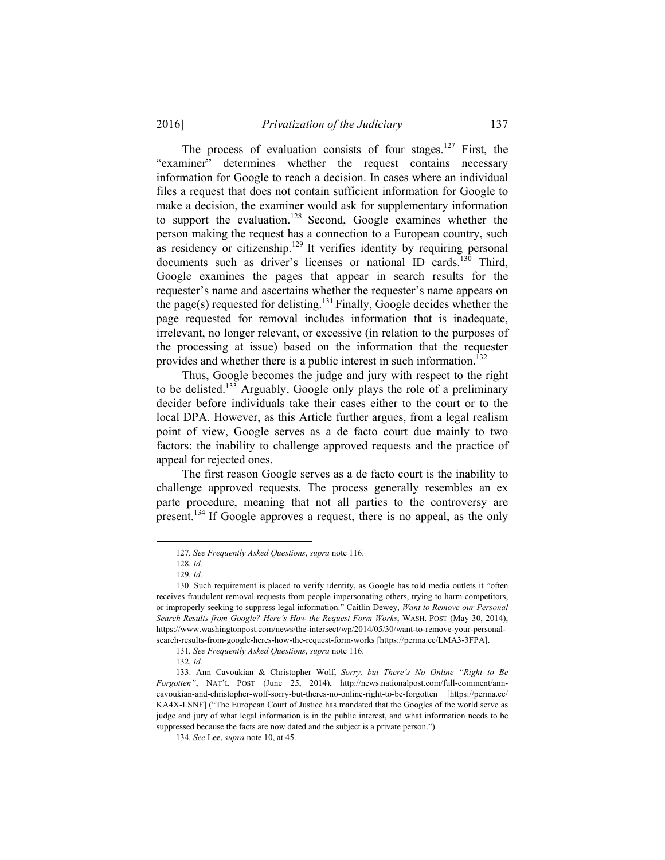The process of evaluation consists of four stages.<sup>127</sup> First, the "examiner" determines whether the request contains necessary information for Google to reach a decision. In cases where an individual files a request that does not contain sufficient information for Google to make a decision, the examiner would ask for supplementary information to support the evaluation.<sup>128</sup> Second, Google examines whether the person making the request has a connection to a European country, such as residency or citizenship.<sup>129</sup> It verifies identity by requiring personal documents such as driver's licenses or national ID cards.<sup>130</sup> Third, Google examines the pages that appear in search results for the requester's name and ascertains whether the requester's name appears on the page(s) requested for delisting.<sup>131</sup> Finally, Google decides whether the page requested for removal includes information that is inadequate, irrelevant, no longer relevant, or excessive (in relation to the purposes of the processing at issue) based on the information that the requester provides and whether there is a public interest in such information.<sup>132</sup>

Thus, Google becomes the judge and jury with respect to the right to be delisted.133 Arguably, Google only plays the role of a preliminary decider before individuals take their cases either to the court or to the local DPA. However, as this Article further argues, from a legal realism point of view, Google serves as a de facto court due mainly to two factors: the inability to challenge approved requests and the practice of appeal for rejected ones.

The first reason Google serves as a de facto court is the inability to challenge approved requests. The process generally resembles an ex parte procedure, meaning that not all parties to the controversy are present.134 If Google approves a request, there is no appeal, as the only

 <sup>127</sup>*. See Frequently Asked Questions*, *supra* note 116.

<sup>128</sup>*. Id.*

<sup>129</sup>*. Id.*

 <sup>130.</sup> Such requirement is placed to verify identity, as Google has told media outlets it "often receives fraudulent removal requests from people impersonating others, trying to harm competitors, or improperly seeking to suppress legal information." Caitlin Dewey, *Want to Remove our Personal Search Results from Google? Here's How the Request Form Works*, WASH. POST (May 30, 2014), https://www.washingtonpost.com/news/the-intersect/wp/2014/05/30/want-to-remove-your-personalsearch-results-from-google-heres-how-the-request-form-works [https://perma.cc/LMA3-3FPA].

<sup>131</sup>*. See Frequently Asked Questions*, *supra* note 116.

<sup>132</sup>*. Id.*

 <sup>133.</sup> Ann Cavoukian & Christopher Wolf, *Sorry, but There's No Online "Right to Be Forgotten"*, NAT'L POST (June 25, 2014), http://news.nationalpost.com/full-comment/anncavoukian-and-christopher-wolf-sorry-but-theres-no-online-right-to-be-forgotten [https://perma.cc/ KA4X-LSNF] ("The European Court of Justice has mandated that the Googles of the world serve as judge and jury of what legal information is in the public interest, and what information needs to be suppressed because the facts are now dated and the subject is a private person.").

<sup>134</sup>*. See* Lee, *supra* note 10, at 45.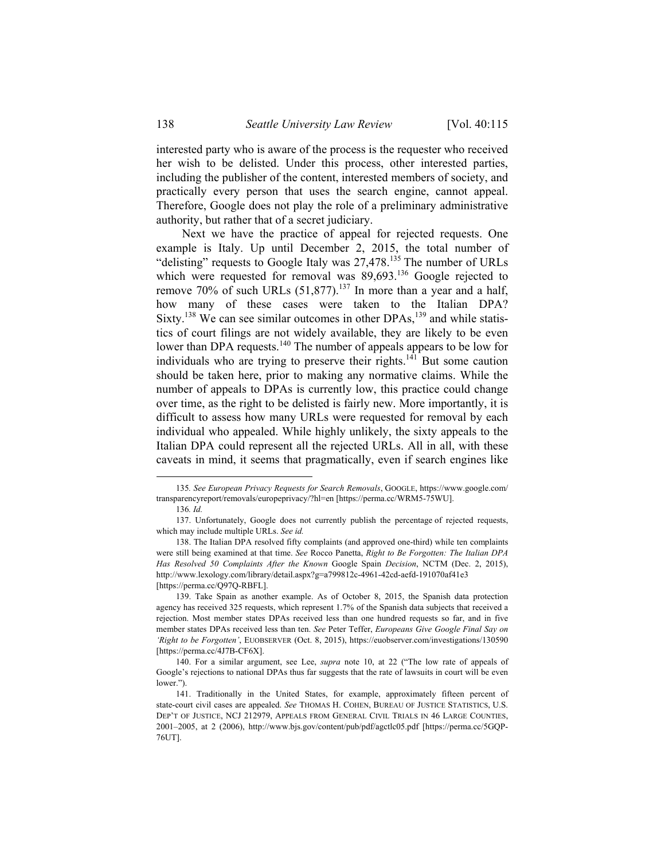interested party who is aware of the process is the requester who received her wish to be delisted. Under this process, other interested parties, including the publisher of the content, interested members of society, and practically every person that uses the search engine, cannot appeal. Therefore, Google does not play the role of a preliminary administrative authority, but rather that of a secret judiciary.

Next we have the practice of appeal for rejected requests. One example is Italy. Up until December 2, 2015, the total number of "delisting" requests to Google Italy was 27,478.<sup>135</sup> The number of URLs which were requested for removal was 89,693.<sup>136</sup> Google rejected to remove 70% of such URLs  $(51,877)$ .<sup>137</sup> In more than a year and a half, how many of these cases were taken to the Italian DPA? Sixty.<sup>138</sup> We can see similar outcomes in other  $DPAs$ , <sup>139</sup> and while statistics of court filings are not widely available, they are likely to be even lower than DPA requests.<sup>140</sup> The number of appeals appears to be low for individuals who are trying to preserve their rights.<sup>141</sup> But some caution should be taken here, prior to making any normative claims. While the number of appeals to DPAs is currently low, this practice could change over time, as the right to be delisted is fairly new. More importantly, it is difficult to assess how many URLs were requested for removal by each individual who appealed. While highly unlikely, the sixty appeals to the Italian DPA could represent all the rejected URLs. All in all, with these caveats in mind, it seems that pragmatically, even if search engines like

 <sup>135</sup>*. See European Privacy Requests for Search Removals*, GOOGLE, https://www.google.com/ transparencyreport/removals/europeprivacy/?hl=en [https://perma.cc/WRM5-75WU].

<sup>136</sup>*. Id.*

 <sup>137.</sup> Unfortunately, Google does not currently publish the percentage of rejected requests, which may include multiple URLs. *See id.* 

 <sup>138.</sup> The Italian DPA resolved fifty complaints (and approved one-third) while ten complaints were still being examined at that time. *See* Rocco Panetta, *Right to Be Forgotten: The Italian DPA Has Resolved 50 Complaints After the Known* Google Spain *Decision*, NCTM (Dec. 2, 2015), http://www.lexology.com/library/detail.aspx?g=a799812c-4961-42cd-aefd-191070af41e3 [https://perma.cc/Q97Q-RBFL].

 <sup>139.</sup> Take Spain as another example. As of October 8, 2015, the Spanish data protection agency has received 325 requests, which represent 1.7% of the Spanish data subjects that received a rejection. Most member states DPAs received less than one hundred requests so far, and in five member states DPAs received less than ten. *See* Peter Teffer, *Europeans Give Google Final Say on 'Right to be Forgotten'*, EUOBSERVER (Oct. 8, 2015), https://euobserver.com/investigations/130590 [https://perma.cc/4J7B-CF6X].

 <sup>140.</sup> For a similar argument, see Lee, *supra* note 10, at 22 ("The low rate of appeals of Google's rejections to national DPAs thus far suggests that the rate of lawsuits in court will be even lower.").

 <sup>141.</sup> Traditionally in the United States, for example, approximately fifteen percent of state-court civil cases are appealed. *See* THOMAS H. COHEN, BUREAU OF JUSTICE STATISTICS, U.S. DEP'T OF JUSTICE, NCJ 212979, APPEALS FROM GENERAL CIVIL TRIALS IN 46 LARGE COUNTIES, 2001–2005, at 2 (2006), http://www.bjs.gov/content/pub/pdf/agctlc05.pdf [https://perma.cc/5GQP-76UT].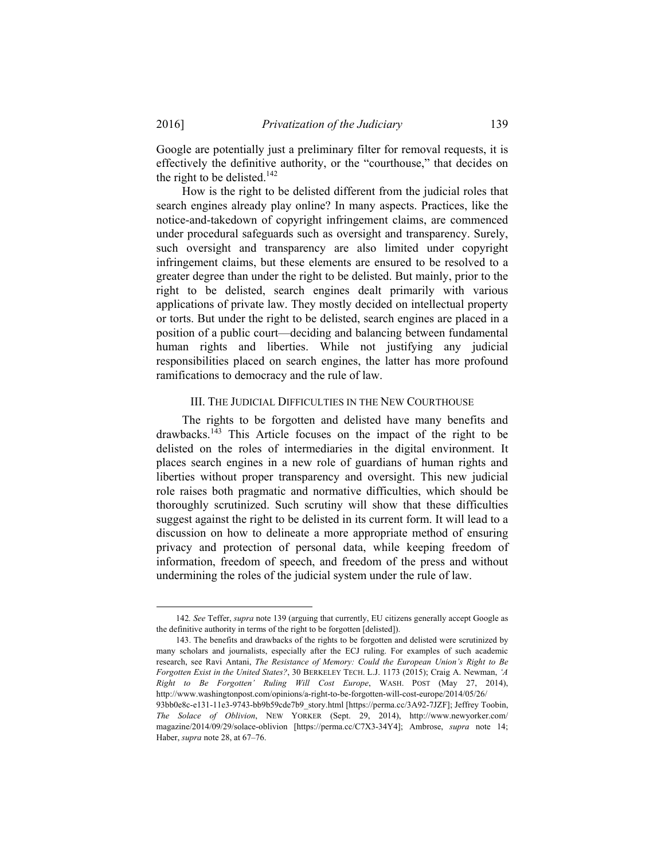Google are potentially just a preliminary filter for removal requests, it is effectively the definitive authority, or the "courthouse," that decides on the right to be delisted.<sup>142</sup>

How is the right to be delisted different from the judicial roles that search engines already play online? In many aspects. Practices, like the notice-and-takedown of copyright infringement claims, are commenced under procedural safeguards such as oversight and transparency. Surely, such oversight and transparency are also limited under copyright infringement claims, but these elements are ensured to be resolved to a greater degree than under the right to be delisted. But mainly, prior to the right to be delisted, search engines dealt primarily with various applications of private law. They mostly decided on intellectual property or torts. But under the right to be delisted, search engines are placed in a position of a public court—deciding and balancing between fundamental human rights and liberties. While not justifying any judicial responsibilities placed on search engines, the latter has more profound ramifications to democracy and the rule of law.

#### III. THE JUDICIAL DIFFICULTIES IN THE NEW COURTHOUSE

The rights to be forgotten and delisted have many benefits and drawbacks.<sup>143</sup> This Article focuses on the impact of the right to be delisted on the roles of intermediaries in the digital environment. It places search engines in a new role of guardians of human rights and liberties without proper transparency and oversight. This new judicial role raises both pragmatic and normative difficulties, which should be thoroughly scrutinized. Such scrutiny will show that these difficulties suggest against the right to be delisted in its current form. It will lead to a discussion on how to delineate a more appropriate method of ensuring privacy and protection of personal data, while keeping freedom of information, freedom of speech, and freedom of the press and without undermining the roles of the judicial system under the rule of law.

 143. The benefits and drawbacks of the rights to be forgotten and delisted were scrutinized by many scholars and journalists, especially after the ECJ ruling. For examples of such academic research, see Ravi Antani, *The Resistance of Memory: Could the European Union's Right to Be Forgotten Exist in the United States?*, 30 BERKELEY TECH. L.J. 1173 (2015); Craig A. Newman, *'A Right to Be Forgotten' Ruling Will Cost Europe*, WASH. POST (May 27, 2014), http://www.washingtonpost.com/opinions/a-right-to-be-forgotten-will-cost-europe/2014/05/26/ 93bb0e8c-e131-11e3-9743-bb9b59cde7b9\_story.html [https://perma.cc/3A92-7JZF]; Jeffrey Toobin, *The Solace of Oblivion*, NEW YORKER (Sept. 29, 2014), http://www.newyorker.com/ magazine/2014/09/29/solace-oblivion [https://perma.cc/C7X3-34Y4]; Ambrose, *supra* note 14; Haber, *supra* note 28, at 67–76.

 <sup>142</sup>*. See* Teffer, *supra* note 139 (arguing that currently, EU citizens generally accept Google as the definitive authority in terms of the right to be forgotten [delisted]).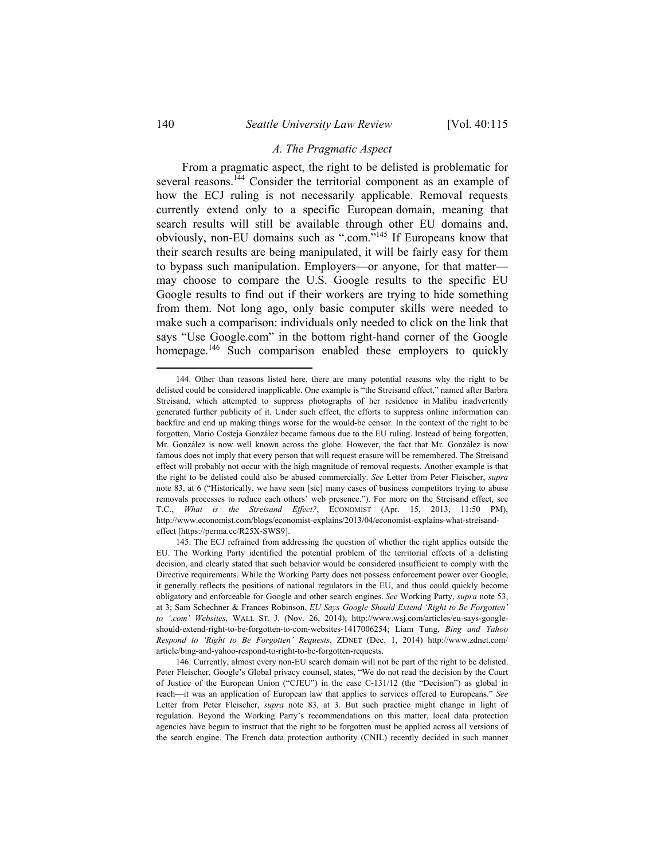#### *A. The Pragmatic Aspect*

From a pragmatic aspect, the right to be delisted is problematic for several reasons.<sup>144</sup> Consider the territorial component as an example of how the ECJ ruling is not necessarily applicable. Removal requests currently extend only to a specific European domain, meaning that search results will still be available through other EU domains and, obviously, non-EU domains such as ".com."145 If Europeans know that their search results are being manipulated, it will be fairly easy for them to bypass such manipulation. Employers—or anyone, for that matter may choose to compare the U.S. Google results to the specific EU Google results to find out if their workers are trying to hide something from them. Not long ago, only basic computer skills were needed to make such a comparison: individuals only needed to click on the link that says "Use Google.com" in the bottom right-hand corner of the Google homepage.<sup>146</sup> Such comparison enabled these employers to quickly

 <sup>144.</sup> Other than reasons listed here, there are many potential reasons why the right to be delisted could be considered inapplicable. One example is "the Streisand effect," named after Barbra Streisand, which attempted to suppress photographs of her residence in Malibu inadvertently generated further publicity of it. Under such effect, the efforts to suppress online information can backfire and end up making things worse for the would-be censor. In the context of the right to be forgotten, Mario Costeja González became famous due to the EU ruling. Instead of being forgotten, Mr. González is now well known across the globe. However, the fact that Mr. González is now famous does not imply that every person that will request erasure will be remembered. The Streisand effect will probably not occur with the high magnitude of removal requests. Another example is that the right to be delisted could also be abused commercially. *See* Letter from Peter Fleischer, *supra* note 83, at 6 ("Historically, we have seen [sic] many cases of business competitors trying to abuse removals processes to reduce each others' web presence."). For more on the Streisand effect, see T.C., *What is the Streisand Effect?*, ECONOMIST (Apr. 15, 2013, 11:50 PM), http://www.economist.com/blogs/economist-explains/2013/04/economist-explains-what-streisandeffect [https://perma.cc/R25X-SWS9].

 <sup>145.</sup> The ECJ refrained from addressing the question of whether the right applies outside the EU. The Working Party identified the potential problem of the territorial effects of a delisting decision, and clearly stated that such behavior would be considered insufficient to comply with the Directive requirements. While the Working Party does not possess enforcement power over Google, it generally reflects the positions of national regulators in the EU, and thus could quickly become obligatory and enforceable for Google and other search engines. *See* Working Party, *supra* note 53, at 3; Sam Schechner & Frances Robinson, *EU Says Google Should Extend 'Right to Be Forgotten' to '.com' Websites*, WALL ST. J. (Nov. 26, 2014), http://www.wsj.com/articles/eu-says-googleshould-extend-right-to-be-forgotten-to-com-websites-1417006254; Liam Tung, *Bing and Yahoo Respond to 'Right to Be Forgotten' Requests*, ZDNET (Dec. 1, 2014) http://www.zdnet.com/ article/bing-and-yahoo-respond-to-right-to-be-forgotten-requests.

 <sup>146.</sup> Currently, almost every non-EU search domain will not be part of the right to be delisted. Peter Fleischer, Google's Global privacy counsel, states, "We do not read the decision by the Court of Justice of the European Union ("CJEU") in the case C-131/12 (the "Decision") as global in reach—it was an application of European law that applies to services offered to Europeans." *See*  Letter from Peter Fleischer, *supra* note 83, at 3. But such practice might change in light of regulation. Beyond the Working Party's recommendations on this matter, local data protection agencies have begun to instruct that the right to be forgotten must be applied across all versions of the search engine. The French data protection authority (CNIL) recently decided in such manner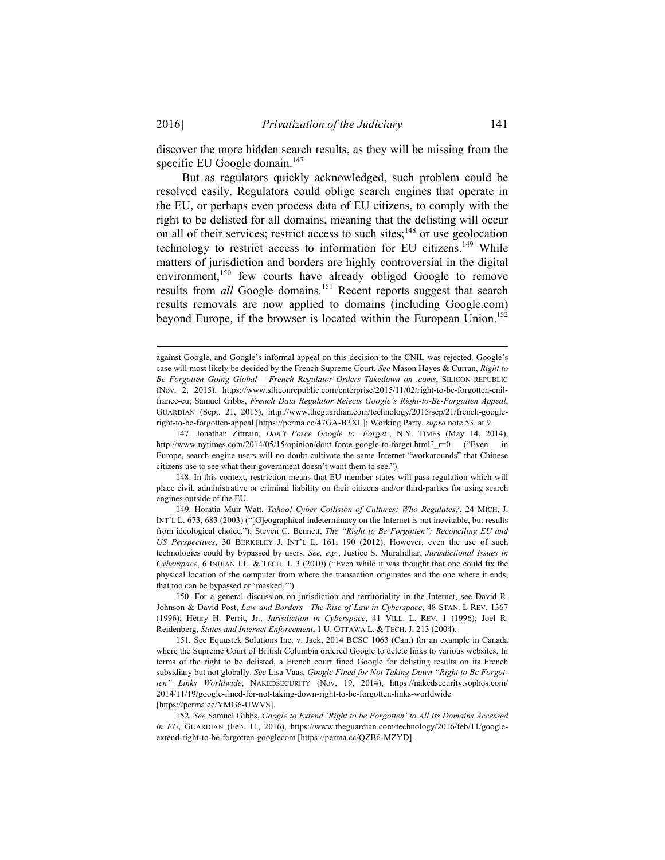discover the more hidden search results, as they will be missing from the specific EU Google domain.<sup>147</sup>

But as regulators quickly acknowledged, such problem could be resolved easily. Regulators could oblige search engines that operate in the EU, or perhaps even process data of EU citizens, to comply with the right to be delisted for all domains, meaning that the delisting will occur on all of their services; restrict access to such sites; $148$  or use geolocation technology to restrict access to information for EU citizens.<sup>149</sup> While matters of jurisdiction and borders are highly controversial in the digital environment,<sup>150</sup> few courts have already obliged Google to remove results from *all* Google domains.<sup>151</sup> Recent reports suggest that search results removals are now applied to domains (including Google.com) beyond Europe, if the browser is located within the European Union.<sup>152</sup>

1

against Google, and Google's informal appeal on this decision to the CNIL was rejected. Google's case will most likely be decided by the French Supreme Court. *See* Mason Hayes & Curran, *Right to Be Forgotten Going Global – French Regulator Orders Takedown on .coms*, SILICON REPUBLIC (Nov. 2, 2015), https://www.siliconrepublic.com/enterprise/2015/11/02/right-to-be-forgotten-cnilfrance-eu; Samuel Gibbs, *French Data Regulator Rejects Google's Right-to-Be-Forgotten Appeal*, GUARDIAN (Sept. 21, 2015), http://www.theguardian.com/technology/2015/sep/21/french-googleright-to-be-forgotten-appeal [https://perma.cc/47GA-B3XL]; Working Party, *supra* note 53, at 9.

 <sup>147.</sup> Jonathan Zittrain, *Don't Force Google to 'Forget'*, N.Y. TIMES (May 14, 2014), http://www.nytimes.com/2014/05/15/opinion/dont-force-google-to-forget.html? r=0 ("Even in Europe, search engine users will no doubt cultivate the same Internet "workarounds" that Chinese citizens use to see what their government doesn't want them to see.").

 <sup>148.</sup> In this context, restriction means that EU member states will pass regulation which will place civil, administrative or criminal liability on their citizens and/or third-parties for using search engines outside of the EU.

 <sup>149.</sup> Horatia Muir Watt, *Yahoo! Cyber Collision of Cultures: Who Regulates?*, 24 MICH. J. INT'L L. 673, 683 (2003) ("[G]eographical indeterminacy on the Internet is not inevitable, but results from ideological choice."); Steven C. Bennett, *The "Right to Be Forgotten": Reconciling EU and US Perspectives*, 30 BERKELEY J. INT'L L. 161, 190 (2012). However, even the use of such technologies could by bypassed by users. *See, e.g.*, Justice S. Muralidhar, *Jurisdictional Issues in Cyberspace*, 6 INDIAN J.L. & TECH. 1, 3 (2010) ("Even while it was thought that one could fix the physical location of the computer from where the transaction originates and the one where it ends, that too can be bypassed or 'masked.'").

 <sup>150.</sup> For a general discussion on jurisdiction and territoriality in the Internet, see David R. Johnson & David Post, *Law and Borders—The Rise of Law in Cyberspace*, 48 STAN. L REV. 1367 (1996); Henry H. Perrit, Jr., *Jurisdiction in Cyberspace*, 41 VILL. L. REV. 1 (1996); Joel R. Reidenberg, *States and Internet Enforcement*, 1 U. OTTAWA L. & TECH. J. 213 (2004).

<sup>151</sup>*.* See Equustek Solutions Inc. v. Jack, 2014 BCSC 1063 (Can.) for an example in Canada where the Supreme Court of British Columbia ordered Google to delete links to various websites. In terms of the right to be delisted, a French court fined Google for delisting results on its French subsidiary but not globally. *See* Lisa Vaas, *Google Fined for Not Taking Down "Right to Be Forgotten" Links Worldwide*, NAKEDSECURITY (Nov. 19, 2014), https://nakedsecurity.sophos.com/ 2014/11/19/google-fined-for-not-taking-down-right-to-be-forgotten-links-worldwide [https://perma.cc/YMG6-UWVS].

<sup>152</sup>*. See* Samuel Gibbs, *Google to Extend 'Right to be Forgotten' to All Its Domains Accessed in EU*, GUARDIAN (Feb. 11, 2016), https://www.theguardian.com/technology/2016/feb/11/googleextend-right-to-be-forgotten-googlecom [https://perma.cc/QZB6-MZYD].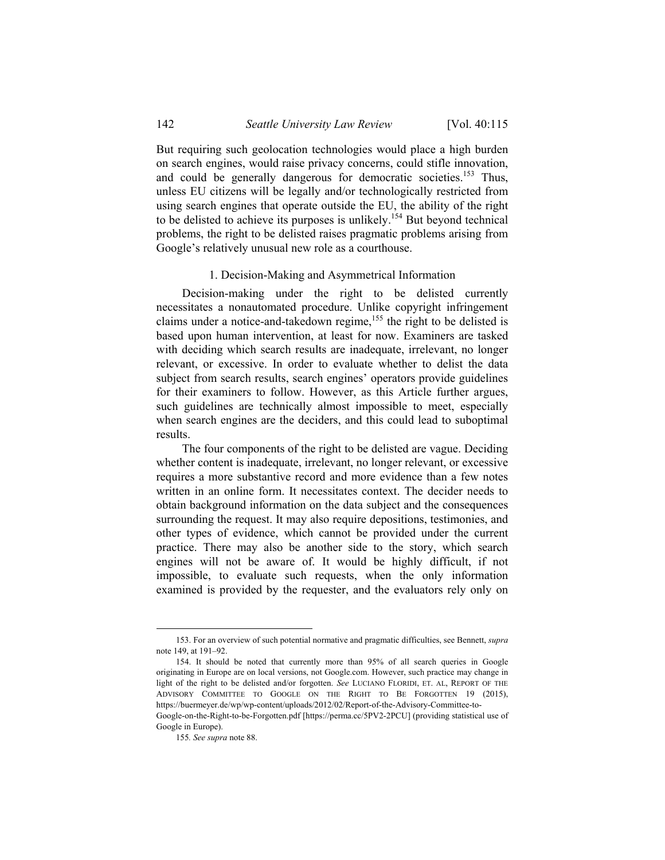But requiring such geolocation technologies would place a high burden on search engines, would raise privacy concerns, could stifle innovation, and could be generally dangerous for democratic societies.<sup>153</sup> Thus, unless EU citizens will be legally and/or technologically restricted from using search engines that operate outside the EU, the ability of the right to be delisted to achieve its purposes is unlikely.<sup>154</sup> But beyond technical problems, the right to be delisted raises pragmatic problems arising from Google's relatively unusual new role as a courthouse.

#### 1. Decision-Making and Asymmetrical Information

Decision-making under the right to be delisted currently necessitates a nonautomated procedure. Unlike copyright infringement claims under a notice-and-takedown regime,<sup>155</sup> the right to be delisted is based upon human intervention, at least for now. Examiners are tasked with deciding which search results are inadequate, irrelevant, no longer relevant, or excessive. In order to evaluate whether to delist the data subject from search results, search engines' operators provide guidelines for their examiners to follow. However, as this Article further argues, such guidelines are technically almost impossible to meet, especially when search engines are the deciders, and this could lead to suboptimal results.

The four components of the right to be delisted are vague. Deciding whether content is inadequate, irrelevant, no longer relevant, or excessive requires a more substantive record and more evidence than a few notes written in an online form. It necessitates context. The decider needs to obtain background information on the data subject and the consequences surrounding the request. It may also require depositions, testimonies, and other types of evidence, which cannot be provided under the current practice. There may also be another side to the story, which search engines will not be aware of. It would be highly difficult, if not impossible, to evaluate such requests, when the only information examined is provided by the requester, and the evaluators rely only on

 <sup>153.</sup> For an overview of such potential normative and pragmatic difficulties, see Bennett, *supra*  note 149, at 191–92.

 <sup>154.</sup> It should be noted that currently more than 95% of all search queries in Google originating in Europe are on local versions, not Google.com. However, such practice may change in light of the right to be delisted and/or forgotten. *See* LUCIANO FLORIDI, ET. AL, REPORT OF THE ADVISORY COMMITTEE TO GOOGLE ON THE RIGHT TO BE FORGOTTEN 19 (2015), https://buermeyer.de/wp/wp-content/uploads/2012/02/Report-of-the-Advisory-Committee-to-

Google-on-the-Right-to-be-Forgotten.pdf [https://perma.cc/5PV2-2PCU] (providing statistical use of Google in Europe).

<sup>155</sup>*. See supra* note 88.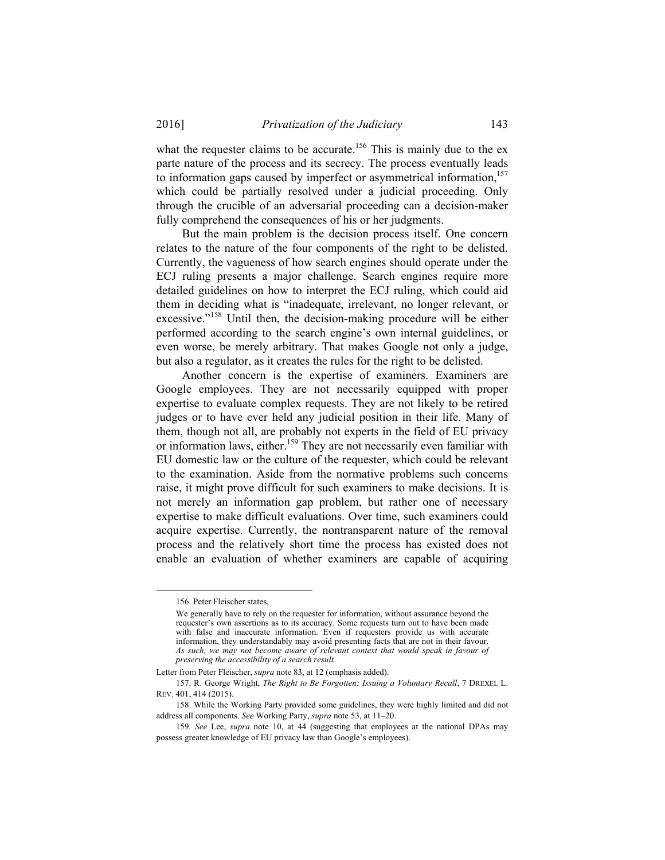what the requester claims to be accurate.<sup>156</sup> This is mainly due to the ex parte nature of the process and its secrecy. The process eventually leads to information gaps caused by imperfect or asymmetrical information,<sup>157</sup> which could be partially resolved under a judicial proceeding. Only through the crucible of an adversarial proceeding can a decision-maker fully comprehend the consequences of his or her judgments.

But the main problem is the decision process itself. One concern relates to the nature of the four components of the right to be delisted. Currently, the vagueness of how search engines should operate under the ECJ ruling presents a major challenge. Search engines require more detailed guidelines on how to interpret the ECJ ruling, which could aid them in deciding what is "inadequate, irrelevant, no longer relevant, or excessive."158 Until then, the decision-making procedure will be either performed according to the search engine's own internal guidelines, or even worse, be merely arbitrary. That makes Google not only a judge, but also a regulator, as it creates the rules for the right to be delisted.

Another concern is the expertise of examiners. Examiners are Google employees. They are not necessarily equipped with proper expertise to evaluate complex requests. They are not likely to be retired judges or to have ever held any judicial position in their life. Many of them, though not all, are probably not experts in the field of EU privacy or information laws, either.<sup>159</sup> They are not necessarily even familiar with EU domestic law or the culture of the requester, which could be relevant to the examination. Aside from the normative problems such concerns raise, it might prove difficult for such examiners to make decisions. It is not merely an information gap problem, but rather one of necessary expertise to make difficult evaluations. Over time, such examiners could acquire expertise. Currently, the nontransparent nature of the removal process and the relatively short time the process has existed does not enable an evaluation of whether examiners are capable of acquiring

 <sup>156.</sup> Peter Fleischer states,

We generally have to rely on the requester for information, without assurance beyond the requester's own assertions as to its accuracy. Some requests turn out to have been made with false and inaccurate information. Even if requesters provide us with accurate information, they understandably may avoid presenting facts that are not in their favour. *As such, we may not become aware of relevant context that would speak in favour of preserving the accessibility of a search result.*

Letter from Peter Fleischer, *supra* note 83, at 12 (emphasis added).

 <sup>157.</sup> R. George Wright, *The Right to Be Forgotten: Issuing a Voluntary Recall*, 7 DREXEL L. REV. 401, 414 (2015).

 <sup>158.</sup> While the Working Party provided some guidelines, they were highly limited and did not address all components. *See* Working Party, *supra* note 53, at 11–20.

<sup>159</sup>*. See* Lee, *supra* note 10, at 44 (suggesting that employees at the national DPAs may possess greater knowledge of EU privacy law than Google's employees).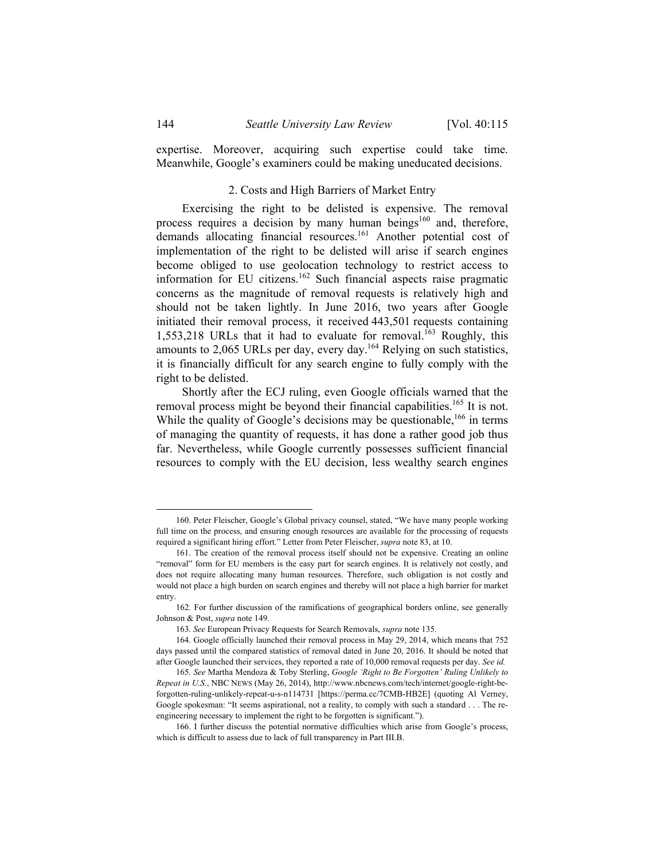expertise. Moreover, acquiring such expertise could take time. Meanwhile, Google's examiners could be making uneducated decisions.

#### 2. Costs and High Barriers of Market Entry

Exercising the right to be delisted is expensive. The removal process requires a decision by many human beings<sup>160</sup> and, therefore, demands allocating financial resources.<sup>161</sup> Another potential cost of implementation of the right to be delisted will arise if search engines become obliged to use geolocation technology to restrict access to information for EU citizens.<sup>162</sup> Such financial aspects raise pragmatic concerns as the magnitude of removal requests is relatively high and should not be taken lightly. In June 2016, two years after Google initiated their removal process, it received 443,501 requests containing 1,553,218 URLs that it had to evaluate for removal.<sup>163</sup> Roughly, this amounts to 2,065 URLs per day, every day.<sup>164</sup> Relying on such statistics, it is financially difficult for any search engine to fully comply with the right to be delisted.

Shortly after the ECJ ruling, even Google officials warned that the removal process might be beyond their financial capabilities.<sup>165</sup> It is not. While the quality of Google's decisions may be questionable,  $166$  in terms of managing the quantity of requests, it has done a rather good job thus far. Nevertheless, while Google currently possesses sufficient financial resources to comply with the EU decision, less wealthy search engines

 <sup>160.</sup> Peter Fleischer, Google's Global privacy counsel, stated, "We have many people working full time on the process, and ensuring enough resources are available for the processing of requests required a significant hiring effort." Letter from Peter Fleischer, *supra* note 83, at 10.

 <sup>161.</sup> The creation of the removal process itself should not be expensive. Creating an online "removal" form for EU members is the easy part for search engines. It is relatively not costly, and does not require allocating many human resources. Therefore, such obligation is not costly and would not place a high burden on search engines and thereby will not place a high barrier for market entry.

<sup>162</sup>*.* For further discussion of the ramifications of geographical borders online, see generally Johnson & Post, *supra* note 149.

<sup>163</sup>*. See* European Privacy Requests for Search Removals, *supra* note 135.

 <sup>164.</sup> Google officially launched their removal process in May 29, 2014, which means that 752 days passed until the compared statistics of removal dated in June 20, 2016. It should be noted that after Google launched their services, they reported a rate of 10,000 removal requests per day. *See id.*

<sup>165</sup>*. See* Martha Mendoza & Toby Sterling, *Google 'Right to Be Forgotten' Ruling Unlikely to Repeat in U.S.*, NBC NEWS (May 26, 2014), http://www.nbcnews.com/tech/internet/google-right-beforgotten-ruling-unlikely-repeat-u-s-n114731 [https://perma.cc/7CMB-HB2E] (quoting Al Verney, Google spokesman: "It seems aspirational, not a reality, to comply with such a standard . . . The reengineering necessary to implement the right to be forgotten is significant.").

 <sup>166.</sup> I further discuss the potential normative difficulties which arise from Google's process, which is difficult to assess due to lack of full transparency in Part III.B.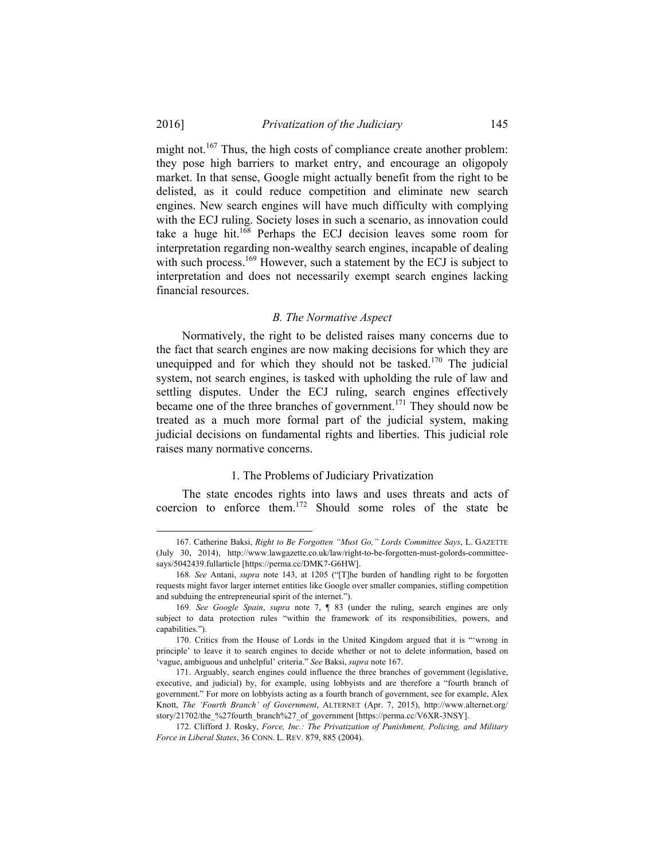1

might not.<sup>167</sup> Thus, the high costs of compliance create another problem: they pose high barriers to market entry, and encourage an oligopoly market. In that sense, Google might actually benefit from the right to be delisted, as it could reduce competition and eliminate new search engines. New search engines will have much difficulty with complying with the ECJ ruling. Society loses in such a scenario, as innovation could take a huge hit.168 Perhaps the ECJ decision leaves some room for interpretation regarding non-wealthy search engines, incapable of dealing with such process.<sup>169</sup> However, such a statement by the ECJ is subject to interpretation and does not necessarily exempt search engines lacking financial resources.

#### *B. The Normative Aspect*

Normatively, the right to be delisted raises many concerns due to the fact that search engines are now making decisions for which they are unequipped and for which they should not be tasked.<sup>170</sup> The judicial system, not search engines, is tasked with upholding the rule of law and settling disputes. Under the ECJ ruling, search engines effectively became one of the three branches of government.<sup>171</sup> They should now be treated as a much more formal part of the judicial system, making judicial decisions on fundamental rights and liberties. This judicial role raises many normative concerns.

#### 1. The Problems of Judiciary Privatization

The state encodes rights into laws and uses threats and acts of coercion to enforce them.172 Should some roles of the state be

 <sup>167.</sup> Catherine Baksi, *Right to Be Forgotten "Must Go," Lords Committee Says*, L. GAZETTE (July 30, 2014), http://www.lawgazette.co.uk/law/right-to-be-forgotten-must-golords-committeesays/5042439.fullarticle [https://perma.cc/DMK7-G6HW].

<sup>168</sup>*. See* Antani, *supra* note 143, at 1205 ("[T]he burden of handling right to be forgotten requests might favor larger internet entities like Google over smaller companies, stifling competition and subduing the entrepreneurial spirit of the internet.").

<sup>169</sup>*. See Google Spain*, *supra* note 7, ¶ 83 (under the ruling, search engines are only subject to data protection rules "within the framework of its responsibilities, powers, and capabilities.").

 <sup>170.</sup> Critics from the House of Lords in the United Kingdom argued that it is "'wrong in principle' to leave it to search engines to decide whether or not to delete information, based on 'vague, ambiguous and unhelpful' criteria." *See* Baksi, *supra* note 167.

 <sup>171.</sup> Arguably, search engines could influence the three branches of government (legislative, executive, and judicial) by, for example, using lobbyists and are therefore a "fourth branch of government." For more on lobbyists acting as a fourth branch of government, see for example, Alex Knott, *The 'Fourth Branch' of Government*, ALTERNET (Apr. 7, 2015), http://www.alternet.org/ story/21702/the\_%27fourth\_branch%27\_of\_government [https://perma.cc/V6XR-3NSY].

 <sup>172.</sup> Clifford J. Rosky, *Force, Inc.: The Privatization of Punishment, Policing, and Military Force in Liberal States*, 36 CONN. L. REV. 879, 885 (2004).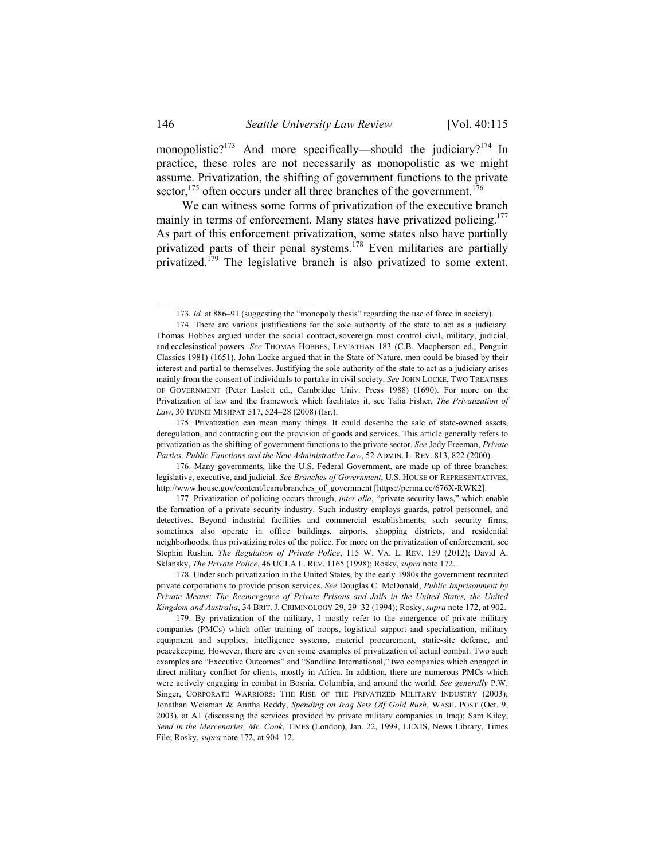monopolistic?<sup>173</sup> And more specifically—should the judiciary?<sup>174</sup> In practice, these roles are not necessarily as monopolistic as we might assume. Privatization, the shifting of government functions to the private sector, $175$  often occurs under all three branches of the government.<sup>176</sup>

We can witness some forms of privatization of the executive branch mainly in terms of enforcement. Many states have privatized policing.<sup>177</sup> As part of this enforcement privatization, some states also have partially privatized parts of their penal systems.<sup>178</sup> Even militaries are partially privatized.<sup>179</sup> The legislative branch is also privatized to some extent.

 <sup>173</sup>*. Id.* at 886–91 (suggesting the "monopoly thesis" regarding the use of force in society).

 <sup>174.</sup> There are various justifications for the sole authority of the state to act as a judiciary. Thomas Hobbes argued under the social contract, sovereign must control civil, military, judicial, and ecclesiastical powers. *See* THOMAS HOBBES, LEVIATHAN 183 (C.B. Macpherson ed., Penguin Classics 1981) (1651). John Locke argued that in the State of Nature, men could be biased by their interest and partial to themselves. Justifying the sole authority of the state to act as a judiciary arises mainly from the consent of individuals to partake in civil society. *See* JOHN LOCKE, TWO TREATISES OF GOVERNMENT (Peter Laslett ed., Cambridge Univ. Press 1988) (1690). For more on the Privatization of law and the framework which facilitates it, see Talia Fisher, *The Privatization of Law*, 30 IYUNEI MISHPAT 517, 524–28 (2008) (Isr.).

 <sup>175.</sup> Privatization can mean many things. It could describe the sale of state-owned assets, deregulation, and contracting out the provision of goods and services. This article generally refers to privatization as the shifting of government functions to the private sector. *See* Jody Freeman, *Private Parties, Public Functions and the New Administrative Law*, 52 ADMIN. L. REV. 813, 822 (2000).

 <sup>176.</sup> Many governments, like the U.S. Federal Government, are made up of three branches: legislative, executive, and judicial. *See Branches of Government*, U.S. HOUSE OF REPRESENTATIVES, http://www.house.gov/content/learn/branches\_of\_government [https://perma.cc/676X-RWK2].

 <sup>177.</sup> Privatization of policing occurs through, *inter alia*, "private security laws," which enable the formation of a private security industry. Such industry employs guards, patrol personnel, and detectives. Beyond industrial facilities and commercial establishments, such security firms, sometimes also operate in office buildings, airports, shopping districts, and residential neighborhoods, thus privatizing roles of the police. For more on the privatization of enforcement, see Stephin Rushin, *The Regulation of Private Police*, 115 W. VA. L. REV. 159 (2012); David A. Sklansky, *The Private Police*, 46 UCLA L. REV. 1165 (1998); Rosky, *supra* note 172.

 <sup>178.</sup> Under such privatization in the United States, by the early 1980s the government recruited private corporations to provide prison services. *See* Douglas C. McDonald, *Public Imprisonment by Private Means: The Reemergence of Private Prisons and Jails in the United States, the United Kingdom and Australia*, 34 BRIT. J. CRIMINOLOGY 29, 29–32 (1994); Rosky, *supra* note 172, at 902.

 <sup>179.</sup> By privatization of the military, I mostly refer to the emergence of private military companies (PMCs) which offer training of troops, logistical support and specialization, military equipment and supplies, intelligence systems, materiel procurement, static-site defense, and peacekeeping. However, there are even some examples of privatization of actual combat. Two such examples are "Executive Outcomes" and "Sandline International," two companies which engaged in direct military conflict for clients, mostly in Africa. In addition, there are numerous PMCs which were actively engaging in combat in Bosnia, Columbia, and around the world. *See generally* P.W. Singer, CORPORATE WARRIORS: THE RISE OF THE PRIVATIZED MILITARY INDUSTRY (2003); Jonathan Weisman & Anitha Reddy, *Spending on Iraq Sets Off Gold Rush*, WASH. POST (Oct. 9, 2003), at A1 (discussing the services provided by private military companies in Iraq); Sam Kiley, *Send in the Mercenaries, Mr. Cook*, TIMES (London), Jan. 22, 1999, LEXIS, News Library, Times File; Rosky, *supra* note 172, at 904–12.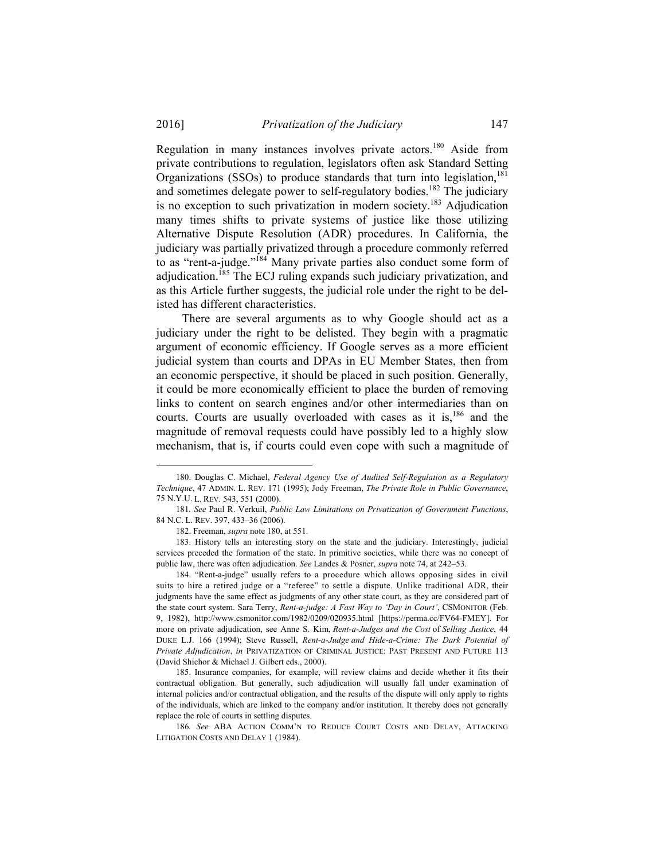Regulation in many instances involves private actors.<sup>180</sup> Aside from private contributions to regulation, legislators often ask Standard Setting Organizations (SSOs) to produce standards that turn into legislation, $181$ and sometimes delegate power to self-regulatory bodies.<sup>182</sup> The judiciary is no exception to such privatization in modern society.<sup>183</sup> Adjudication many times shifts to private systems of justice like those utilizing Alternative Dispute Resolution (ADR) procedures. In California, the judiciary was partially privatized through a procedure commonly referred to as "rent-a-judge."184 Many private parties also conduct some form of adjudication.<sup>185</sup> The ECJ ruling expands such judiciary privatization, and as this Article further suggests, the judicial role under the right to be delisted has different characteristics.

There are several arguments as to why Google should act as a judiciary under the right to be delisted. They begin with a pragmatic argument of economic efficiency. If Google serves as a more efficient judicial system than courts and DPAs in EU Member States, then from an economic perspective, it should be placed in such position. Generally, it could be more economically efficient to place the burden of removing links to content on search engines and/or other intermediaries than on courts. Courts are usually overloaded with cases as it is,<sup>186</sup> and the magnitude of removal requests could have possibly led to a highly slow mechanism, that is, if courts could even cope with such a magnitude of

 184. "Rent-a-judge" usually refers to a procedure which allows opposing sides in civil suits to hire a retired judge or a "referee" to settle a dispute. Unlike traditional ADR, their judgments have the same effect as judgments of any other state court, as they are considered part of the state court system. Sara Terry, *Rent-a-judge: A Fast Way to 'Day in Court'*, CSMONITOR (Feb. 9, 1982), http://www.csmonitor.com/1982/0209/020935.html [https://perma.cc/FV64-FMEY]. For more on private adjudication, see Anne S. Kim, *Rent-a-Judges and the Cost* of *Selling Justice*, 44 DUKE L.J. 166 (1994); Steve Russell, *Rent-a-Judge and Hide-a-Crime: The Dark Potential of Private Adjudication*, *in* PRIVATIZATION OF CRIMINAL JUSTICE: PAST PRESENT AND FUTURE 113 (David Shichor & Michael J. Gilbert eds., 2000).

 185. Insurance companies, for example, will review claims and decide whether it fits their contractual obligation. But generally, such adjudication will usually fall under examination of internal policies and/or contractual obligation, and the results of the dispute will only apply to rights of the individuals, which are linked to the company and/or institution. It thereby does not generally replace the role of courts in settling disputes.

186*. See* ABA ACTION COMM'N TO REDUCE COURT COSTS AND DELAY, ATTACKING LITIGATION COSTS AND DELAY 1 (1984).

 <sup>180.</sup> Douglas C. Michael, *Federal Agency Use of Audited Self-Regulation as a Regulatory Technique*, 47 ADMIN. L. REV. 171 (1995); Jody Freeman, *The Private Role in Public Governance*, 75 N.Y.U. L. REV. 543, 551 (2000).

<sup>181</sup>*. See* Paul R. Verkuil, *Public Law Limitations on Privatization of Government Functions*, 84 N.C. L. REV. 397, 433–36 (2006).

 <sup>182.</sup> Freeman, *supra* note 180, at 551.

 <sup>183.</sup> History tells an interesting story on the state and the judiciary. Interestingly, judicial services preceded the formation of the state. In primitive societies, while there was no concept of public law, there was often adjudication. *See* Landes & Posner, *supra* note 74, at 242–53.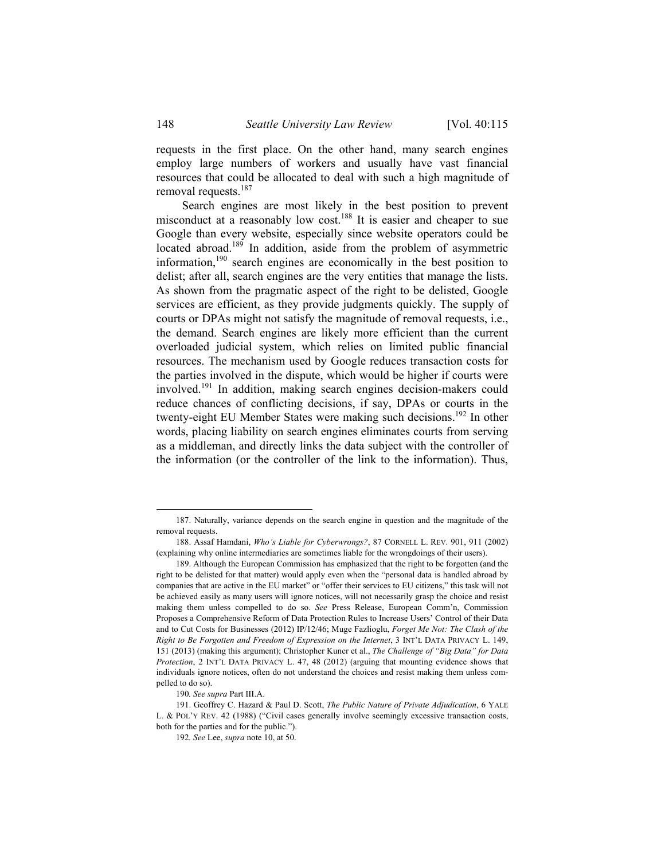requests in the first place. On the other hand, many search engines employ large numbers of workers and usually have vast financial resources that could be allocated to deal with such a high magnitude of removal requests.<sup>187</sup>

Search engines are most likely in the best position to prevent misconduct at a reasonably low cost.<sup>188</sup> It is easier and cheaper to sue Google than every website, especially since website operators could be located abroad.<sup>189</sup> In addition, aside from the problem of asymmetric information,190 search engines are economically in the best position to delist; after all, search engines are the very entities that manage the lists. As shown from the pragmatic aspect of the right to be delisted, Google services are efficient, as they provide judgments quickly. The supply of courts or DPAs might not satisfy the magnitude of removal requests, i.e., the demand. Search engines are likely more efficient than the current overloaded judicial system, which relies on limited public financial resources. The mechanism used by Google reduces transaction costs for the parties involved in the dispute, which would be higher if courts were involved.191 In addition, making search engines decision-makers could reduce chances of conflicting decisions, if say, DPAs or courts in the twenty-eight EU Member States were making such decisions.<sup>192</sup> In other words, placing liability on search engines eliminates courts from serving as a middleman, and directly links the data subject with the controller of the information (or the controller of the link to the information). Thus,

 <sup>187.</sup> Naturally, variance depends on the search engine in question and the magnitude of the removal requests.

 <sup>188.</sup> Assaf Hamdani, *Who's Liable for Cyberwrongs?*, 87 CORNELL L. REV. 901, 911 (2002) (explaining why online intermediaries are sometimes liable for the wrongdoings of their users).

 <sup>189.</sup> Although the European Commission has emphasized that the right to be forgotten (and the right to be delisted for that matter) would apply even when the "personal data is handled abroad by companies that are active in the EU market" or "offer their services to EU citizens," this task will not be achieved easily as many users will ignore notices, will not necessarily grasp the choice and resist making them unless compelled to do so. *See* Press Release, European Comm'n, Commission Proposes a Comprehensive Reform of Data Protection Rules to Increase Users' Control of their Data and to Cut Costs for Businesses (2012) IP/12/46; Muge Fazlioglu, *Forget Me Not: The Clash of the Right to Be Forgotten and Freedom of Expression on the Internet*, 3 INT'L DATA PRIVACY L. 149, 151 (2013) (making this argument); Christopher Kuner et al., *The Challenge of "Big Data" for Data Protection*, 2 INT'L DATA PRIVACY L. 47, 48 (2012) (arguing that mounting evidence shows that individuals ignore notices, often do not understand the choices and resist making them unless compelled to do so).

<sup>190</sup>*. See supra* Part III.A.

 <sup>191.</sup> Geoffrey C. Hazard & Paul D. Scott, *The Public Nature of Private Adjudication*, 6 YALE L. & POL'Y REV. 42 (1988) ("Civil cases generally involve seemingly excessive transaction costs, both for the parties and for the public.").

<sup>192</sup>*. See* Lee, *supra* note 10, at 50.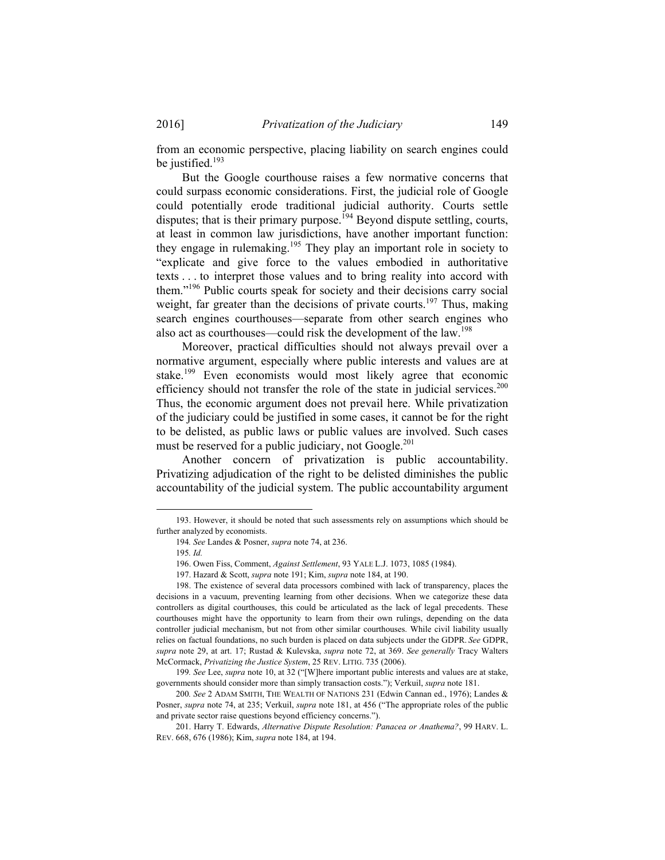from an economic perspective, placing liability on search engines could be justified.<sup>193</sup>

But the Google courthouse raises a few normative concerns that could surpass economic considerations. First, the judicial role of Google could potentially erode traditional judicial authority. Courts settle disputes; that is their primary purpose.<sup>194</sup> Beyond dispute settling, courts, at least in common law jurisdictions, have another important function: they engage in rulemaking.195 They play an important role in society to "explicate and give force to the values embodied in authoritative texts . . . to interpret those values and to bring reality into accord with them."196 Public courts speak for society and their decisions carry social weight, far greater than the decisions of private courts.<sup>197</sup> Thus, making search engines courthouses—separate from other search engines who also act as courthouses—could risk the development of the law.198

Moreover, practical difficulties should not always prevail over a normative argument, especially where public interests and values are at stake.<sup>199</sup> Even economists would most likely agree that economic efficiency should not transfer the role of the state in judicial services.<sup>200</sup> Thus, the economic argument does not prevail here. While privatization of the judiciary could be justified in some cases, it cannot be for the right to be delisted, as public laws or public values are involved. Such cases must be reserved for a public judiciary, not Google.<sup>201</sup>

Another concern of privatization is public accountability. Privatizing adjudication of the right to be delisted diminishes the public accountability of the judicial system. The public accountability argument

 <sup>193.</sup> However, it should be noted that such assessments rely on assumptions which should be further analyzed by economists.

<sup>194</sup>*. See* Landes & Posner, *supra* note 74, at 236.

<sup>195</sup>*. Id.*

 <sup>196.</sup> Owen Fiss, Comment, *Against Settlement*, 93 YALE L.J. 1073, 1085 (1984).

 <sup>197.</sup> Hazard & Scott, *supra* note 191; Kim, *supra* note 184, at 190.

 <sup>198.</sup> The existence of several data processors combined with lack of transparency, places the decisions in a vacuum, preventing learning from other decisions. When we categorize these data controllers as digital courthouses, this could be articulated as the lack of legal precedents. These courthouses might have the opportunity to learn from their own rulings, depending on the data controller judicial mechanism, but not from other similar courthouses. While civil liability usually relies on factual foundations, no such burden is placed on data subjects under the GDPR. *See* GDPR, *supra* note 29, at art. 17; Rustad & Kulevska, *supra* note 72, at 369. *See generally* Tracy Walters McCormack, *Privatizing the Justice System*, 25 REV. LITIG. 735 (2006).

<sup>199</sup>*. See* Lee, *supra* note 10, at 32 ("[W]here important public interests and values are at stake, governments should consider more than simply transaction costs."); Verkuil, *supra* note 181.

<sup>200</sup>*. See* 2 ADAM SMITH, THE WEALTH OF NATIONS 231 (Edwin Cannan ed., 1976); Landes & Posner, *supra* note 74, at 235; Verkuil, *supra* note 181, at 456 ("The appropriate roles of the public and private sector raise questions beyond efficiency concerns.").

 <sup>201.</sup> Harry T. Edwards, *Alternative Dispute Resolution: Panacea or Anathema?*, 99 HARV. L. REV. 668, 676 (1986); Kim, *supra* note 184, at 194.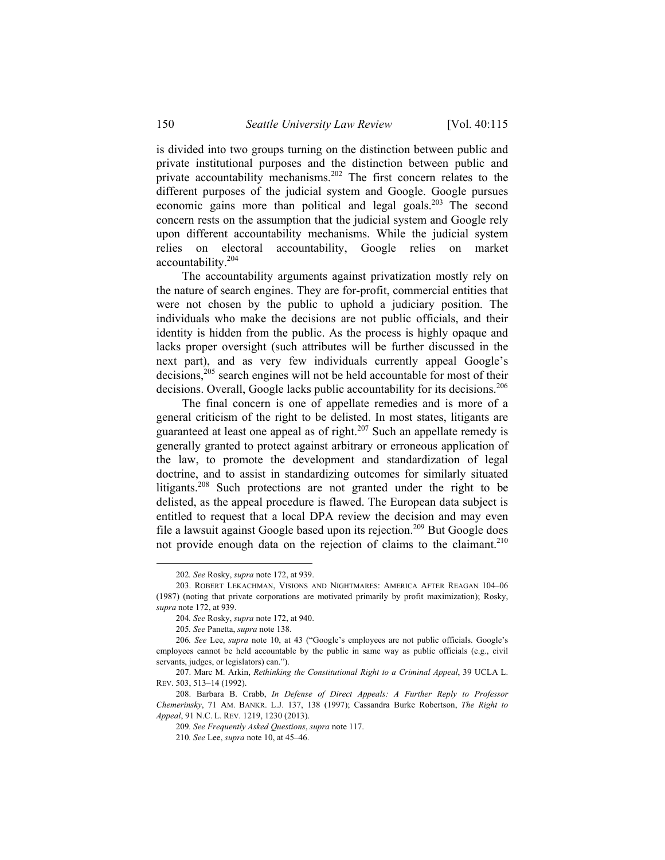is divided into two groups turning on the distinction between public and private institutional purposes and the distinction between public and private accountability mechanisms.<sup>202</sup> The first concern relates to the different purposes of the judicial system and Google. Google pursues economic gains more than political and legal goals.<sup>203</sup> The second concern rests on the assumption that the judicial system and Google rely upon different accountability mechanisms. While the judicial system relies on electoral accountability, Google relies on market accountability.204

The accountability arguments against privatization mostly rely on the nature of search engines. They are for-profit, commercial entities that were not chosen by the public to uphold a judiciary position. The individuals who make the decisions are not public officials, and their identity is hidden from the public. As the process is highly opaque and lacks proper oversight (such attributes will be further discussed in the next part), and as very few individuals currently appeal Google's decisions,<sup>205</sup> search engines will not be held accountable for most of their decisions. Overall, Google lacks public accountability for its decisions.<sup>206</sup>

The final concern is one of appellate remedies and is more of a general criticism of the right to be delisted. In most states, litigants are guaranteed at least one appeal as of right.<sup>207</sup> Such an appellate remedy is generally granted to protect against arbitrary or erroneous application of the law, to promote the development and standardization of legal doctrine, and to assist in standardizing outcomes for similarly situated litigants.208 Such protections are not granted under the right to be delisted, as the appeal procedure is flawed. The European data subject is entitled to request that a local DPA review the decision and may even file a lawsuit against Google based upon its rejection.<sup>209</sup> But Google does not provide enough data on the rejection of claims to the claimant.<sup>210</sup>

 <sup>202</sup>*. See* Rosky, *supra* note 172, at 939.

 <sup>203.</sup> ROBERT LEKACHMAN, VISIONS AND NIGHTMARES: AMERICA AFTER REAGAN 104–06 (1987) (noting that private corporations are motivated primarily by profit maximization); Rosky, *supra* note 172, at 939.

<sup>204</sup>*. See* Rosky, *supra* note 172, at 940.

<sup>205</sup>*. See* Panetta, *supra* note 138.

<sup>206</sup>*. See* Lee, *supra* note 10, at 43 ("Google's employees are not public officials. Google's employees cannot be held accountable by the public in same way as public officials (e.g., civil servants, judges, or legislators) can.").

 <sup>207.</sup> Marc M. Arkin, *Rethinking the Constitutional Right to a Criminal Appeal*, 39 UCLA L. REV. 503, 513–14 (1992).

 <sup>208.</sup> Barbara B. Crabb, *In Defense of Direct Appeals: A Further Reply to Professor Chemerinsky*, 71 AM. BANKR. L.J. 137, 138 (1997); Cassandra Burke Robertson, *The Right to Appeal*, 91 N.C. L. REV. 1219, 1230 (2013).

<sup>209</sup>*. See Frequently Asked Questions*, *supra* note 117.

<sup>210</sup>*. See* Lee, *supra* note 10, at 45–46.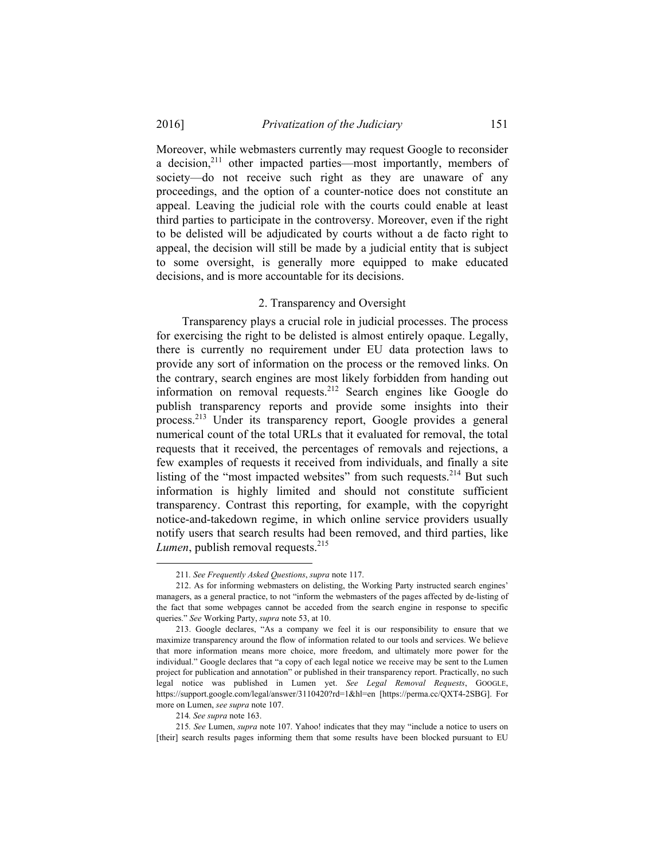Moreover, while webmasters currently may request Google to reconsider a decision,<sup>211</sup> other impacted parties—most importantly, members of society—do not receive such right as they are unaware of any proceedings, and the option of a counter-notice does not constitute an appeal. Leaving the judicial role with the courts could enable at least third parties to participate in the controversy. Moreover, even if the right to be delisted will be adjudicated by courts without a de facto right to appeal, the decision will still be made by a judicial entity that is subject to some oversight, is generally more equipped to make educated decisions, and is more accountable for its decisions.

#### 2. Transparency and Oversight

Transparency plays a crucial role in judicial processes. The process for exercising the right to be delisted is almost entirely opaque. Legally, there is currently no requirement under EU data protection laws to provide any sort of information on the process or the removed links. On the contrary, search engines are most likely forbidden from handing out information on removal requests.<sup>212</sup> Search engines like Google do publish transparency reports and provide some insights into their process.213 Under its transparency report, Google provides a general numerical count of the total URLs that it evaluated for removal, the total requests that it received, the percentages of removals and rejections, a few examples of requests it received from individuals, and finally a site listing of the "most impacted websites" from such requests. $2^{14}$  But such information is highly limited and should not constitute sufficient transparency. Contrast this reporting, for example, with the copyright notice-and-takedown regime, in which online service providers usually notify users that search results had been removed, and third parties, like *Lumen*, publish removal requests.<sup>215</sup>

 <sup>211</sup>*. See Frequently Asked Questions*, *supra* note 117.

 <sup>212.</sup> As for informing webmasters on delisting, the Working Party instructed search engines' managers, as a general practice, to not "inform the webmasters of the pages affected by de-listing of the fact that some webpages cannot be acceded from the search engine in response to specific queries." *See* Working Party, *supra* note 53, at 10.

 <sup>213.</sup> Google declares, "As a company we feel it is our responsibility to ensure that we maximize transparency around the flow of information related to our tools and services. We believe that more information means more choice, more freedom, and ultimately more power for the individual." Google declares that "a copy of each legal notice we receive may be sent to the Lumen project for publication and annotation" or published in their transparency report. Practically, no such legal notice was published in Lumen yet. *See Legal Removal Requests*, GOOGLE, https://support.google.com/legal/answer/3110420?rd=1&hl=en [https://perma.cc/QXT4-2SBG]. For more on Lumen, *see supra* note 107.

<sup>214</sup>*. See supra* note 163.

<sup>215</sup>*. See* Lumen, *supra* note 107. Yahoo! indicates that they may "include a notice to users on [their] search results pages informing them that some results have been blocked pursuant to EU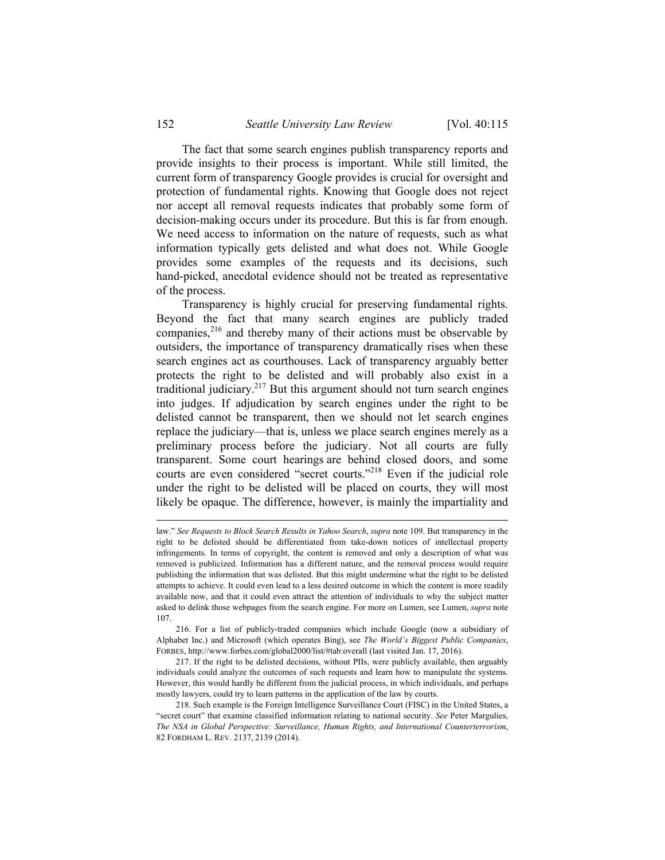The fact that some search engines publish transparency reports and provide insights to their process is important. While still limited, the current form of transparency Google provides is crucial for oversight and protection of fundamental rights. Knowing that Google does not reject nor accept all removal requests indicates that probably some form of decision-making occurs under its procedure. But this is far from enough. We need access to information on the nature of requests, such as what information typically gets delisted and what does not. While Google provides some examples of the requests and its decisions, such hand-picked, anecdotal evidence should not be treated as representative of the process.

Transparency is highly crucial for preserving fundamental rights. Beyond the fact that many search engines are publicly traded companies.<sup>216</sup> and thereby many of their actions must be observable by outsiders, the importance of transparency dramatically rises when these search engines act as courthouses. Lack of transparency arguably better protects the right to be delisted and will probably also exist in a traditional judiciary.217 But this argument should not turn search engines into judges. If adjudication by search engines under the right to be delisted cannot be transparent, then we should not let search engines replace the judiciary—that is, unless we place search engines merely as a preliminary process before the judiciary. Not all courts are fully transparent. Some court hearings are behind closed doors, and some courts are even considered "secret courts."218 Even if the judicial role under the right to be delisted will be placed on courts, they will most likely be opaque. The difference, however, is mainly the impartiality and

 216. For a list of publicly-traded companies which include Google (now a subsidiary of Alphabet Inc.) and Microsoft (which operates Bing), see *The World's Biggest Public Companies*, FORBES, http://www.forbes.com/global2000/list/#tab:overall (last visited Jan. 17, 2016).

 217. If the right to be delisted decisions, without PIIs, were publicly available, then arguably individuals could analyze the outcomes of such requests and learn how to manipulate the systems. However, this would hardly be different from the judicial process, in which individuals, and perhaps mostly lawyers, could try to learn patterns in the application of the law by courts.

 218. Such example is the Foreign Intelligence Surveillance Court (FISC) in the United States, a "secret court" that examine classified information relating to national security. *See* Peter Margulies, *The NSA in Global Perspective: Surveillance, Human Rights, and International Counterterrorism*, 82 FORDHAM L. REV. 2137, 2139 (2014).

1

law." *See Requests to Block Search Results in Yahoo Search*, *supra* note 109. But transparency in the right to be delisted should be differentiated from take-down notices of intellectual property infringements. In terms of copyright, the content is removed and only a description of what was removed is publicized. Information has a different nature, and the removal process would require publishing the information that was delisted. But this might undermine what the right to be delisted attempts to achieve. It could even lead to a less desired outcome in which the content is more readily available now, and that it could even attract the attention of individuals to why the subject matter asked to delink those webpages from the search engine. For more on Lumen, see Lumen, *supra* note 107.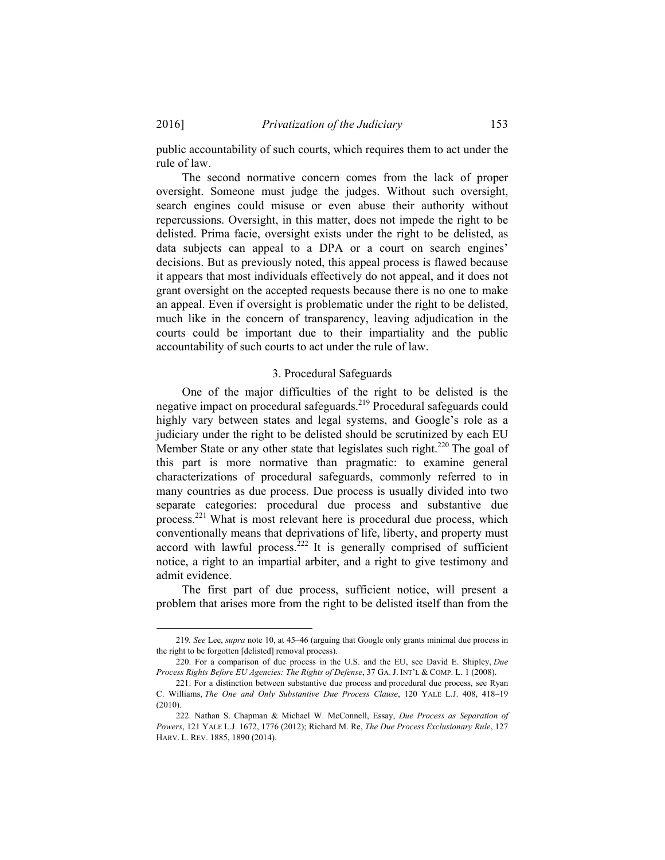public accountability of such courts, which requires them to act under the rule of law.

The second normative concern comes from the lack of proper oversight. Someone must judge the judges. Without such oversight, search engines could misuse or even abuse their authority without repercussions. Oversight, in this matter, does not impede the right to be delisted. Prima facie, oversight exists under the right to be delisted, as data subjects can appeal to a DPA or a court on search engines' decisions. But as previously noted, this appeal process is flawed because it appears that most individuals effectively do not appeal, and it does not grant oversight on the accepted requests because there is no one to make an appeal. Even if oversight is problematic under the right to be delisted, much like in the concern of transparency, leaving adjudication in the courts could be important due to their impartiality and the public accountability of such courts to act under the rule of law.

#### 3. Procedural Safeguards

One of the major difficulties of the right to be delisted is the negative impact on procedural safeguards.<sup>219</sup> Procedural safeguards could highly vary between states and legal systems, and Google's role as a judiciary under the right to be delisted should be scrutinized by each EU Member State or any other state that legislates such right.<sup>220</sup> The goal of this part is more normative than pragmatic: to examine general characterizations of procedural safeguards, commonly referred to in many countries as due process. Due process is usually divided into two separate categories: procedural due process and substantive due process.221 What is most relevant here is procedural due process, which conventionally means that deprivations of life, liberty, and property must accord with lawful process. $222$  It is generally comprised of sufficient notice, a right to an impartial arbiter, and a right to give testimony and admit evidence.

The first part of due process, sufficient notice, will present a problem that arises more from the right to be delisted itself than from the

 <sup>219</sup>*. See* Lee, *supra* note 10, at 45–46 (arguing that Google only grants minimal due process in the right to be forgotten [delisted] removal process).

 <sup>220.</sup> For a comparison of due process in the U.S. and the EU, see David E. Shipley, *Due Process Rights Before EU Agencies: The Rights of Defense*, 37 GA. J. INT'L & COMP. L. 1 (2008).

 <sup>221.</sup> For a distinction between substantive due process and procedural due process, see Ryan C. Williams, *The One and Only Substantive Due Process Clause*, 120 YALE L.J. 408, 418–19 (2010).

 <sup>222.</sup> Nathan S. Chapman & Michael W. McConnell, Essay, *Due Process as Separation of Powers*, 121 YALE L.J. 1672, 1776 (2012); Richard M. Re, *The Due Process Exclusionary Rule*, 127 HARV. L. REV. 1885, 1890 (2014).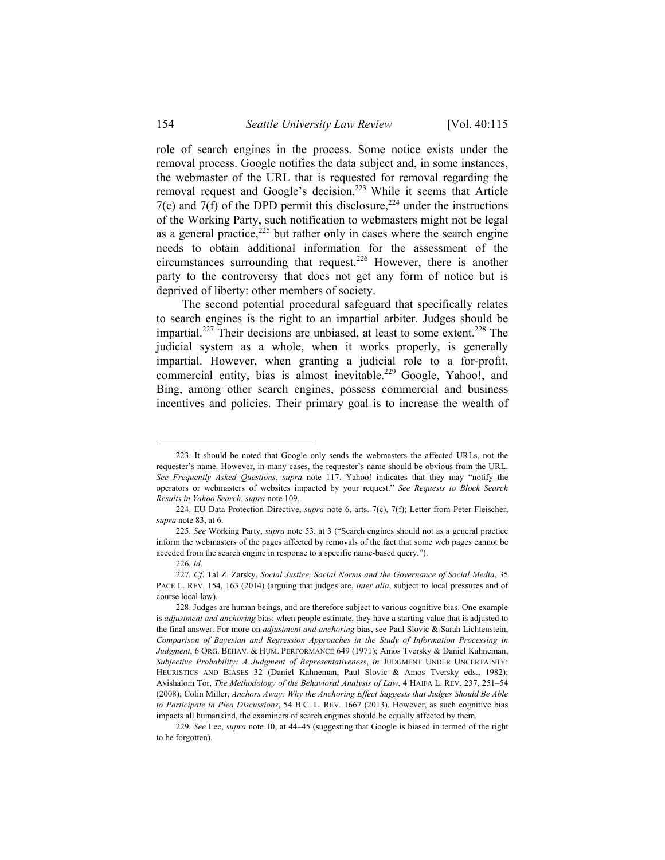role of search engines in the process. Some notice exists under the removal process. Google notifies the data subject and, in some instances, the webmaster of the URL that is requested for removal regarding the removal request and Google's decision.<sup>223</sup> While it seems that Article 7(c) and 7(f) of the DPD permit this disclosure,  $224$  under the instructions of the Working Party, such notification to webmasters might not be legal as a general practice, $225$  but rather only in cases where the search engine needs to obtain additional information for the assessment of the circumstances surrounding that request.226 However, there is another party to the controversy that does not get any form of notice but is deprived of liberty: other members of society.

The second potential procedural safeguard that specifically relates to search engines is the right to an impartial arbiter. Judges should be impartial.<sup>227</sup> Their decisions are unbiased, at least to some extent.<sup>228</sup> The judicial system as a whole, when it works properly, is generally impartial. However, when granting a judicial role to a for-profit, commercial entity, bias is almost inevitable.<sup>229</sup> Google, Yahoo!, and Bing, among other search engines, possess commercial and business incentives and policies. Their primary goal is to increase the wealth of

 <sup>223.</sup> It should be noted that Google only sends the webmasters the affected URLs, not the requester's name. However, in many cases, the requester's name should be obvious from the URL. *See Frequently Asked Questions*, *supra* note 117. Yahoo! indicates that they may "notify the operators or webmasters of websites impacted by your request." *See Requests to Block Search Results in Yahoo Search*, *supra* note 109.

 <sup>224.</sup> EU Data Protection Directive, *supra* note 6, arts. 7(c), 7(f); Letter from Peter Fleischer, *supra* note 83, at 6.

<sup>225</sup>*. See* Working Party, *supra* note 53, at 3 ("Search engines should not as a general practice inform the webmasters of the pages affected by removals of the fact that some web pages cannot be acceded from the search engine in response to a specific name-based query.").

<sup>226</sup>*. Id.*

<sup>227</sup>*. Cf*. Tal Z. Zarsky, *Social Justice, Social Norms and the Governance of Social Media*, 35 PACE L. REV. 154, 163 (2014) (arguing that judges are, *inter alia*, subject to local pressures and of course local law).

 <sup>228.</sup> Judges are human beings, and are therefore subject to various cognitive bias. One example is *adjustment and anchoring* bias: when people estimate, they have a starting value that is adjusted to the final answer. For more on *adjustment and anchoring* bias, see Paul Slovic & Sarah Lichtenstein, *Comparison of Bayesian and Regression Approaches in the Study of Information Processing in Judgment*, 6 ORG. BEHAV. & HUM. PERFORMANCE 649 (1971); Amos Tversky & Daniel Kahneman, *Subjective Probability: A Judgment of Representativeness*, *in* JUDGMENT UNDER UNCERTAINTY: HEURISTICS AND BIASES 32 (Daniel Kahneman, Paul Slovic & Amos Tversky eds., 1982); Avishalom Tor, *The Methodology of the Behavioral Analysis of Law*, 4 HAIFA L. REV. 237, 251–54 (2008); Colin Miller, *Anchors Away: Why the Anchoring Effect Suggests that Judges Should Be Able to Participate in Plea Discussions*, 54 B.C. L. REV. 1667 (2013). However, as such cognitive bias impacts all humankind, the examiners of search engines should be equally affected by them.

<sup>229</sup>*. See* Lee, *supra* note 10, at 44–45 (suggesting that Google is biased in termed of the right to be forgotten).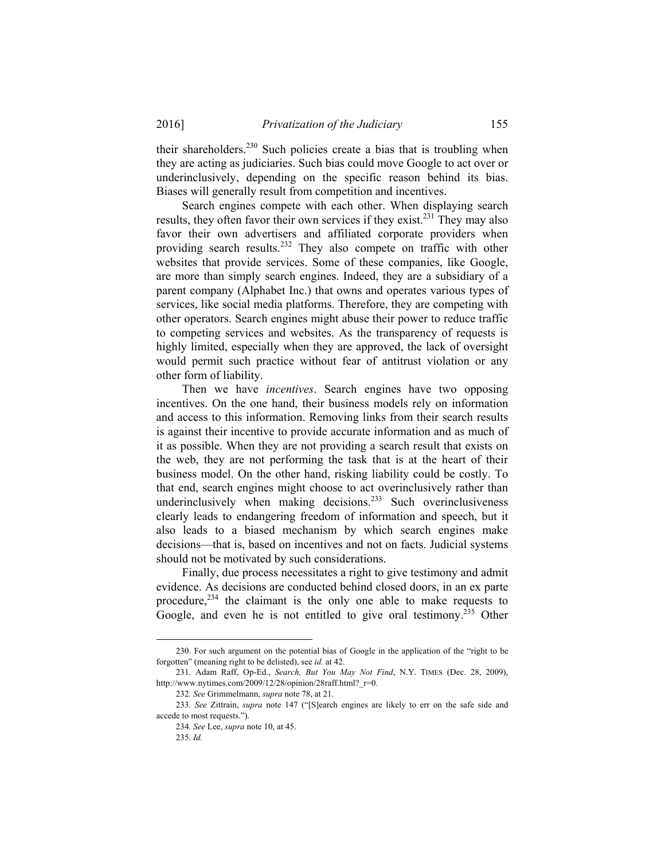their shareholders.<sup>230</sup> Such policies create a bias that is troubling when they are acting as judiciaries. Such bias could move Google to act over or underinclusively, depending on the specific reason behind its bias. Biases will generally result from competition and incentives.

Search engines compete with each other. When displaying search results, they often favor their own services if they exist.<sup>231</sup> They may also favor their own advertisers and affiliated corporate providers when providing search results.<sup>232</sup> They also compete on traffic with other websites that provide services. Some of these companies, like Google, are more than simply search engines. Indeed, they are a subsidiary of a parent company (Alphabet Inc.) that owns and operates various types of services, like social media platforms. Therefore, they are competing with other operators. Search engines might abuse their power to reduce traffic to competing services and websites. As the transparency of requests is highly limited, especially when they are approved, the lack of oversight would permit such practice without fear of antitrust violation or any other form of liability.

Then we have *incentives*. Search engines have two opposing incentives. On the one hand, their business models rely on information and access to this information. Removing links from their search results is against their incentive to provide accurate information and as much of it as possible. When they are not providing a search result that exists on the web, they are not performing the task that is at the heart of their business model. On the other hand, risking liability could be costly. To that end, search engines might choose to act overinclusively rather than underinclusively when making decisions.<sup>233</sup> Such overinclusiveness clearly leads to endangering freedom of information and speech, but it also leads to a biased mechanism by which search engines make decisions—that is, based on incentives and not on facts. Judicial systems should not be motivated by such considerations.

Finally, due process necessitates a right to give testimony and admit evidence. As decisions are conducted behind closed doors, in an ex parte procedure, $^{234}$  the claimant is the only one able to make requests to Google, and even he is not entitled to give oral testimony.<sup>235</sup> Other

1

 <sup>230.</sup> For such argument on the potential bias of Google in the application of the "right to be forgotten" (meaning right to be delisted), see *id.* at 42.

 <sup>231.</sup> Adam Raff, Op-Ed., *Search, But You May Not Find*, N.Y. TIMES (Dec. 28, 2009), http://www.nytimes.com/2009/12/28/opinion/28raff.html?\_r=0.

<sup>232</sup>*. See* Grimmelmann, *supra* note 78, at 21.

<sup>233</sup>*. See* Zittrain, *supra* note 147 ("[S]earch engines are likely to err on the safe side and accede to most requests.").

<sup>234</sup>*. See* Lee, *supra* note 10, at 45.

<sup>235</sup>*. Id.*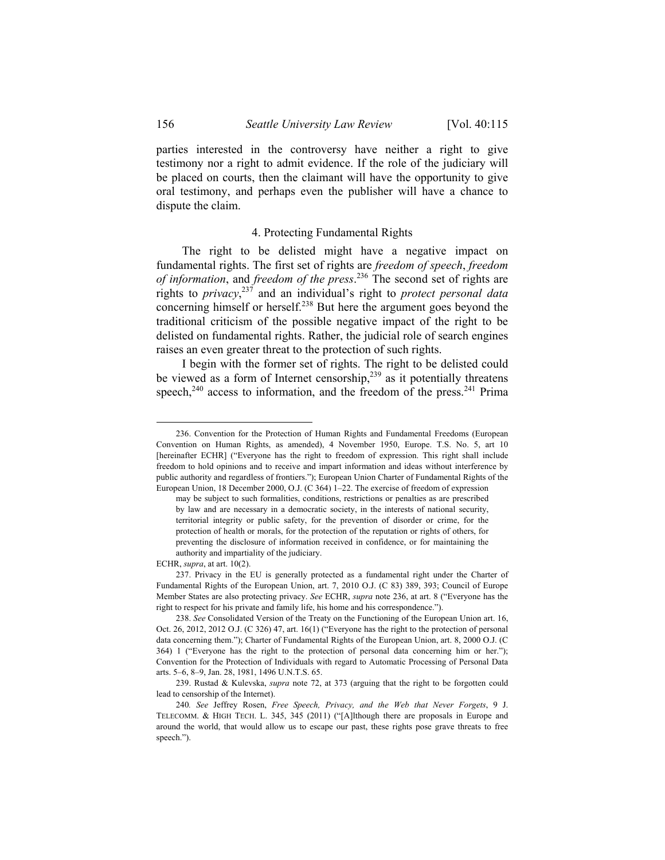parties interested in the controversy have neither a right to give testimony nor a right to admit evidence. If the role of the judiciary will be placed on courts, then the claimant will have the opportunity to give oral testimony, and perhaps even the publisher will have a chance to dispute the claim.

#### 4. Protecting Fundamental Rights

The right to be delisted might have a negative impact on fundamental rights. The first set of rights are *freedom of speech*, *freedom of information*, and *freedom of the press*. 236 The second set of rights are rights to *privacy*, 237 and an individual's right to *protect personal data* concerning himself or herself.<sup>238</sup> But here the argument goes beyond the traditional criticism of the possible negative impact of the right to be delisted on fundamental rights. Rather, the judicial role of search engines raises an even greater threat to the protection of such rights.

I begin with the former set of rights. The right to be delisted could be viewed as a form of Internet censorship,<sup>239</sup> as it potentially threatens speech, $240$  access to information, and the freedom of the press. $241$  Prima

ECHR, *supra*, at art. 10(2).

 <sup>236.</sup> Convention for the Protection of Human Rights and Fundamental Freedoms (European Convention on Human Rights, as amended), 4 November 1950, Europe. T.S. No. 5, art 10 [hereinafter ECHR] ("Everyone has the right to freedom of expression. This right shall include freedom to hold opinions and to receive and impart information and ideas without interference by public authority and regardless of frontiers."); European Union Charter of Fundamental Rights of the European Union, 18 December 2000, O.J. (C 364) 1–22. The exercise of freedom of expression

may be subject to such formalities, conditions, restrictions or penalties as are prescribed by law and are necessary in a democratic society, in the interests of national security, territorial integrity or public safety, for the prevention of disorder or crime, for the protection of health or morals, for the protection of the reputation or rights of others, for preventing the disclosure of information received in confidence, or for maintaining the authority and impartiality of the judiciary.

 <sup>237.</sup> Privacy in the EU is generally protected as a fundamental right under the Charter of Fundamental Rights of the European Union, art. 7, 2010 O.J. (C 83) 389, 393; Council of Europe Member States are also protecting privacy. *See* ECHR, *supra* note 236, at art. 8 ("Everyone has the right to respect for his private and family life, his home and his correspondence.").

<sup>238.</sup> *See* Consolidated Version of the Treaty on the Functioning of the European Union art. 16, Oct. 26, 2012, 2012 O.J. (C 326) 47, art. 16(1) ("Everyone has the right to the protection of personal data concerning them."); Charter of Fundamental Rights of the European Union, art. 8, 2000 O.J. (C 364) 1 ("Everyone has the right to the protection of personal data concerning him or her."); Convention for the Protection of Individuals with regard to Automatic Processing of Personal Data arts. 5–6, 8–9, Jan. 28, 1981, 1496 U.N.T.S. 65.

 <sup>239.</sup> Rustad & Kulevska, *supra* note 72, at 373 (arguing that the right to be forgotten could lead to censorship of the Internet).

<sup>240</sup>*. See* Jeffrey Rosen, *Free Speech, Privacy, and the Web that Never Forgets*, 9 J. TELECOMM. & HIGH TECH. L. 345, 345 (2011) ("[A]lthough there are proposals in Europe and around the world, that would allow us to escape our past, these rights pose grave threats to free speech.").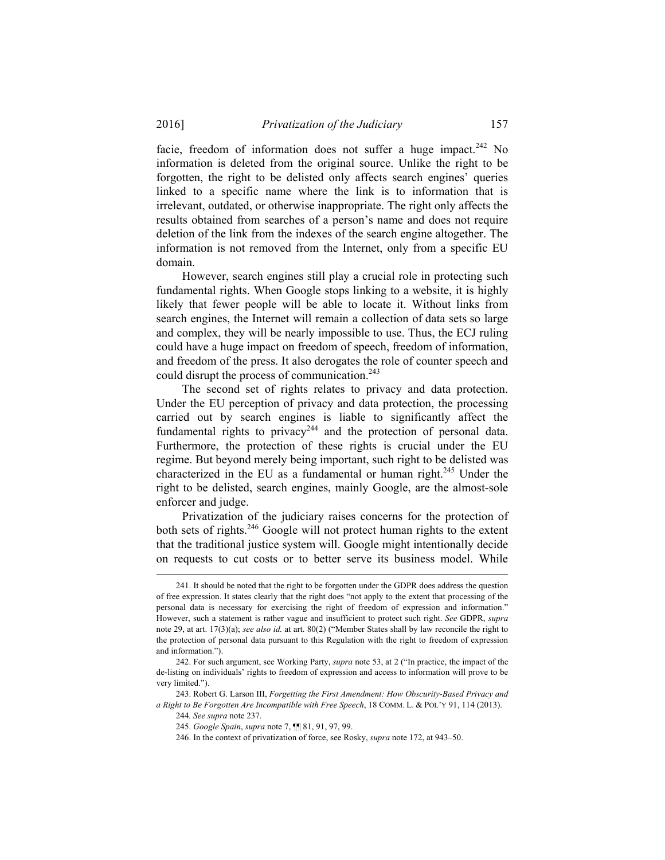facie, freedom of information does not suffer a huge impact.<sup>242</sup> No information is deleted from the original source. Unlike the right to be forgotten, the right to be delisted only affects search engines' queries linked to a specific name where the link is to information that is irrelevant, outdated, or otherwise inappropriate. The right only affects the results obtained from searches of a person's name and does not require deletion of the link from the indexes of the search engine altogether. The information is not removed from the Internet, only from a specific EU domain.

However, search engines still play a crucial role in protecting such fundamental rights. When Google stops linking to a website, it is highly likely that fewer people will be able to locate it. Without links from search engines, the Internet will remain a collection of data sets so large and complex, they will be nearly impossible to use. Thus, the ECJ ruling could have a huge impact on freedom of speech, freedom of information, and freedom of the press. It also derogates the role of counter speech and could disrupt the process of communication.<sup>243</sup>

The second set of rights relates to privacy and data protection. Under the EU perception of privacy and data protection, the processing carried out by search engines is liable to significantly affect the fundamental rights to privacy<sup>244</sup> and the protection of personal data. Furthermore, the protection of these rights is crucial under the EU regime. But beyond merely being important, such right to be delisted was characterized in the EU as a fundamental or human right.<sup>245</sup> Under the right to be delisted, search engines, mainly Google, are the almost-sole enforcer and judge.

Privatization of the judiciary raises concerns for the protection of both sets of rights.<sup>246</sup> Google will not protect human rights to the extent that the traditional justice system will. Google might intentionally decide on requests to cut costs or to better serve its business model. While

 <sup>241.</sup> It should be noted that the right to be forgotten under the GDPR does address the question of free expression. It states clearly that the right does "not apply to the extent that processing of the personal data is necessary for exercising the right of freedom of expression and information." However, such a statement is rather vague and insufficient to protect such right. *See* GDPR, *supra*  note 29, at art. 17(3)(a); *see also id.* at art. 80(2) ("Member States shall by law reconcile the right to the protection of personal data pursuant to this Regulation with the right to freedom of expression and information.").

 <sup>242.</sup> For such argument, see Working Party, *supra* note 53, at 2 ("In practice, the impact of the de-listing on individuals' rights to freedom of expression and access to information will prove to be very limited.").

 <sup>243.</sup> Robert G. Larson III, *Forgetting the First Amendment: How Obscurity-Based Privacy and a Right to Be Forgotten Are Incompatible with Free Speech*, 18 COMM. L. & POL'Y 91, 114 (2013).

<sup>244</sup>*. See supra* note 237.

 <sup>245.</sup> *Google Spain*, *supra* note 7, ¶¶ 81, 91, 97, 99.

 <sup>246.</sup> In the context of privatization of force, see Rosky, *supra* note 172, at 943–50.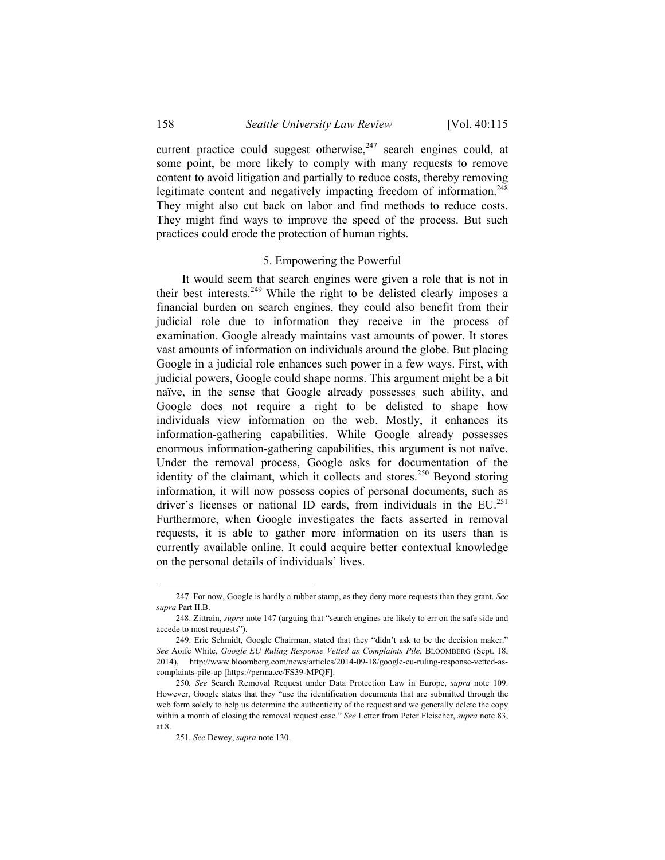current practice could suggest otherwise, $247$  search engines could, at some point, be more likely to comply with many requests to remove content to avoid litigation and partially to reduce costs, thereby removing legitimate content and negatively impacting freedom of information.<sup>248</sup> They might also cut back on labor and find methods to reduce costs. They might find ways to improve the speed of the process. But such practices could erode the protection of human rights.

#### 5. Empowering the Powerful

It would seem that search engines were given a role that is not in their best interests.249 While the right to be delisted clearly imposes a financial burden on search engines, they could also benefit from their judicial role due to information they receive in the process of examination. Google already maintains vast amounts of power. It stores vast amounts of information on individuals around the globe. But placing Google in a judicial role enhances such power in a few ways. First, with judicial powers, Google could shape norms. This argument might be a bit naïve, in the sense that Google already possesses such ability, and Google does not require a right to be delisted to shape how individuals view information on the web. Mostly, it enhances its information-gathering capabilities. While Google already possesses enormous information-gathering capabilities, this argument is not naïve. Under the removal process, Google asks for documentation of the identity of the claimant, which it collects and stores.<sup>250</sup> Beyond storing information, it will now possess copies of personal documents, such as driver's licenses or national ID cards, from individuals in the EU.<sup>251</sup> Furthermore, when Google investigates the facts asserted in removal requests, it is able to gather more information on its users than is currently available online. It could acquire better contextual knowledge on the personal details of individuals' lives.

1

 <sup>247.</sup> For now, Google is hardly a rubber stamp, as they deny more requests than they grant. *See supra* Part II.B.

 <sup>248.</sup> Zittrain, *supra* note 147 (arguing that "search engines are likely to err on the safe side and accede to most requests").

 <sup>249.</sup> Eric Schmidt, Google Chairman, stated that they "didn't ask to be the decision maker." *See* Aoife White, *Google EU Ruling Response Vetted as Complaints Pile*, BLOOMBERG (Sept. 18, 2014), http://www.bloomberg.com/news/articles/2014-09-18/google-eu-ruling-response-vetted-ascomplaints-pile-up [https://perma.cc/FS39-MPQF].

<sup>250</sup>*. See* Search Removal Request under Data Protection Law in Europe, *supra* note 109. However, Google states that they "use the identification documents that are submitted through the web form solely to help us determine the authenticity of the request and we generally delete the copy within a month of closing the removal request case." *See* Letter from Peter Fleischer, *supra* note 83, at 8.

<sup>251</sup>*. See* Dewey, *supra* note 130.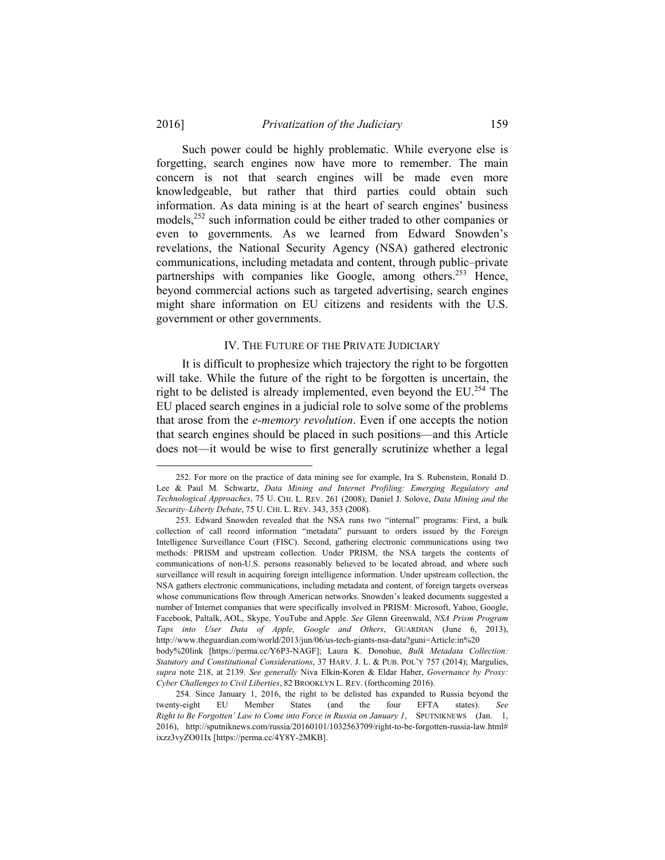1

Such power could be highly problematic. While everyone else is forgetting, search engines now have more to remember. The main concern is not that search engines will be made even more knowledgeable, but rather that third parties could obtain such information. As data mining is at the heart of search engines' business models,<sup>252</sup> such information could be either traded to other companies or even to governments. As we learned from Edward Snowden's revelations, the National Security Agency (NSA) gathered electronic communications, including metadata and content, through public–private partnerships with companies like Google, among others.<sup>253</sup> Hence, beyond commercial actions such as targeted advertising, search engines might share information on EU citizens and residents with the U.S. government or other governments.

#### IV. THE FUTURE OF THE PRIVATE JUDICIARY

It is difficult to prophesize which trajectory the right to be forgotten will take. While the future of the right to be forgotten is uncertain, the right to be delisted is already implemented, even beyond the EU.<sup>254</sup> The EU placed search engines in a judicial role to solve some of the problems that arose from the *e-memory revolution*. Even if one accepts the notion that search engines should be placed in such positions—and this Article does not—it would be wise to first generally scrutinize whether a legal

 <sup>252.</sup> For more on the practice of data mining see for example, Ira S. Rubenstein, Ronald D. Lee & Paul M. Schwartz, *Data Mining and Internet Profiling: Emerging Regulatory and Technological Approaches*, 75 U. CHI. L. REV. 261 (2008); Daniel J. Solove, *Data Mining and the Security–Liberty Debate*, 75 U. CHI. L. REV. 343, 353 (2008).

 <sup>253.</sup> Edward Snowden revealed that the NSA runs two "internal" programs: First, a bulk collection of call record information "metadata" pursuant to orders issued by the Foreign Intelligence Surveillance Court (FISC). Second, gathering electronic communications using two methods: PRISM and upstream collection. Under PRISM, the NSA targets the contents of communications of non-U.S. persons reasonably believed to be located abroad, and where such surveillance will result in acquiring foreign intelligence information. Under upstream collection, the NSA gathers electronic communications, including metadata and content, of foreign targets overseas whose communications flow through American networks. Snowden's leaked documents suggested a number of Internet companies that were specifically involved in PRISM: Microsoft, Yahoo, Google, Facebook, Paltalk, AOL, Skype, YouTube and Apple. *See* Glenn Greenwald, *NSA Prism Program Taps into User Data of Apple, Google and Others*, GUARDIAN (June 6, 2013), http://www.theguardian.com/world/2013/jun/06/us-tech-giants-nsa-data?guni=Article:in%20 body%20link [https://perma.cc/Y6P3-NAGF]; Laura K. Donohue, *Bulk Metadata Collection:* 

*Statutory and Constitutional Considerations*, 37 HARV. J. L. & PUB. POL'Y 757 (2014); Margulies, *supra* note 218, at 2139. *See generally* Niva Elkin-Koren & Eldar Haber, *Governance by Proxy: Cyber Challenges to Civil Liberties*, 82 BROOKLYN L. REV. (forthcoming 2016).

 <sup>254.</sup> Since January 1, 2016, the right to be delisted has expanded to Russia beyond the twenty-eight EU Member States (and the four EFTA states). *See Right to Be Forgotten' Law to Come into Force in Russia on January 1*, SPUTNIKNEWS (Jan. 1, 2016), http://sputniknews.com/russia/20160101/1032563709/right-to-be-forgotten-russia-law.html# ixzz3vyZO01Ix [https://perma.cc/4Y8Y-2MKB].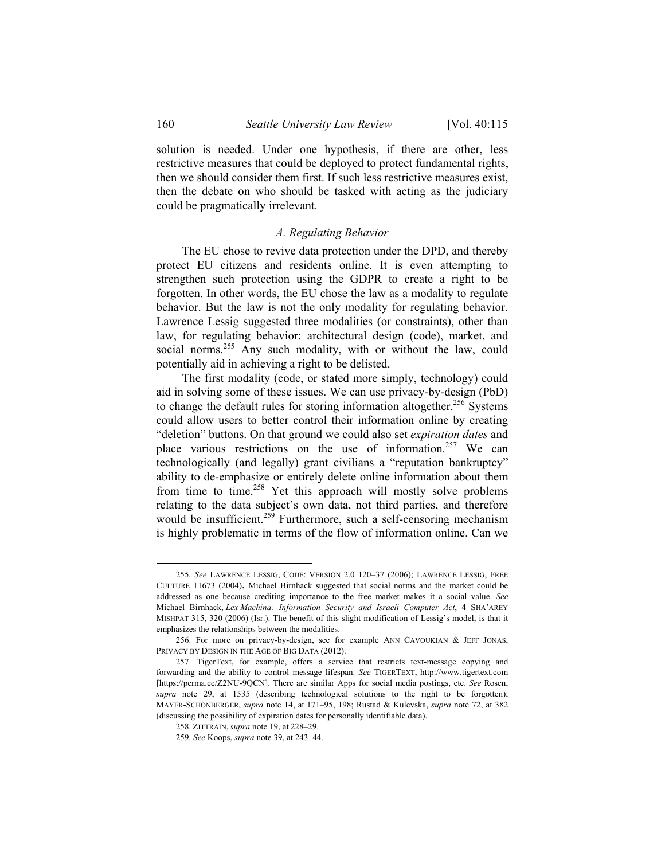solution is needed. Under one hypothesis, if there are other, less restrictive measures that could be deployed to protect fundamental rights, then we should consider them first. If such less restrictive measures exist, then the debate on who should be tasked with acting as the judiciary could be pragmatically irrelevant.

#### *A. Regulating Behavior*

The EU chose to revive data protection under the DPD, and thereby protect EU citizens and residents online. It is even attempting to strengthen such protection using the GDPR to create a right to be forgotten. In other words, the EU chose the law as a modality to regulate behavior. But the law is not the only modality for regulating behavior. Lawrence Lessig suggested three modalities (or constraints), other than law, for regulating behavior: architectural design (code), market, and social norms.<sup>255</sup> Any such modality, with or without the law, could potentially aid in achieving a right to be delisted.

The first modality (code, or stated more simply, technology) could aid in solving some of these issues. We can use privacy-by-design (PbD) to change the default rules for storing information altogether.<sup>256</sup> Systems could allow users to better control their information online by creating "deletion" buttons. On that ground we could also set *expiration dates* and place various restrictions on the use of information.<sup>257</sup> We can technologically (and legally) grant civilians a "reputation bankruptcy" ability to de-emphasize or entirely delete online information about them from time to time.<sup>258</sup> Yet this approach will mostly solve problems relating to the data subject's own data, not third parties, and therefore would be insufficient.<sup>259</sup> Furthermore, such a self-censoring mechanism is highly problematic in terms of the flow of information online. Can we

 <sup>255</sup>*. See* LAWRENCE LESSIG, CODE: VERSION 2.0 120–37 (2006); LAWRENCE LESSIG, FREE CULTURE 11673 (2004). Michael Birnhack suggested that social norms and the market could be addressed as one because crediting importance to the free market makes it a social value. *See* Michael Birnhack, *Lex Machina: Information Security and Israeli Computer Act*, 4 SHA'AREY MISHPAT 315, 320 (2006) (Isr.). The benefit of this slight modification of Lessig's model, is that it emphasizes the relationships between the modalities.

 <sup>256.</sup> For more on privacy-by-design, see for example ANN CAVOUKIAN & JEFF JONAS, PRIVACY BY DESIGN IN THE AGE OF BIG DATA (2012).

 <sup>257.</sup> TigerText, for example, offers a service that restricts text-message copying and forwarding and the ability to control message lifespan. *See* TIGERTEXT, http://www.tigertext.com [https://perma.cc/Z2NU-9QCN]. There are similar Apps for social media postings, etc. *See* Rosen, *supra* note 29, at 1535 (describing technological solutions to the right to be forgotten); MAYER-SCHÖNBERGER, *supra* note 14, at 171–95, 198; Rustad & Kulevska, *supra* note 72, at 382 (discussing the possibility of expiration dates for personally identifiable data).

 <sup>258.</sup> ZITTRAIN, *supra* note 19, at 228–29.

<sup>259</sup>*. See* Koops, *supra* note 39, at 243–44.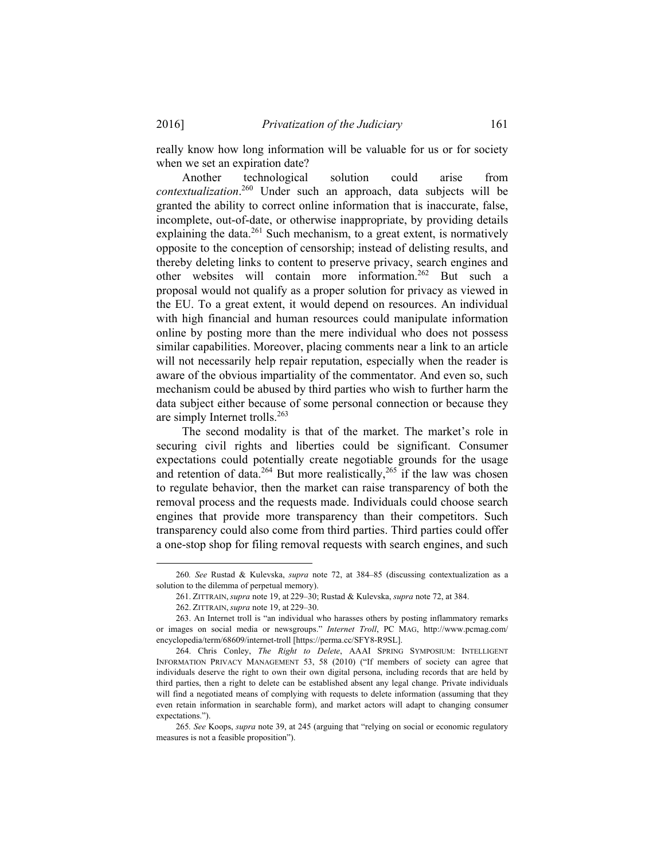really know how long information will be valuable for us or for society when we set an expiration date?

Another technological solution could arise from *contextualization*. 260 Under such an approach, data subjects will be granted the ability to correct online information that is inaccurate, false, incomplete, out-of-date, or otherwise inappropriate, by providing details explaining the data.<sup>261</sup> Such mechanism, to a great extent, is normatively opposite to the conception of censorship; instead of delisting results, and thereby deleting links to content to preserve privacy, search engines and other websites will contain more information.262 But such a proposal would not qualify as a proper solution for privacy as viewed in the EU. To a great extent, it would depend on resources. An individual with high financial and human resources could manipulate information online by posting more than the mere individual who does not possess similar capabilities. Moreover, placing comments near a link to an article will not necessarily help repair reputation, especially when the reader is aware of the obvious impartiality of the commentator. And even so, such mechanism could be abused by third parties who wish to further harm the data subject either because of some personal connection or because they are simply Internet trolls.<sup>263</sup>

The second modality is that of the market. The market's role in securing civil rights and liberties could be significant. Consumer expectations could potentially create negotiable grounds for the usage and retention of data.<sup>264</sup> But more realistically,<sup>265</sup> if the law was chosen to regulate behavior, then the market can raise transparency of both the removal process and the requests made. Individuals could choose search engines that provide more transparency than their competitors. Such transparency could also come from third parties. Third parties could offer a one-stop shop for filing removal requests with search engines, and such

 <sup>260</sup>*. See* Rustad & Kulevska, *supra* note 72, at 384–85 (discussing contextualization as a solution to the dilemma of perpetual memory).

 <sup>261.</sup> ZITTRAIN, *supra* note 19, at 229–30; Rustad & Kulevska, *supra* note 72, at 384.

 <sup>262.</sup> ZITTRAIN, *supra* note 19, at 229–30.

 <sup>263.</sup> An Internet troll is "an individual who harasses others by posting inflammatory remarks or images on social media or newsgroups." *Internet Troll*, PC MAG, http://www.pcmag.com/ encyclopedia/term/68609/internet-troll [https://perma.cc/SFY8-R9SL].

 <sup>264.</sup> Chris Conley, *The Right to Delete*, AAAI SPRING SYMPOSIUM: INTELLIGENT INFORMATION PRIVACY MANAGEMENT 53, 58 (2010) ("If members of society can agree that individuals deserve the right to own their own digital persona, including records that are held by third parties, then a right to delete can be established absent any legal change. Private individuals will find a negotiated means of complying with requests to delete information (assuming that they even retain information in searchable form), and market actors will adapt to changing consumer expectations.").

<sup>265</sup>*. See* Koops, *supra* note 39, at 245 (arguing that "relying on social or economic regulatory measures is not a feasible proposition").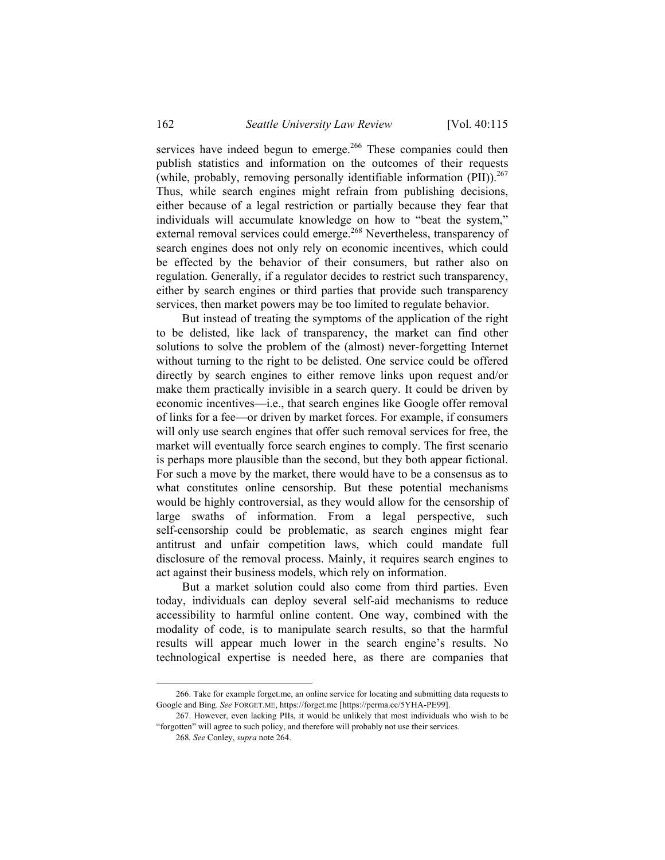services have indeed begun to emerge.<sup>266</sup> These companies could then publish statistics and information on the outcomes of their requests (while, probably, removing personally identifiable information  $(PII)$ ).<sup>267</sup> Thus, while search engines might refrain from publishing decisions, either because of a legal restriction or partially because they fear that individuals will accumulate knowledge on how to "beat the system," external removal services could emerge.<sup>268</sup> Nevertheless, transparency of search engines does not only rely on economic incentives, which could be effected by the behavior of their consumers, but rather also on regulation. Generally, if a regulator decides to restrict such transparency, either by search engines or third parties that provide such transparency services, then market powers may be too limited to regulate behavior.

But instead of treating the symptoms of the application of the right to be delisted, like lack of transparency, the market can find other solutions to solve the problem of the (almost) never-forgetting Internet without turning to the right to be delisted. One service could be offered directly by search engines to either remove links upon request and/or make them practically invisible in a search query. It could be driven by economic incentives—i.e., that search engines like Google offer removal of links for a fee—or driven by market forces. For example, if consumers will only use search engines that offer such removal services for free, the market will eventually force search engines to comply. The first scenario is perhaps more plausible than the second, but they both appear fictional. For such a move by the market, there would have to be a consensus as to what constitutes online censorship. But these potential mechanisms would be highly controversial, as they would allow for the censorship of large swaths of information. From a legal perspective, such self-censorship could be problematic, as search engines might fear antitrust and unfair competition laws, which could mandate full disclosure of the removal process. Mainly, it requires search engines to act against their business models, which rely on information.

But a market solution could also come from third parties. Even today, individuals can deploy several self-aid mechanisms to reduce accessibility to harmful online content. One way, combined with the modality of code, is to manipulate search results, so that the harmful results will appear much lower in the search engine's results. No technological expertise is needed here, as there are companies that

 <sup>266.</sup> Take for example forget.me, an online service for locating and submitting data requests to Google and Bing. *See* FORGET.ME, https://forget.me [https://perma.cc/5YHA-PE99].

 <sup>267.</sup> However, even lacking PIIs, it would be unlikely that most individuals who wish to be "forgotten" will agree to such policy, and therefore will probably not use their services.

<sup>268</sup>*. See* Conley, *supra* note 264.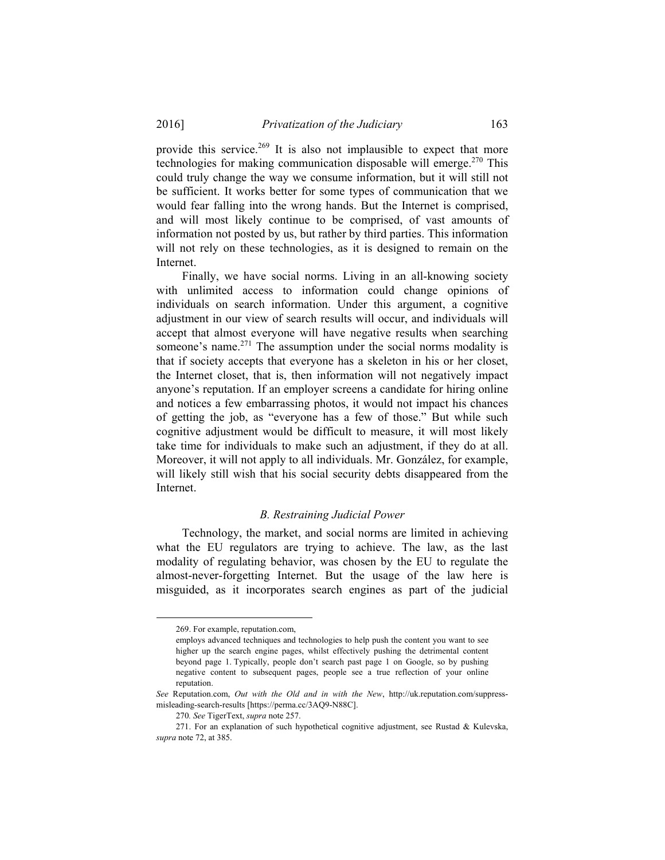provide this service.<sup>269</sup> It is also not implausible to expect that more technologies for making communication disposable will emerge.<sup>270</sup> This could truly change the way we consume information, but it will still not be sufficient. It works better for some types of communication that we would fear falling into the wrong hands. But the Internet is comprised, and will most likely continue to be comprised, of vast amounts of information not posted by us, but rather by third parties. This information will not rely on these technologies, as it is designed to remain on the Internet.

Finally, we have social norms. Living in an all-knowing society with unlimited access to information could change opinions of individuals on search information. Under this argument, a cognitive adjustment in our view of search results will occur, and individuals will accept that almost everyone will have negative results when searching someone's name. $271$  The assumption under the social norms modality is that if society accepts that everyone has a skeleton in his or her closet, the Internet closet, that is, then information will not negatively impact anyone's reputation. If an employer screens a candidate for hiring online and notices a few embarrassing photos, it would not impact his chances of getting the job, as "everyone has a few of those." But while such cognitive adjustment would be difficult to measure, it will most likely take time for individuals to make such an adjustment, if they do at all. Moreover, it will not apply to all individuals. Mr. González, for example, will likely still wish that his social security debts disappeared from the Internet.

#### *B. Restraining Judicial Power*

Technology, the market, and social norms are limited in achieving what the EU regulators are trying to achieve. The law, as the last modality of regulating behavior, was chosen by the EU to regulate the almost-never-forgetting Internet. But the usage of the law here is misguided, as it incorporates search engines as part of the judicial

 <sup>269.</sup> For example, reputation.com,

employs advanced techniques and technologies to help push the content you want to see higher up the search engine pages, whilst effectively pushing the detrimental content beyond page 1. Typically, people don't search past page 1 on Google, so by pushing negative content to subsequent pages, people see a true reflection of your online reputation.

*See* Reputation.com, *Out with the Old and in with the New*, http://uk.reputation.com/suppressmisleading-search-results [https://perma.cc/3AQ9-N88C].

<sup>270</sup>*. See* TigerText, *supra* note 257.

 <sup>271.</sup> For an explanation of such hypothetical cognitive adjustment, see Rustad & Kulevska, *supra* note 72, at 385.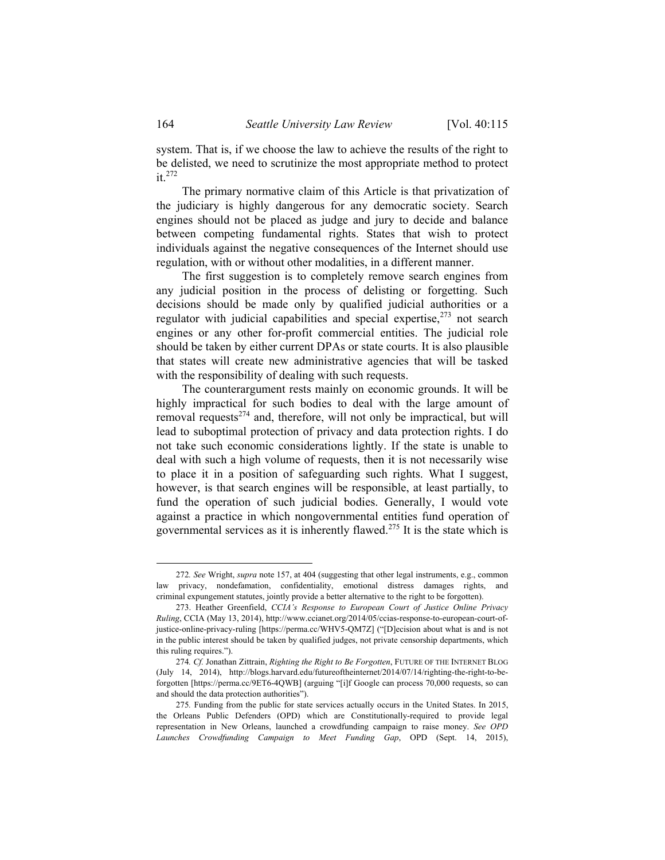system. That is, if we choose the law to achieve the results of the right to be delisted, we need to scrutinize the most appropriate method to protect  $it.<sup>272</sup>$ 

The primary normative claim of this Article is that privatization of the judiciary is highly dangerous for any democratic society. Search engines should not be placed as judge and jury to decide and balance between competing fundamental rights. States that wish to protect individuals against the negative consequences of the Internet should use regulation, with or without other modalities, in a different manner.

The first suggestion is to completely remove search engines from any judicial position in the process of delisting or forgetting. Such decisions should be made only by qualified judicial authorities or a regulator with judicial capabilities and special expertise, $273$  not search engines or any other for-profit commercial entities. The judicial role should be taken by either current DPAs or state courts. It is also plausible that states will create new administrative agencies that will be tasked with the responsibility of dealing with such requests.

The counterargument rests mainly on economic grounds. It will be highly impractical for such bodies to deal with the large amount of removal requests $274$  and, therefore, will not only be impractical, but will lead to suboptimal protection of privacy and data protection rights. I do not take such economic considerations lightly. If the state is unable to deal with such a high volume of requests, then it is not necessarily wise to place it in a position of safeguarding such rights. What I suggest, however, is that search engines will be responsible, at least partially, to fund the operation of such judicial bodies. Generally, I would vote against a practice in which nongovernmental entities fund operation of governmental services as it is inherently flawed.275 It is the state which is

 <sup>272</sup>*. See* Wright, *supra* note 157, at 404 (suggesting that other legal instruments, e.g., common law privacy, nondefamation, confidentiality, emotional distress damages rights, and criminal expungement statutes, jointly provide a better alternative to the right to be forgotten).

 <sup>273.</sup> Heather Greenfield, *CCIA's Response to European Court of Justice Online Privacy Ruling*, CCIA (May 13, 2014), http://www.ccianet.org/2014/05/ccias-response-to-european-court-ofjustice-online-privacy-ruling [https://perma.cc/WHV5-QM7Z] ("[D]ecision about what is and is not in the public interest should be taken by qualified judges, not private censorship departments, which this ruling requires.").

<sup>274</sup>*. Cf.* Jonathan Zittrain, *Righting the Right to Be Forgotten*, FUTURE OF THE INTERNET BLOG (July 14, 2014), http://blogs.harvard.edu/futureoftheinternet/2014/07/14/righting-the-right-to-beforgotten [https://perma.cc/9ET6-4QWB] (arguing "[i]f Google can process 70,000 requests, so can and should the data protection authorities").

<sup>275</sup>*.* Funding from the public for state services actually occurs in the United States. In 2015, the Orleans Public Defenders (OPD) which are Constitutionally-required to provide legal representation in New Orleans, launched a crowdfunding campaign to raise money. *See OPD Launches Crowdfunding Campaign to Meet Funding Gap*, OPD (Sept. 14, 2015),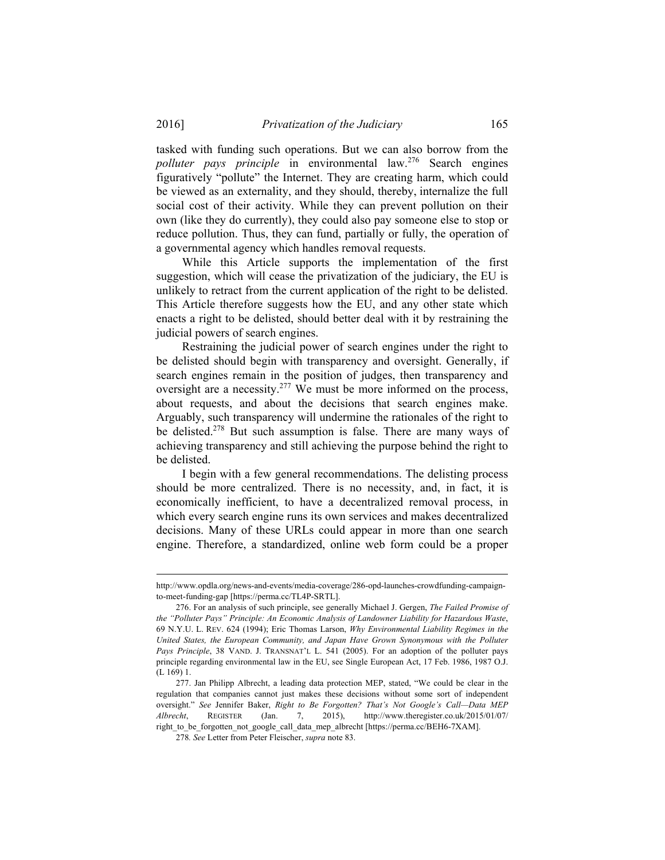tasked with funding such operations. But we can also borrow from the *polluter pays principle* in environmental law.<sup>276</sup> Search engines figuratively "pollute" the Internet. They are creating harm, which could be viewed as an externality, and they should, thereby, internalize the full social cost of their activity. While they can prevent pollution on their own (like they do currently), they could also pay someone else to stop or reduce pollution. Thus, they can fund, partially or fully, the operation of a governmental agency which handles removal requests.

While this Article supports the implementation of the first suggestion, which will cease the privatization of the judiciary, the EU is unlikely to retract from the current application of the right to be delisted. This Article therefore suggests how the EU, and any other state which enacts a right to be delisted, should better deal with it by restraining the judicial powers of search engines.

Restraining the judicial power of search engines under the right to be delisted should begin with transparency and oversight. Generally, if search engines remain in the position of judges, then transparency and oversight are a necessity.<sup>277</sup> We must be more informed on the process, about requests, and about the decisions that search engines make. Arguably, such transparency will undermine the rationales of the right to be delisted.<sup>278</sup> But such assumption is false. There are many ways of achieving transparency and still achieving the purpose behind the right to be delisted.

I begin with a few general recommendations. The delisting process should be more centralized. There is no necessity, and, in fact, it is economically inefficient, to have a decentralized removal process, in which every search engine runs its own services and makes decentralized decisions. Many of these URLs could appear in more than one search engine. Therefore, a standardized, online web form could be a proper

http://www.opdla.org/news-and-events/media-coverage/286-opd-launches-crowdfunding-campaignto-meet-funding-gap [https://perma.cc/TL4P-SRTL].

 <sup>276.</sup> For an analysis of such principle, see generally Michael J. Gergen, *The Failed Promise of the "Polluter Pays" Principle: An Economic Analysis of Landowner Liability for Hazardous Waste*, 69 N.Y.U. L. REV. 624 (1994); Eric Thomas Larson, *Why Environmental Liability Regimes in the United States, the European Community, and Japan Have Grown Synonymous with the Polluter Pays Principle*, 38 VAND. J. TRANSNAT'L L. 541 (2005). For an adoption of the polluter pays principle regarding environmental law in the EU, see Single European Act, 17 Feb. 1986, 1987 O.J. (L 169) 1.

 <sup>277.</sup> Jan Philipp Albrecht, a leading data protection MEP, stated, "We could be clear in the regulation that companies cannot just makes these decisions without some sort of independent oversight." *See* Jennifer Baker, *Right to Be Forgotten? That's Not Google's Call—Data MEP Albrecht*, REGISTER (Jan. 7, 2015), http://www.theregister.co.uk/2015/01/07/ right\_to\_be\_forgotten\_not\_google\_call\_data\_mep\_albrecht [https://perma.cc/BEH6-7XAM].

<sup>278</sup>*. See* Letter from Peter Fleischer, *supra* note 83.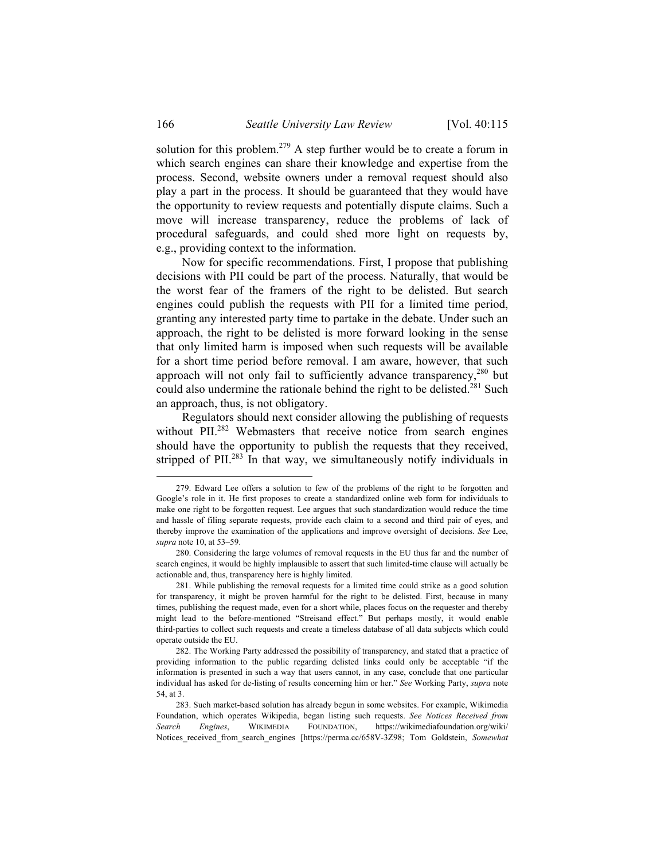solution for this problem.<sup>279</sup> A step further would be to create a forum in which search engines can share their knowledge and expertise from the process. Second, website owners under a removal request should also play a part in the process. It should be guaranteed that they would have the opportunity to review requests and potentially dispute claims. Such a move will increase transparency, reduce the problems of lack of procedural safeguards, and could shed more light on requests by, e.g., providing context to the information.

Now for specific recommendations. First, I propose that publishing decisions with PII could be part of the process. Naturally, that would be the worst fear of the framers of the right to be delisted. But search engines could publish the requests with PII for a limited time period, granting any interested party time to partake in the debate. Under such an approach, the right to be delisted is more forward looking in the sense that only limited harm is imposed when such requests will be available for a short time period before removal. I am aware, however, that such approach will not only fail to sufficiently advance transparency,<sup>280</sup> but could also undermine the rationale behind the right to be delisted.<sup>281</sup> Such an approach, thus, is not obligatory.

Regulators should next consider allowing the publishing of requests without PII.<sup>282</sup> Webmasters that receive notice from search engines should have the opportunity to publish the requests that they received, stripped of PII.<sup>283</sup> In that way, we simultaneously notify individuals in

1

 <sup>279.</sup> Edward Lee offers a solution to few of the problems of the right to be forgotten and Google's role in it. He first proposes to create a standardized online web form for individuals to make one right to be forgotten request. Lee argues that such standardization would reduce the time and hassle of filing separate requests, provide each claim to a second and third pair of eyes, and thereby improve the examination of the applications and improve oversight of decisions. *See* Lee, *supra* note 10, at 53–59.

 <sup>280.</sup> Considering the large volumes of removal requests in the EU thus far and the number of search engines, it would be highly implausible to assert that such limited-time clause will actually be actionable and, thus, transparency here is highly limited.

 <sup>281.</sup> While publishing the removal requests for a limited time could strike as a good solution for transparency, it might be proven harmful for the right to be delisted. First, because in many times, publishing the request made, even for a short while, places focus on the requester and thereby might lead to the before-mentioned "Streisand effect." But perhaps mostly, it would enable third-parties to collect such requests and create a timeless database of all data subjects which could operate outside the EU.

 <sup>282.</sup> The Working Party addressed the possibility of transparency, and stated that a practice of providing information to the public regarding delisted links could only be acceptable "if the information is presented in such a way that users cannot, in any case, conclude that one particular individual has asked for de-listing of results concerning him or her." *See* Working Party, *supra* note 54, at 3.

 <sup>283.</sup> Such market-based solution has already begun in some websites. For example, Wikimedia Foundation, which operates Wikipedia, began listing such requests. *See Notices Received from Search Engines*, WIKIMEDIA FOUNDATION, https://wikimediafoundation.org/wiki/ Notices received from search engines [https://perma.cc/658V-3Z98; Tom Goldstein, *Somewhat*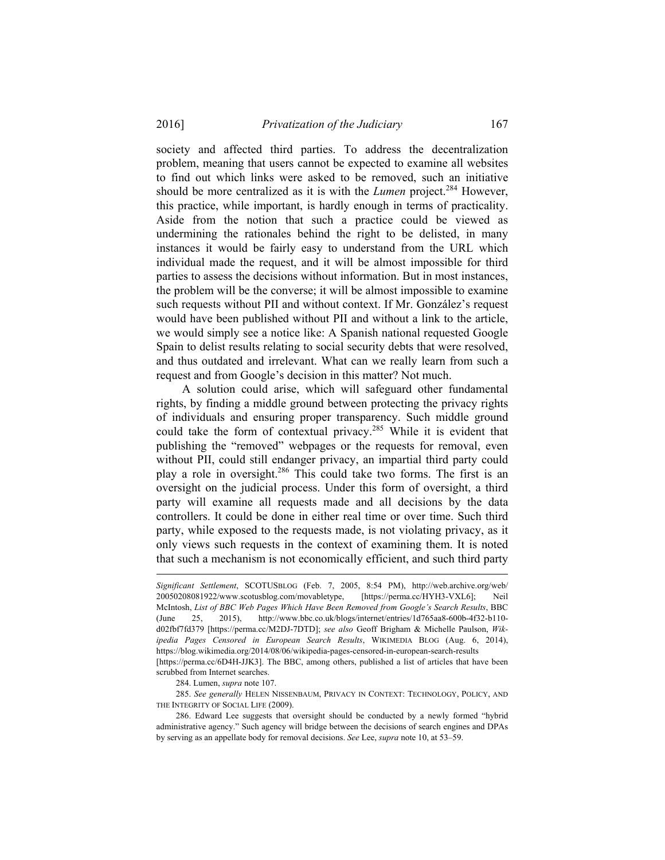society and affected third parties. To address the decentralization problem, meaning that users cannot be expected to examine all websites to find out which links were asked to be removed, such an initiative should be more centralized as it is with the *Lumen* project.<sup>284</sup> However, this practice, while important, is hardly enough in terms of practicality. Aside from the notion that such a practice could be viewed as undermining the rationales behind the right to be delisted, in many instances it would be fairly easy to understand from the URL which individual made the request, and it will be almost impossible for third parties to assess the decisions without information. But in most instances, the problem will be the converse; it will be almost impossible to examine such requests without PII and without context. If Mr. González's request would have been published without PII and without a link to the article, we would simply see a notice like: A Spanish national requested Google Spain to delist results relating to social security debts that were resolved, and thus outdated and irrelevant. What can we really learn from such a request and from Google's decision in this matter? Not much.

A solution could arise, which will safeguard other fundamental rights, by finding a middle ground between protecting the privacy rights of individuals and ensuring proper transparency. Such middle ground could take the form of contextual privacy.<sup>285</sup> While it is evident that publishing the "removed" webpages or the requests for removal, even without PII, could still endanger privacy, an impartial third party could play a role in oversight.286 This could take two forms. The first is an oversight on the judicial process. Under this form of oversight, a third party will examine all requests made and all decisions by the data controllers. It could be done in either real time or over time. Such third party, while exposed to the requests made, is not violating privacy, as it only views such requests in the context of examining them. It is noted that such a mechanism is not economically efficient, and such third party

284. Lumen, *supra* note 107.

l

285. *See generally* HELEN NISSENBAUM, PRIVACY IN CONTEXT: TECHNOLOGY, POLICY, AND THE INTEGRITY OF SOCIAL LIFE (2009).

*Significant Settlement*, SCOTUSBLOG (Feb. 7, 2005, 8:54 PM), http://web.archive.org/web/ 20050208081922/www.scotusblog.com/movabletype, [https://perma.cc/HYH3-VXL6]; Neil McIntosh, *List of BBC Web Pages Which Have Been Removed from Google's Search Results*, BBC (June 25, 2015), http://www.bbc.co.uk/blogs/internet/entries/1d765aa8-600b-4f32-b110 d02fbf7fd379 [https://perma.cc/M2DJ-7DTD]; *see also* Geoff Brigham & Michelle Paulson, *Wikipedia Pages Censored in European Search Results*, WIKIMEDIA BLOG (Aug. 6, 2014), https://blog.wikimedia.org/2014/08/06/wikipedia-pages-censored-in-european-search-results

<sup>[</sup>https://perma.cc/6D4H-JJK3]. The BBC, among others, published a list of articles that have been scrubbed from Internet searches.

 <sup>286.</sup> Edward Lee suggests that oversight should be conducted by a newly formed "hybrid administrative agency." Such agency will bridge between the decisions of search engines and DPAs by serving as an appellate body for removal decisions. *See* Lee, *supra* note 10, at 53–59.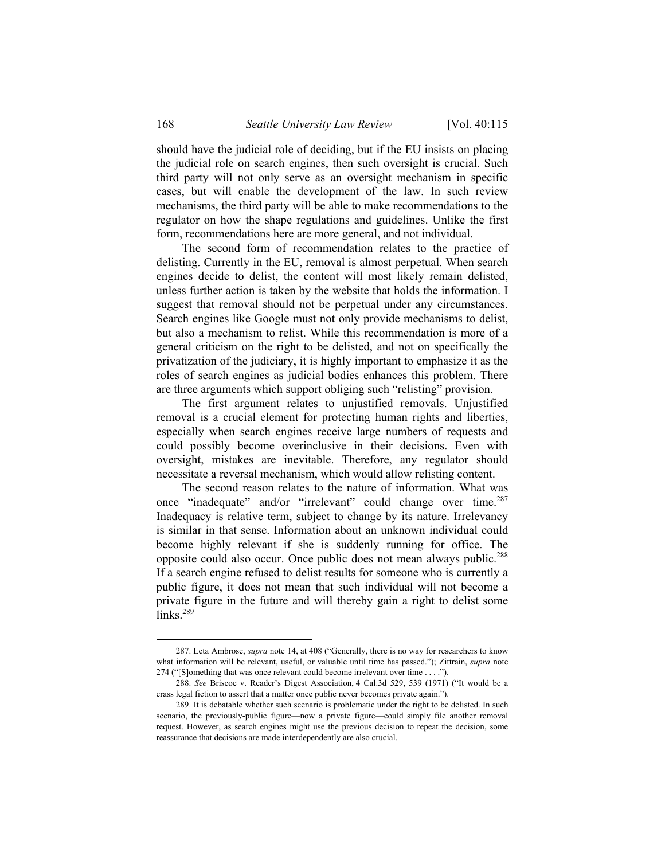should have the judicial role of deciding, but if the EU insists on placing the judicial role on search engines, then such oversight is crucial. Such third party will not only serve as an oversight mechanism in specific cases, but will enable the development of the law. In such review mechanisms, the third party will be able to make recommendations to the regulator on how the shape regulations and guidelines. Unlike the first form, recommendations here are more general, and not individual.

The second form of recommendation relates to the practice of delisting. Currently in the EU, removal is almost perpetual. When search engines decide to delist, the content will most likely remain delisted, unless further action is taken by the website that holds the information. I suggest that removal should not be perpetual under any circumstances. Search engines like Google must not only provide mechanisms to delist, but also a mechanism to relist. While this recommendation is more of a general criticism on the right to be delisted, and not on specifically the privatization of the judiciary, it is highly important to emphasize it as the roles of search engines as judicial bodies enhances this problem. There are three arguments which support obliging such "relisting" provision.

The first argument relates to unjustified removals. Unjustified removal is a crucial element for protecting human rights and liberties, especially when search engines receive large numbers of requests and could possibly become overinclusive in their decisions. Even with oversight, mistakes are inevitable. Therefore, any regulator should necessitate a reversal mechanism, which would allow relisting content.

The second reason relates to the nature of information. What was once "inadequate" and/or "irrelevant" could change over time.<sup>287</sup> Inadequacy is relative term, subject to change by its nature. Irrelevancy is similar in that sense. Information about an unknown individual could become highly relevant if she is suddenly running for office. The opposite could also occur. Once public does not mean always public.288 If a search engine refused to delist results for someone who is currently a public figure, it does not mean that such individual will not become a private figure in the future and will thereby gain a right to delist some links. $289$ 

 <sup>287.</sup> Leta Ambrose, *supra* note 14, at 408 ("Generally, there is no way for researchers to know what information will be relevant, useful, or valuable until time has passed."); Zittrain, *supra* note 274 ("[S]omething that was once relevant could become irrelevant over time . . . .").

 <sup>288.</sup> *See* Briscoe v. Reader's Digest Association, 4 Cal.3d 529, 539 (1971) ("It would be a crass legal fiction to assert that a matter once public never becomes private again.").

 <sup>289.</sup> It is debatable whether such scenario is problematic under the right to be delisted. In such scenario, the previously-public figure—now a private figure—could simply file another removal request. However, as search engines might use the previous decision to repeat the decision, some reassurance that decisions are made interdependently are also crucial.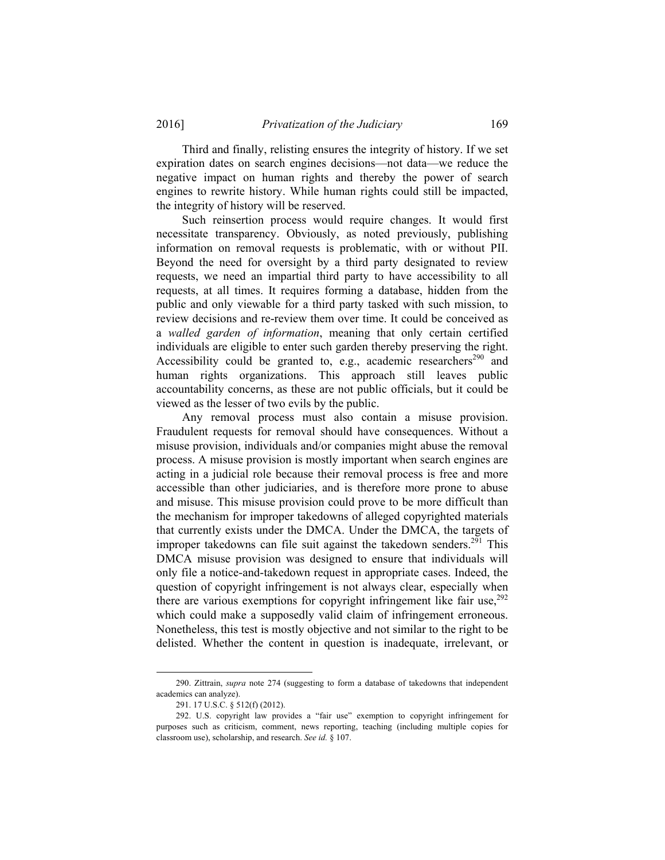Third and finally, relisting ensures the integrity of history. If we set expiration dates on search engines decisions—not data—we reduce the negative impact on human rights and thereby the power of search engines to rewrite history. While human rights could still be impacted, the integrity of history will be reserved.

Such reinsertion process would require changes. It would first necessitate transparency. Obviously, as noted previously, publishing information on removal requests is problematic, with or without PII. Beyond the need for oversight by a third party designated to review requests, we need an impartial third party to have accessibility to all requests, at all times. It requires forming a database, hidden from the public and only viewable for a third party tasked with such mission, to review decisions and re-review them over time. It could be conceived as a *walled garden of information*, meaning that only certain certified individuals are eligible to enter such garden thereby preserving the right. Accessibility could be granted to, e.g., academic researchers<sup>290</sup> and human rights organizations. This approach still leaves public accountability concerns, as these are not public officials, but it could be viewed as the lesser of two evils by the public.

Any removal process must also contain a misuse provision. Fraudulent requests for removal should have consequences. Without a misuse provision, individuals and/or companies might abuse the removal process. A misuse provision is mostly important when search engines are acting in a judicial role because their removal process is free and more accessible than other judiciaries, and is therefore more prone to abuse and misuse. This misuse provision could prove to be more difficult than the mechanism for improper takedowns of alleged copyrighted materials that currently exists under the DMCA. Under the DMCA, the targets of improper takedowns can file suit against the takedown senders.<sup>291</sup> This DMCA misuse provision was designed to ensure that individuals will only file a notice-and-takedown request in appropriate cases. Indeed, the question of copyright infringement is not always clear, especially when there are various exemptions for copyright infringement like fair use,  $292$ which could make a supposedly valid claim of infringement erroneous. Nonetheless, this test is mostly objective and not similar to the right to be delisted. Whether the content in question is inadequate, irrelevant, or

 <sup>290.</sup> Zittrain, *supra* note 274 (suggesting to form a database of takedowns that independent academics can analyze).

 <sup>291. 17</sup> U.S.C. § 512(f) (2012).

 <sup>292.</sup> U.S. copyright law provides a "fair use" exemption to copyright infringement for purposes such as criticism, comment, news reporting, teaching (including multiple copies for classroom use), scholarship, and research. *See id.* § 107.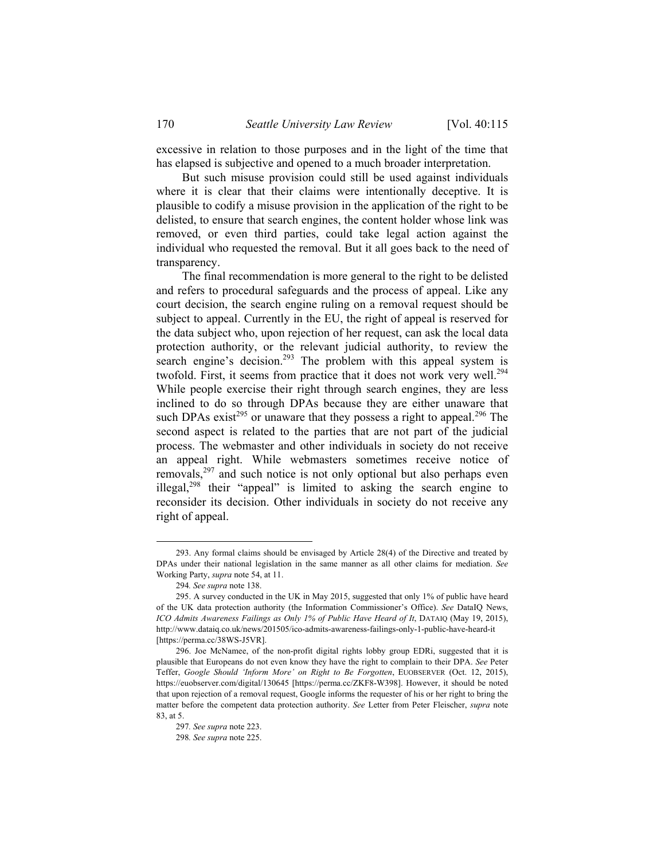excessive in relation to those purposes and in the light of the time that has elapsed is subjective and opened to a much broader interpretation.

But such misuse provision could still be used against individuals where it is clear that their claims were intentionally deceptive. It is plausible to codify a misuse provision in the application of the right to be delisted, to ensure that search engines, the content holder whose link was removed, or even third parties, could take legal action against the individual who requested the removal. But it all goes back to the need of transparency.

The final recommendation is more general to the right to be delisted and refers to procedural safeguards and the process of appeal. Like any court decision, the search engine ruling on a removal request should be subject to appeal. Currently in the EU, the right of appeal is reserved for the data subject who, upon rejection of her request, can ask the local data protection authority, or the relevant judicial authority, to review the search engine's decision.<sup>293</sup> The problem with this appeal system is twofold. First, it seems from practice that it does not work very well.<sup>294</sup> While people exercise their right through search engines, they are less inclined to do so through DPAs because they are either unaware that such DPAs exist<sup>295</sup> or unaware that they possess a right to appeal.<sup>296</sup> The second aspect is related to the parties that are not part of the judicial process. The webmaster and other individuals in society do not receive an appeal right. While webmasters sometimes receive notice of removals,<sup>297</sup> and such notice is not only optional but also perhaps even illegal,298 their "appeal" is limited to asking the search engine to reconsider its decision. Other individuals in society do not receive any right of appeal.

 <sup>293.</sup> Any formal claims should be envisaged by Article 28(4) of the Directive and treated by DPAs under their national legislation in the same manner as all other claims for mediation. *See* Working Party, *supra* note 54, at 11.

<sup>294</sup>*. See supra* note 138.

 <sup>295.</sup> A survey conducted in the UK in May 2015, suggested that only 1% of public have heard of the UK data protection authority (the Information Commissioner's Office). *See* DataIQ News, *ICO Admits Awareness Failings as Only 1% of Public Have Heard of It*, DATAIQ (May 19, 2015), http://www.dataiq.co.uk/news/201505/ico-admits-awareness-failings-only-1-public-have-heard-it [https://perma.cc/38WS-J5VR].

 <sup>296.</sup> Joe McNamee, of the non-profit digital rights lobby group EDRi, suggested that it is plausible that Europeans do not even know they have the right to complain to their DPA. *See* Peter Teffer, *Google Should 'Inform More' on Right to Be Forgotten*, EUOBSERVER (Oct. 12, 2015), https://euobserver.com/digital/130645 [https://perma.cc/ZKF8-W398]. However, it should be noted that upon rejection of a removal request, Google informs the requester of his or her right to bring the matter before the competent data protection authority. *See* Letter from Peter Fleischer, *supra* note 83, at 5.

<sup>297</sup>*. See supra* note 223.

<sup>298</sup>*. See supra* note 225.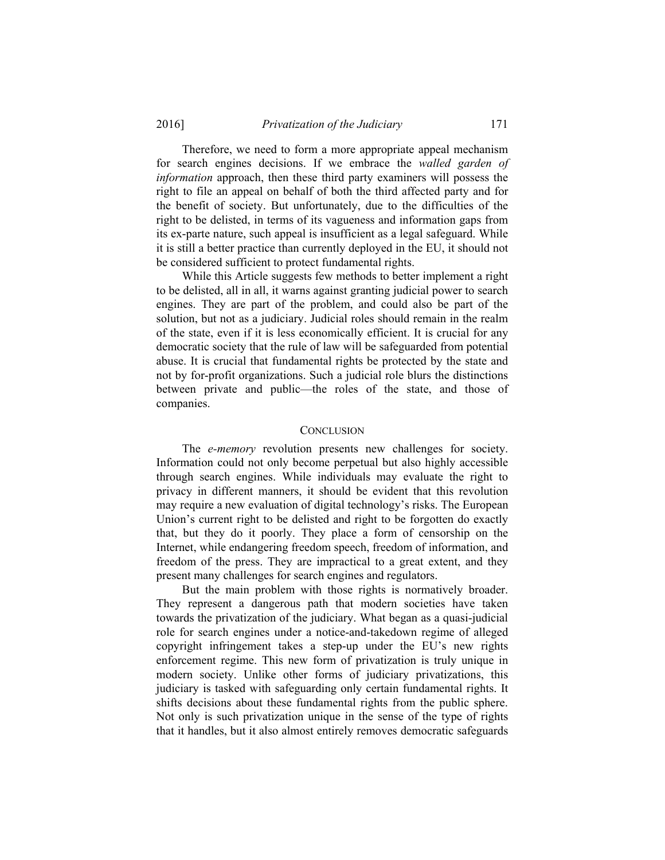Therefore, we need to form a more appropriate appeal mechanism for search engines decisions. If we embrace the *walled garden of information* approach, then these third party examiners will possess the right to file an appeal on behalf of both the third affected party and for the benefit of society. But unfortunately, due to the difficulties of the right to be delisted, in terms of its vagueness and information gaps from its ex-parte nature, such appeal is insufficient as a legal safeguard. While it is still a better practice than currently deployed in the EU, it should not be considered sufficient to protect fundamental rights.

While this Article suggests few methods to better implement a right to be delisted, all in all, it warns against granting judicial power to search engines. They are part of the problem, and could also be part of the solution, but not as a judiciary. Judicial roles should remain in the realm of the state, even if it is less economically efficient. It is crucial for any democratic society that the rule of law will be safeguarded from potential abuse. It is crucial that fundamental rights be protected by the state and not by for-profit organizations. Such a judicial role blurs the distinctions between private and public—the roles of the state, and those of companies.

#### **CONCLUSION**

The *e-memory* revolution presents new challenges for society. Information could not only become perpetual but also highly accessible through search engines. While individuals may evaluate the right to privacy in different manners, it should be evident that this revolution may require a new evaluation of digital technology's risks. The European Union's current right to be delisted and right to be forgotten do exactly that, but they do it poorly. They place a form of censorship on the Internet, while endangering freedom speech, freedom of information, and freedom of the press. They are impractical to a great extent, and they present many challenges for search engines and regulators.

But the main problem with those rights is normatively broader. They represent a dangerous path that modern societies have taken towards the privatization of the judiciary. What began as a quasi-judicial role for search engines under a notice-and-takedown regime of alleged copyright infringement takes a step-up under the EU's new rights enforcement regime. This new form of privatization is truly unique in modern society. Unlike other forms of judiciary privatizations, this judiciary is tasked with safeguarding only certain fundamental rights. It shifts decisions about these fundamental rights from the public sphere. Not only is such privatization unique in the sense of the type of rights that it handles, but it also almost entirely removes democratic safeguards